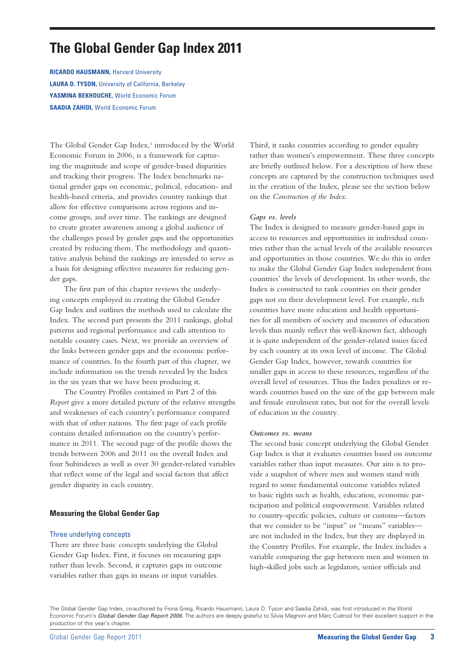# **The Global Gender Gap Index 2011**

**RICARDO HAUSMANN,** Harvard University **LAURA D. TYSON,** University of California, Berkeley **YASMINA BEKHOUCHE,** World Economic Forum **SAADIA ZAHIDI,** World Economic Forum

The Global Gender Gap Index,<sup>1</sup> introduced by the World Economic Forum in 2006, is a framework for capturing the magnitude and scope of gender-based disparities and tracking their progress. The Index benchmarks national gender gaps on economic, political, education- and health-based criteria, and provides country rankings that allow for effective comparisons across regions and income groups, and over time. The rankings are designed to create greater awareness among a global audience of the challenges posed by gender gaps and the opportunities created by reducing them. The methodology and quantitative analysis behind the rankings are intended to serve as a basis for designing effective measures for reducing gender gaps.

The first part of this chapter reviews the underlying concepts employed in creating the Global Gender Gap Index and outlines the methods used to calculate the Index. The second part presents the 2011 rankings, global patterns and regional performance and calls attention to notable country cases. Next, we provide an overview of the links between gender gaps and the economic performance of countries. In the fourth part of this chapter, we include information on the trends revealed by the Index in the six years that we have been producing it.

The Country Profiles contained in Part 2 of this *Report* give a more detailed picture of the relative strengths and weaknesses of each country's performance compared with that of other nations. The first page of each profile contains detailed information on the country's performance in 2011. The second page of the profile shows the trends between 2006 and 2011 on the overall Index and four Subindexes as well as over 30 gender-related variables that reflect some of the legal and social factors that affect gender disparity in each country.

## **Measuring the Global Gender Gap**

## Three underlying concepts

There are three basic concepts underlying the Global Gender Gap Index. First, it focuses on measuring gaps rather than levels. Second, it captures gaps in outcome variables rather than gaps in means or input variables.

Third, it ranks countries according to gender equality rather than women's empowerment. These three concepts are briefly outlined below. For a description of how these concepts are captured by the construction techniques used in the creation of the Index, please see the section below on the *Construction of the Index.*

### *Gaps vs. levels*

The Index is designed to measure gender-based gaps in access to resources and opportunities in individual countries rather than the actual levels of the available resources and opportunities in those countries. We do this in order to make the Global Gender Gap Index independent from countries' the levels of development. In other words, the Index is constructed to rank countries on their gender gaps not on their development level. For example, rich countries have more education and health opportunities for all members of society and measures of education levels thus mainly reflect this well-known fact, although it is quite independent of the gender-related issues faced by each country at its own level of income. The Global Gender Gap Index, however, rewards countries for smaller gaps in access to these resources, regardless of the overall level of resources. Thus the Index penalizes or rewards countries based on the size of the gap between male and female enrolment rates, but not for the overall levels of education in the country.

### *Outcomes vs. means*

The second basic concept underlying the Global Gender Gap Index is that it evaluates countries based on outcome variables rather than input measures. Our aim is to provide a snapshot of where men and women stand with regard to some fundamental outcome variables related to basic rights such as health, education, economic participation and political empowerment. Variables related to country-specific policies, culture or customs—factors that we consider to be "input" or "means" variables are not included in the Index, but they are displayed in the Country Profiles. For example, the Index includes a variable comparing the gap between men and women in high-skilled jobs such as legislators, senior officials and

The Global Gender Gap Index, co-authored by Fiona Greig, Ricardo Hausmann, Laura D. Tyson and Saadia Zahidi, was first introduced in the World Economic Forum's *Global Gender Gap Report 2006.* The authors are deeply grateful to Silvia Magnoni and Marc Cuénod for their excellent support in the production of this year's chapter.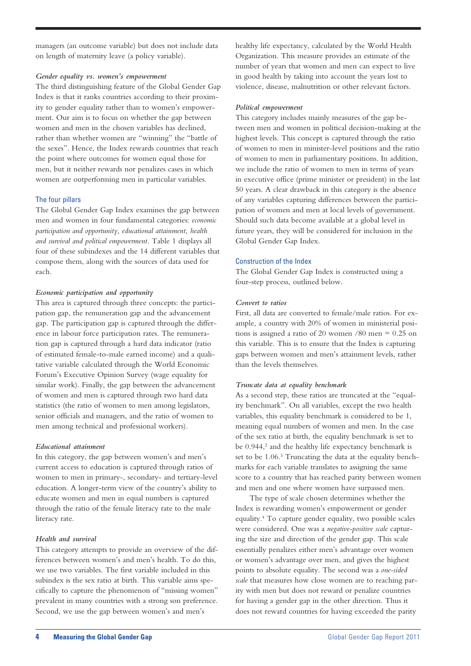managers (an outcome variable) but does not include data on length of maternity leave (a policy variable).

## *Gender equality vs. women's empowerment*

The third distinguishing feature of the Global Gender Gap Index is that it ranks countries according to their proximity to gender equality rather than to women's empowerment. Our aim is to focus on whether the gap between women and men in the chosen variables has declined, rather than whether women are "winning" the "battle of the sexes". Hence, the Index rewards countries that reach the point where outcomes for women equal those for men, but it neither rewards nor penalizes cases in which women are outperforming men in particular variables.

## The four pillars

The Global Gender Gap Index examines the gap between men and women in four fundamental categories: *economic participation and opportunity, educational attainment, health and survival and political empowerment.* Table 1 displays all four of these subindexes and the 14 different variables that compose them, along with the sources of data used for each.

## *Economic participation and opportunity*

This area is captured through three concepts: the participation gap, the remuneration gap and the advancement gap. The participation gap is captured through the difference in labour force participation rates. The remuneration gap is captured through a hard data indicator (ratio of estimated female-to-male earned income) and a qualitative variable calculated through the World Economic Forum's Executive Opinion Survey (wage equality for similar work). Finally, the gap between the advancement of women and men is captured through two hard data statistics (the ratio of women to men among legislators, senior officials and managers, and the ratio of women to men among technical and professional workers).

## *Educational attainment*

In this category, the gap between women's and men's current access to education is captured through ratios of women to men in primary-, secondary- and tertiary-level education. A longer-term view of the country's ability to educate women and men in equal numbers is captured through the ratio of the female literacy rate to the male literacy rate.

## *Health and survival*

This category attempts to provide an overview of the differences between women's and men's health. To do this, we use two variables. The first variable included in this subindex is the sex ratio at birth. This variable aims specifically to capture the phenomenon of "missing women" prevalent in many countries with a strong son preference. Second, we use the gap between women's and men's

healthy life expectancy, calculated by the World Health Organization. This measure provides an estimate of the number of years that women and men can expect to live in good health by taking into account the years lost to violence, disease, malnutrition or other relevant factors.

## *Political empowerment*

This category includes mainly measures of the gap between men and women in political decision-making at the highest levels. This concept is captured through the ratio of women to men in minister-level positions and the ratio of women to men in parliamentary positions. In addition, we include the ratio of women to men in terms of years in executive office (prime minister or president) in the last 50 years. A clear drawback in this category is the absence of any variables capturing differences between the participation of women and men at local levels of government. Should such data become available at a global level in future years, they will be considered for inclusion in the Global Gender Gap Index.

## Construction of the Index

The Global Gender Gap Index is constructed using a four-step process, outlined below.

## *Convert to ratios*

First, all data are converted to female/male ratios. For example, a country with 20% of women in ministerial positions is assigned a ratio of 20 women  $/80$  men = 0.25 on this variable. This is to ensure that the Index is capturing gaps between women and men's attainment levels, rather than the levels themselves.

## *Truncate data at equality benchmark*

As a second step, these ratios are truncated at the "equality benchmark". On all variables, except the two health variables, this equality benchmark is considered to be 1, meaning equal numbers of women and men. In the case of the sex ratio at birth, the equality benchmark is set to be 0.944,<sup>2</sup> and the healthy life expectancy benchmark is set to be 1.06.<sup>3</sup> Truncating the data at the equality benchmarks for each variable translates to assigning the same score to a country that has reached parity between women and men and one where women have surpassed men.

The type of scale chosen determines whether the Index is rewarding women's empowerment or gender equality.4 To capture gender equality, two possible scales were considered. One was a *negative-positive scale* capturing the size and direction of the gender gap. This scale essentially penalizes either men's advantage over women or women's advantage over men, and gives the highest points to absolute equality. The second was a *one-sided scale* that measures how close women are to reaching parity with men but does not reward or penalize countries for having a gender gap in the other direction. Thus it does not reward countries for having exceeded the parity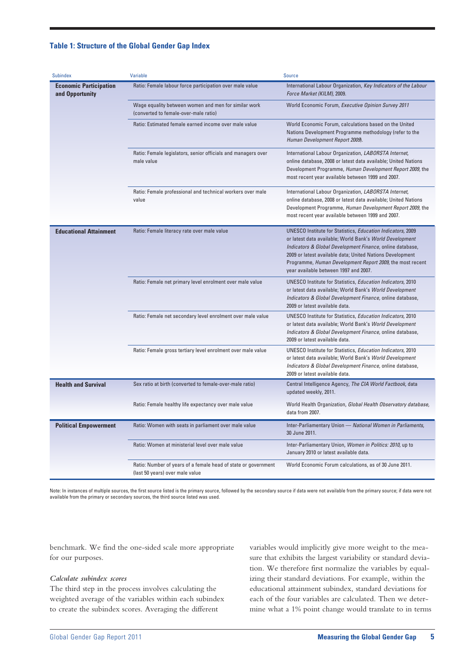## **Table 1: Structure of the Global Gender Gap Index**

| <b>Subindex</b>                                  | <b>Variable</b>                                                                                   | <b>Source</b>                                                                                                                                                                                                                                                                                                                                                  |
|--------------------------------------------------|---------------------------------------------------------------------------------------------------|----------------------------------------------------------------------------------------------------------------------------------------------------------------------------------------------------------------------------------------------------------------------------------------------------------------------------------------------------------------|
| <b>Economic Participation</b><br>and Opportunity | Ratio: Female labour force participation over male value                                          | International Labour Organization, Key Indicators of the Labour<br>Force Market (KILM), 2009.                                                                                                                                                                                                                                                                  |
|                                                  | Wage equality between women and men for similar work<br>(converted to female-over-male ratio)     | World Economic Forum, Executive Opinion Survey 2011                                                                                                                                                                                                                                                                                                            |
|                                                  | Ratio: Estimated female earned income over male value                                             | World Economic Forum, calculations based on the United<br>Nations Development Programme methodology (refer to the<br>Human Development Report 2009).                                                                                                                                                                                                           |
|                                                  | Ratio: Female legislators, senior officials and managers over<br>male value                       | International Labour Organization, LABORSTA Internet,<br>online database, 2008 or latest data available; United Nations<br>Development Programme, Human Development Report 2009, the<br>most recent year available between 1999 and 2007.                                                                                                                      |
|                                                  | Ratio: Female professional and technical workers over male<br>value                               | International Labour Organization, LABORSTA Internet,<br>online database, 2008 or latest data available; United Nations<br>Development Programme, Human Development Report 2009, the<br>most recent year available between 1999 and 2007.                                                                                                                      |
| <b>Educational Attainment</b>                    | Ratio: Female literacy rate over male value                                                       | <b>UNESCO Institute for Statistics, Education Indicators, 2009</b><br>or latest data available; World Bank's World Development<br>Indicators & Global Development Finance, online database,<br>2009 or latest available data; United Nations Development<br>Programme, Human Development Report 2009, the most recent<br>year available between 1997 and 2007. |
|                                                  | Ratio: Female net primary level enrolment over male value                                         | UNESCO Institute for Statistics, Education Indicators, 2010<br>or latest data available; World Bank's World Development<br>Indicators & Global Development Finance, online database,<br>2009 or latest available data.                                                                                                                                         |
|                                                  | Ratio: Female net secondary level enrolment over male value                                       | <b>UNESCO Institute for Statistics, Education Indicators, 2010</b><br>or latest data available; World Bank's World Development<br>Indicators & Global Development Finance, online database,<br>2009 or latest available data.                                                                                                                                  |
|                                                  | Ratio: Female gross tertiary level enrolment over male value                                      | <b>UNESCO Institute for Statistics, Education Indicators, 2010</b><br>or latest data available; World Bank's World Development<br>Indicators & Global Development Finance, online database,<br>2009 or latest available data.                                                                                                                                  |
| <b>Health and Survival</b>                       | Sex ratio at birth (converted to female-over-male ratio)                                          | Central Intelligence Agency, The CIA World Factbook, data<br>updated weekly, 2011.                                                                                                                                                                                                                                                                             |
|                                                  | Ratio: Female healthy life expectancy over male value                                             | World Health Organization, Global Health Observatory database,<br>data from 2007.                                                                                                                                                                                                                                                                              |
| <b>Political Empowerment</b>                     | Ratio: Women with seats in parliament over male value                                             | Inter-Parliamentary Union - National Women in Parliaments,<br>30 June 2011.                                                                                                                                                                                                                                                                                    |
|                                                  | Ratio: Women at ministerial level over male value                                                 | Inter-Parliamentary Union, Women in Politics: 2010, up to<br>January 2010 or latest available data.                                                                                                                                                                                                                                                            |
|                                                  | Ratio: Number of years of a female head of state or government<br>(last 50 years) over male value | World Economic Forum calculations, as of 30 June 2011.                                                                                                                                                                                                                                                                                                         |

Note: In instances of multiple sources, the first source listed is the primary source, followed by the secondary source if data were not available from the primary source; if data were not available from the primary or secondary sources, the third source listed was used.

benchmark. We find the one-sided scale more appropriate for our purposes.

### *Calculate subindex scores*

The third step in the process involves calculating the weighted average of the variables within each subindex to create the subindex scores. Averaging the different

variables would implicitly give more weight to the measure that exhibits the largest variability or standard deviation. We therefore first normalize the variables by equalizing their standard deviations. For example, within the educational attainment subindex, standard deviations for each of the four variables are calculated. Then we determine what a 1% point change would translate to in terms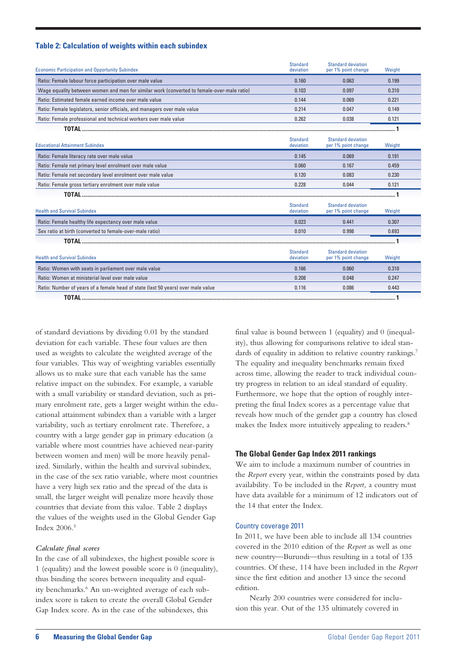## **Table 2: Calculation of weights within each subindex**

| <b>Economic Participation and Opportunity Subindex</b>                                     | <b>Standard</b><br>deviation | <b>Standard deviation</b><br>per 1% point change | Weight |
|--------------------------------------------------------------------------------------------|------------------------------|--------------------------------------------------|--------|
| Ratio: Female labour force participation over male value                                   | 0.160                        | 0.063                                            | 0.199  |
| Wage equality between women and men for similar work (converted to female-over-male ratio) | 0.103                        | 0.097                                            | 0.310  |
| Ratio: Estimated female earned income over male value                                      | 0.144                        | 0.069                                            | 0.221  |
| Ratio: Female legislators, senior officials, and managers over male value                  | 0.214                        | 0.047                                            | 0.149  |
| Ratio: Female professional and technical workers over male value                           | 0.262                        | 0.038                                            | 0.121  |
|                                                                                            |                              |                                                  |        |
| <b>Educational Attainment Subindex</b>                                                     | <b>Standard</b><br>deviation | <b>Standard deviation</b><br>per 1% point change | Weight |
| Ratio: Female literacy rate over male value                                                | 0.145                        | 0.069                                            | 0.191  |
| Ratio: Female net primary level enrolment over male value                                  | 0.060                        | 0.167                                            | 0.459  |
| Ratio: Female net secondary level enrolment over male value                                | 0.120                        | 0.083                                            | 0.230  |
| Ratio: Female gross tertiary enrolment over male value                                     | 0.228                        | 0.044                                            | 0.121  |
|                                                                                            |                              |                                                  |        |
| <b>Health and Survival Subindex</b>                                                        | <b>Standard</b><br>deviation | <b>Standard deviation</b><br>per 1% point change | Weight |
| Ratio: Female healthy life expectancy over male value                                      | 0.023                        | 0.441                                            | 0.307  |
| Sex ratio at birth (converted to female-over-male ratio)                                   | 0.010                        | 0.998                                            | 0.693  |
|                                                                                            |                              |                                                  |        |
| <b>Health and Survival Subindex</b>                                                        | <b>Standard</b><br>deviation | <b>Standard deviation</b><br>per 1% point change | Weight |
| Ratio: Women with seats in parliament over male value                                      | 0.166                        | 0.060                                            | 0.310  |
| Ratio: Women at ministerial level over male value                                          | 0.208                        | 0.048                                            | 0.247  |
| Ratio: Number of years of a female head of state (last 50 years) over male value           | 0.116                        | 0.086                                            | 0.443  |
|                                                                                            |                              |                                                  |        |

of standard deviations by dividing 0.01 by the standard deviation for each variable. These four values are then used as weights to calculate the weighted average of the four variables. This way of weighting variables essentially allows us to make sure that each variable has the same relative impact on the subindex. For example, a variable with a small variability or standard deviation, such as primary enrolment rate, gets a larger weight within the educational attainment subindex than a variable with a larger variability, such as tertiary enrolment rate. Therefore, a country with a large gender gap in primary education (a variable where most countries have achieved near-parity between women and men) will be more heavily penalized. Similarly, within the health and survival subindex, in the case of the sex ratio variable, where most countries have a very high sex ratio and the spread of the data is small, the larger weight will penalize more heavily those countries that deviate from this value. Table 2 displays the values of the weights used in the Global Gender Gap Index 2006.5

## *Calculate final scores*

In the case of all subindexes, the highest possible score is 1 (equality) and the lowest possible score is 0 (inequality), thus binding the scores between inequality and equality benchmarks.<sup>6</sup> An un-weighted average of each subindex score is taken to create the overall Global Gender Gap Index score. As in the case of the subindexes, this

final value is bound between 1 (equality) and 0 (inequality), thus allowing for comparisons relative to ideal standards of equality in addition to relative country rankings.<sup>7</sup> The equality and inequality benchmarks remain fixed across time, allowing the reader to track individual country progress in relation to an ideal standard of equality. Furthermore, we hope that the option of roughly interpreting the final Index scores as a percentage value that reveals how much of the gender gap a country has closed makes the Index more intuitively appealing to readers.<sup>8</sup>

## **The Global Gender Gap Index 2011 rankings**

We aim to include a maximum number of countries in the *Report* every year, within the constraints posed by data availability. To be included in the *Report,* a country must have data available for a minimum of 12 indicators out of the 14 that enter the Index.

## Country coverage 2011

In 2011, we have been able to include all 134 countries covered in the 2010 edition of the *Report* as well as one new country—Burundi—thus resulting in a total of 135 countries. Of these, 114 have been included in the *Report* since the first edition and another 13 since the second edition.

Nearly 200 countries were considered for inclusion this year. Out of the 135 ultimately covered in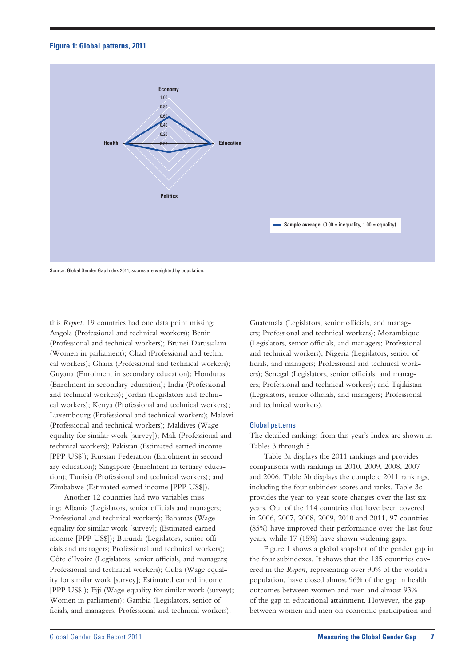## **Figure 1: Global patterns, 2011**



Source: Global Gender Gap Index 2011; scores are weighted by population.

this *Report,* 19 countries had one data point missing: Angola (Professional and technical workers); Benin (Professional and technical workers); Brunei Darussalam (Women in parliament); Chad (Professional and technical workers); Ghana (Professional and technical workers); Guyana (Enrolment in secondary education); Honduras (Enrolment in secondary education); India (Professional and technical workers); Jordan (Legislators and technical workers); Kenya (Professional and technical workers); Luxembourg (Professional and technical workers); Malawi (Professional and technical workers); Maldives (Wage equality for similar work [survey]); Mali (Professional and technical workers); Pakistan (Estimated earned income [PPP US\$]); Russian Federation (Enrolment in secondary education); Singapore (Enrolment in tertiary education); Tunisia (Professional and technical workers); and Zimbabwe (Estimated earned income [PPP US\$]).

Another 12 countries had two variables missing: Albania (Legislators, senior officials and managers; Professional and technical workers); Bahamas (Wage equality for similar work [survey]; (Estimated earned income [PPP US\$]); Burundi (Legislators, senior officials and managers; Professional and technical workers); Côte d'Ivoire (Legislators, senior officials, and managers; Professional and technical workers); Cuba (Wage equality for similar work [survey]; Estimated earned income [PPP US\$]); Fiji (Wage equality for similar work (survey); Women in parliament); Gambia (Legislators, senior officials, and managers; Professional and technical workers);

Guatemala (Legislators, senior officials, and managers; Professional and technical workers); Mozambique (Legislators, senior officials, and managers; Professional and technical workers); Nigeria (Legislators, senior officials, and managers; Professional and technical workers); Senegal (Legislators, senior officials, and managers; Professional and technical workers); and Tajikistan (Legislators, senior officials, and managers; Professional and technical workers).

### Global patterns

The detailed rankings from this year's Index are shown in Tables 3 through 5.

Table 3a displays the 2011 rankings and provides comparisons with rankings in 2010, 2009, 2008, 2007 and 2006. Table 3b displays the complete 2011 rankings, including the four subindex scores and ranks. Table 3c provides the year-to-year score changes over the last six years. Out of the 114 countries that have been covered in 2006, 2007, 2008, 2009, 2010 and 2011, 97 countries (85%) have improved their performance over the last four years, while 17 (15%) have shown widening gaps.

Figure 1 shows a global snapshot of the gender gap in the four subindexes. It shows that the 135 countries covered in the *Report,* representing over 90% of the world's population, have closed almost 96% of the gap in health outcomes between women and men and almost 93% of the gap in educational attainment. However, the gap between women and men on economic participation and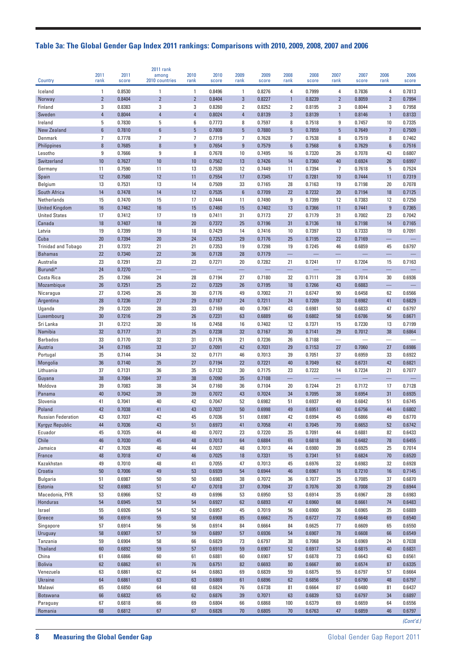## **Table 3a: The Global Gender Gap Index 2011 rankings: Comparisons with 2010, 2009, 2008, 2007 and 2006**

|                            | 2011           | 2011   | <b>2011 rank</b>        | 2010           | 2010   | 2009                     | 2009   |                          | 2008                     | 2007                     | 2007   | 2006                     |                          |
|----------------------------|----------------|--------|-------------------------|----------------|--------|--------------------------|--------|--------------------------|--------------------------|--------------------------|--------|--------------------------|--------------------------|
| Country                    | rank           | score  | among<br>2010 countries | rank           | score  | rank                     | score  | 2008<br>rank             | score                    | rank                     | score  | rank                     | 2006<br>score            |
|                            |                |        |                         |                |        |                          |        |                          |                          |                          |        |                          |                          |
| Iceland                    | $\mathbf{1}$   | 0.8530 | $\mathbf{1}$            | $\mathbf{1}$   | 0.8496 | $\mathbf{1}$             | 0.8276 | $\overline{4}$           | 0.7999                   | 4                        | 0.7836 | $\overline{4}$           | 0.7813                   |
| Norway                     | $\overline{2}$ | 0.8404 | $\overline{2}$          | $\overline{2}$ | 0.8404 | 3                        | 0.8227 | $\overline{1}$           | 0.8239                   | $\overline{2}$           | 0.8059 | $\overline{2}$           | 0.7994                   |
| Finland                    | 3              | 0.8383 | 3                       | 3              | 0.8260 | 2                        | 0.8252 | $\overline{2}$           | 0.8195                   | 3                        | 0.8044 | 3                        | 0.7958                   |
| Sweden                     | $\overline{4}$ | 0.8044 | $\overline{4}$          | $\overline{4}$ | 0.8024 | $\overline{4}$           | 0.8139 | $\mathbf{3}$             | 0.8139                   | $\mathbf{1}$             | 0.8146 | $\mathbf{1}$             | 0.8133                   |
| Ireland                    | 5              | 0.7830 | 5                       | 6              | 0.7773 | 8                        | 0.7597 | 8                        | 0.7518                   | 9                        | 0.7457 | 10                       | 0.7335                   |
| <b>New Zealand</b>         | $6\phantom{1}$ | 0.7810 | $6\phantom{a}$          | $5\phantom{.}$ | 0.7808 | $5\phantom{.0}$          | 0.7880 | 5                        | 0.7859                   | 5                        | 0.7649 | $\overline{7}$           | 0.7509                   |
| Denmark                    | 7              | 0.7778 | $\overline{7}$          | $\overline{7}$ | 0.7719 | $\overline{7}$           | 0.7628 | $\overline{7}$           | 0.7538                   | 8                        | 0.7519 | 8                        | 0.7462                   |
| <b>Philippines</b>         | 8              | 0.7685 | 8                       | 9              | 0.7654 | $\overline{9}$           | 0.7579 | $\boldsymbol{6}$         | 0.7568                   | $6\phantom{1}$           | 0.7629 | $6\phantom{.}$           | 0.7516                   |
| Lesotho                    | 9              | 0.7666 | $\boldsymbol{9}$        | 8              | 0.7678 | 10                       | 0.7495 | 16                       | 0.7320                   | 26                       | 0.7078 | 43                       | 0.6807                   |
| Switzerland                | 10             | 0.7627 | 10                      | 10             | 0.7562 | 13                       | 0.7426 | 14                       | 0.7360                   | 40                       | 0.6924 | 26                       | 0.6997                   |
| Germany                    | 11             | 0.7590 | 11                      | 13             | 0.7530 | 12                       | 0.7449 | 11                       | 0.7394                   | $\overline{7}$           | 0.7618 | 5                        | 0.7524                   |
| Spain                      | 12             | 0.7580 | 12                      | 11             | 0.7554 | 17                       | 0.7345 | 17                       | 0.7281                   | 10                       | 0.7444 | 11                       | 0.7319                   |
| Belgium                    | 13             | 0.7531 | 13                      | 14             | 0.7509 | 33                       | 0.7165 | 28                       | 0.7163                   | 19                       | 0.7198 | 20                       | 0.7078                   |
| South Africa               | 14             | 0.7478 | 14                      | 12             | 0.7535 | $6\phantom{1}$           | 0.7709 | 22                       | 0.7232                   | 20                       | 0.7194 | 18                       | 0.7125                   |
| Netherlands                | 15             | 0.7470 | 15                      | 17             | 0.7444 | 11                       | 0.7490 | $9\,$                    | 0.7399                   | 12                       | 0.7383 | 12                       | 0.7250                   |
| <b>United Kingdom</b>      | 16             | 0.7462 | 16                      | 15             | 0.7460 | 15                       | 0.7402 | 13                       | 0.7366                   | 11                       | 0.7441 | $\boldsymbol{9}$         | 0.7365                   |
| <b>United States</b>       | 17             | 0.7412 | 17                      | 19             | 0.7411 | 31                       | 0.7173 | 27                       | 0.7179                   | 31                       | 0.7002 | 23                       | 0.7042                   |
| Canada                     | 18             | 0.7407 | 18                      | 20             | 0.7372 | 25                       | 0.7196 | 31                       | 0.7136                   | 18                       | 0.7198 | 14                       | 0.7165                   |
| Latvia                     | 19             | 0.7399 | 19                      | 18             | 0.7429 | 14                       | 0.7416 | 10                       | 0.7397                   | 13                       | 0.7333 | 19                       | 0.7091                   |
| Cuba                       | 20             | 0.7394 | 20                      | 24             | 0.7253 | 29                       | 0.7176 | 25                       | 0.7195                   | 22                       | 0.7169 |                          | $\overline{\phantom{0}}$ |
| <b>Trinidad and Tobago</b> | 21             | 0.7372 | 21                      | 21             | 0.7353 | 19                       | 0.7298 | 19                       | 0.7245                   | 46                       | 0.6859 | 45                       | 0.6797                   |
| <b>Bahamas</b>             | 22             | 0.7340 | 22                      | 36             | 0.7128 | 28                       | 0.7179 |                          | $\overline{\phantom{0}}$ |                          |        |                          |                          |
| Australia                  | 23             | 0.7291 | 23                      | 23             | 0.7271 | 20                       | 0.7282 | 21                       | 0.7241                   | 17                       | 0.7204 | 15                       | 0.7163                   |
| Burundi*                   | 24             | 0.7270 |                         |                |        | $\overline{\phantom{0}}$ |        | -                        |                          | $\overline{\phantom{0}}$ |        | $\overline{\phantom{0}}$ |                          |
| Costa Rica                 | 25             | 0.7266 | 24                      | 28             | 0.7194 | 27                       | 0.7180 | 32                       | 0.7111                   | 28                       | 0.7014 | 30                       | 0.6936                   |
| Mozambique                 | 26             | 0.7251 | 25                      | 22             | 0.7329 | 26                       | 0.7195 | 18                       | 0.7266                   | 43                       | 0.6883 | $\equiv$                 | L,                       |
| Nicaragua                  | 27             | 0.7245 | 26                      | 30             | 0.7176 | 49                       | 0.7002 | 71                       | 0.6747                   | 90                       | 0.6458 | 62                       | 0.6566                   |
| Argentina                  | 28             | 0.7236 | 27                      | 29             | 0.7187 | 24                       | 0.7211 | 24                       | 0.7209                   | 33                       | 0.6982 | 41                       | 0.6829                   |
| Uganda                     | 29             | 0.7220 | 28                      | 33             | 0.7169 | 40                       | 0.7067 | 43                       | 0.6981                   | 50                       | 0.6833 | 47                       | 0.6797                   |
|                            | 30             |        | 29                      | 26             |        |                          |        |                          |                          |                          |        |                          |                          |
| Luxembourg                 |                | 0.7216 |                         |                | 0.7231 | 63                       | 0.6889 | 66                       | 0.6802                   | 58                       | 0.6786 | 56                       | 0.6671                   |
| Sri Lanka                  | 31             | 0.7212 | 30                      | 16             | 0.7458 | 16                       | 0.7402 | 12                       | 0.7371                   | 15                       | 0.7230 | 13                       | 0.7199                   |
| Namibia                    | 32             | 0.7177 | 31                      | 25             | 0.7238 | 32                       | 0.7167 | 30                       | 0.7141                   | 29                       | 0.7012 | 38                       | 0.6864                   |
| <b>Barbados</b>            | 33             | 0.7170 | 32                      | 31             | 0.7176 | 21                       | 0.7236 | 26                       | 0.7188                   | $\overline{\phantom{0}}$ |        | $\overline{\phantom{0}}$ |                          |
| Austria                    | 34             | 0.7165 | 33                      | 37             | 0.7091 | 42                       | 0.7031 | 29                       | 0.7153                   | 27                       | 0.7060 | 27                       | 0.6986                   |
| Portugal                   | 35             | 0.7144 | 34                      | 32             | 0.7171 | 46                       | 0.7013 | 39                       | 0.7051                   | 37                       | 0.6959 | 33                       | 0.6922                   |
| Mongolia                   | 36             | 0.7140 | 35                      | 27             | 0.7194 | 22                       | 0.7221 | 40                       | 0.7049                   | 62                       | 0.6731 | 42                       | 0.6821                   |
| Lithuania                  | 37             | 0.7131 | 36                      | 35             | 0.7132 | 30                       | 0.7175 | 23                       | 0.7222                   | 14                       | 0.7234 | 21                       | 0.7077                   |
| Guyana                     | 38             | 0.7084 | 37                      | 38             | 0.7090 | 35                       | 0.7108 | $\overline{\phantom{0}}$ |                          |                          |        |                          | $\overline{\phantom{0}}$ |
| Moldova                    | 39             | 0.7083 | 38                      | 34             | 0.7160 | 36                       | 0.7104 | 20                       | 0.7244                   | 21                       | 0.7172 | 17                       | 0.7128                   |
| Panama                     | 40             | 0.7042 | 39                      | 39             | 0.7072 | 43                       | 0.7024 | 34                       | 0.7095                   | 38                       | 0.6954 | 31                       | 0.6935                   |
| Slovenia                   | 41             | 0.7041 | 40                      | 42             | 0.7047 | 52                       | 0.6982 | 51                       | 0.6937                   | 49                       | 0.6842 | 51                       | 0.6745                   |
| Poland                     | 42             | 0.7038 | 41                      | 43             | 0.7037 | 50                       | 0.6998 | 49                       | 0.6951                   | 60                       | 0.6756 | 44                       | 0.6802                   |
| <b>Russian Federation</b>  | 43             | 0.7037 | 42                      | 45             | 0.7036 | 51                       | 0.6987 | 42                       | 0.6994                   | 45                       | 0.6866 | 49                       | 0.6770                   |
| Kyrgyz Republic            | 44             | 0.7036 | 43                      | 51             | 0.6973 | 41                       | 0.7058 | 41                       | 0.7045                   | 70                       | 0.6653 | 52                       | 0.6742                   |
| Ecuador                    | 45             | 0.7035 | 44                      | 40             | 0.7072 | 23                       | 0.7220 | 35                       | 0.7091                   | 44                       | 0.6881 | 82                       | 0.6433                   |
| Chile                      | 46             | 0.7030 | 45                      | 48             | 0.7013 | 64                       | 0.6884 | 65                       | 0.6818                   | 86                       | 0.6482 | 78                       | 0.6455                   |
| Jamaica                    | 47             | 0.7028 | 46                      | 44             | 0.7037 | 48                       | 0.7013 | 44                       | 0.6980                   | 39                       | 0.6925 | 25                       | 0.7014                   |
| France                     | 48             | 0.7018 | 47                      | 46             | 0.7025 | 18                       | 0.7331 | 15                       | 0.7341                   | 51                       | 0.6824 | $70\,$                   | 0.6520                   |
| Kazakhstan                 | 49             | 0.7010 | 48                      | 41             | 0.7055 | 47                       | 0.7013 | 45                       | 0.6976                   | 32                       | 0.6983 | 32                       | 0.6928                   |
| Croatia                    | 50             | 0.7006 | 49                      | 53             | 0.6939 | 54                       | 0.6944 | 46                       | 0.6967                   | 16                       | 0.7210 | $16\,$                   | 0.7145                   |
| <b>Bulgaria</b>            | 51             | 0.6987 | 50                      | 50             | 0.6983 | 38                       | 0.7072 | 36                       | 0.7077                   | 25                       | 0.7085 | 37                       | 0.6870                   |
| Estonia                    | 52             | 0.6983 | 51                      | 47             | 0.7018 | 37                       | 0.7094 | 37                       | 0.7076                   | 30                       | 0.7008 | 29                       | 0.6944                   |
| Macedonia, FYR             | 53             | 0.6966 | 52                      | 49             | 0.6996 | 53                       | 0.6950 | 53                       | 0.6914                   | 35                       | 0.6967 | 28                       | 0.6983                   |
| <b>Honduras</b>            | 54             | 0.6945 | 53                      | 54             | 0.6927 | 62                       | 0.6893 | 47                       | 0.6960                   | 68                       | 0.6661 | 74                       | 0.6483                   |
| Israel                     | 55             | 0.6926 | 54                      | 52             | 0.6957 | 45                       | 0.7019 | 56                       | 0.6900                   | 36                       | 0.6965 | 35                       | 0.6889                   |
| Greece                     | 56             | 0.6916 | 55                      | 58             | 0.6908 | 85                       | 0.6662 | 75                       | 0.6727                   | 72                       | 0.6648 | 69                       | 0.6540                   |
| Singapore                  | 57             | 0.6914 | 56                      | 56             | 0.6914 | 84                       | 0.6664 | 84                       | 0.6625                   | 77                       | 0.6609 | 65                       | 0.6550                   |
| Uruguay                    | 58             | 0.6907 | 57                      |                | 0.6897 | 57                       |        | 54                       | 0.6907                   |                          | 0.6608 |                          |                          |
|                            |                |        |                         | 59             |        |                          | 0.6936 |                          |                          | 78                       |        | 66                       | 0.6549                   |
| Tanzania                   | 59             | 0.6904 | 58                      | 66             | 0.6829 | 73                       | 0.6797 | 38                       | 0.7068                   | 34                       | 0.6969 | 24                       | 0.7038                   |
| <b>Thailand</b>            | 60             | 0.6892 | 59                      | 57             | 0.6910 | 59                       | 0.6907 | 52                       | 0.6917                   | 52                       | 0.6815 | 40                       | 0.6831                   |
| China                      | 61             | 0.6866 | 60                      | 61             | 0.6881 | 60                       | 0.6907 | 57                       | 0.6878                   | 73                       | 0.6643 | 63                       | 0.6561                   |
| <b>Bolivia</b>             | 62             | 0.6862 | 61                      | 76             | 0.6751 | 82                       | 0.6693 | $80\,$                   | 0.6667                   | 80                       | 0.6574 | 87                       | 0.6335                   |
| Venezuela                  | 63             | 0.6861 | 62                      | 64             | 0.6863 | 69                       | 0.6839 | 59                       | 0.6875                   | 55                       | 0.6797 | 57                       | 0.6664                   |
| <b>Ukraine</b>             | 64             | 0.6861 | 63                      | 63             | 0.6869 | 61                       | 0.6896 | 62                       | 0.6856                   | 57                       | 0.6790 | 48                       | 0.6797                   |
| Malawi                     | 65             | 0.6850 | 64                      | 68             | 0.6824 | 76                       | 0.6738 | 81                       | 0.6664                   | 87                       | 0.6480 | 81                       | 0.6437                   |
| <b>Botswana</b>            | 66             | 0.6832 | 65                      | 62             | 0.6876 | 39                       | 0.7071 | 63                       | 0.6839                   | 53                       | 0.6797 | 34                       | 0.6897                   |
| Paraguay                   | 67             | 0.6818 | 66                      | 69             | 0.6804 | 66                       | 0.6868 | 100                      | 0.6379                   | 69                       | 0.6659 | 64                       | 0.6556                   |
| Romania                    | 68             | 0.6812 | $67\,$                  | $67\,$         | 0.6826 | $70\,$                   | 0.6805 | $70\,$                   | 0.6763                   | 47                       | 0.6859 | 46                       | 0.6797                   |

*(Cont'd.)*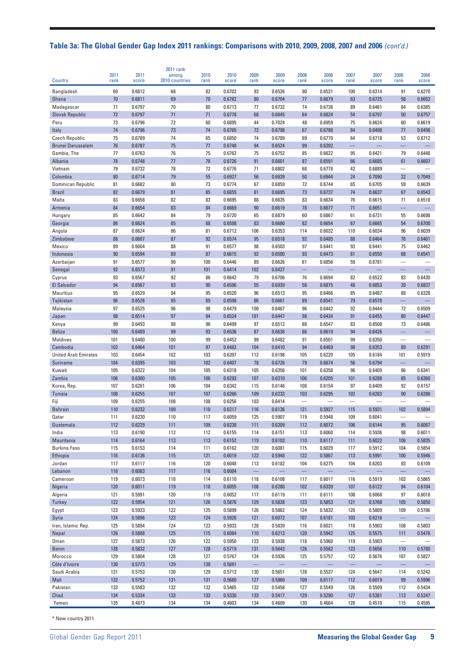## **Table 3a: The Global Gender Gap Index 2011 rankings: Comparisons with 2010, 2009, 2008, 2007 and 2006** *(cont'd.)*

|                             |              |               | <b>2011 rank</b>        |              |               |                          |                          |                          |               |                          |                          |                                   |                          |
|-----------------------------|--------------|---------------|-------------------------|--------------|---------------|--------------------------|--------------------------|--------------------------|---------------|--------------------------|--------------------------|-----------------------------------|--------------------------|
| Country                     | 2011<br>rank | 2011<br>score | among<br>2010 countries | 2010<br>rank | 2010<br>score | 2009<br>rank             | 2009<br>score            | 2008<br>rank             | 2008<br>score | 2007<br>rank             | 2007<br>score            | 2006<br>rank                      | 2006<br>score            |
|                             |              |               |                         |              |               |                          |                          |                          |               |                          |                          |                                   |                          |
| <b>Bangladesh</b>           | 69           | 0.6812        | 68                      | 82           | 0.6702        | 93                       | 0.6526                   | 90                       | 0.6531        | 100                      | 0.6314                   | 91                                | 0.6270                   |
| Ghana                       | 70           | 0.6811        | 69                      | 70           | 0.6782        | 80                       | 0.6704                   | 77                       | 0.6679        | 63                       | 0.6725                   | 58                                | 0.6653                   |
| Madagascar                  | 71           | 0.6797        | 70                      | 80           | 0.6713        | 77                       | 0.6732                   | 74                       | 0.6736        | 89                       | 0.6461                   | 84                                | 0.6385                   |
| <b>Slovak Republic</b>      | 72           | 0.6797        | 71                      | 71           | 0.6778        | 68                       | 0.6845                   | 64                       | 0.6824        | 54                       | 0.6797                   | 50                                | 0.6757                   |
| Peru                        | 73           | 0.6796        | 72                      | 60           | 0.6895        | 44                       | 0.7024                   | 48                       | 0.6959        | 75                       | 0.6624                   | 60                                | 0.6619                   |
| Italy                       | 74           | 0.6796        | 73                      | 74           | 0.6765        | 72                       | 0.6798                   | 67                       | 0.6788        | 84                       | 0.6498                   | 77                                | 0.6456                   |
| <b>Czech Republic</b>       | 75           | 0.6789        | 74                      | 65           | 0.6850        | 74                       | 0.6789                   | 69                       | 0.6770        | 64                       | 0.6718                   | 53                                | 0.6712                   |
| Brunei Darussalem           | 76           | 0.6787        | 75                      | 77           | 0.6748        | 94                       | 0.6524                   | 99                       | 0.6392        | $\overline{\phantom{0}}$ |                          |                                   | $\overline{\phantom{0}}$ |
| Gambia, The                 | 77           | 0.6763        | 76                      | 75           | 0.6762        | 75                       | 0.6752                   | 85                       | 0.6622        | 95                       | 0.6421                   | 79                                | 0.6448                   |
| Albania                     | 78           | 0.6748        | 77                      | 78           | 0.6726        | 91                       | 0.6601                   | 87                       | 0.6591        | 66                       | 0.6685                   | 61                                | 0.6607                   |
| Vietnam                     | 79           | 0.6732        | 78                      | 72           | 0.6776        | 71                       | 0.6802                   | 68                       | 0.6778        | 42                       | 0.6889                   |                                   |                          |
| Colombia                    | 80           | 0.6714        | 79                      | 55           | 0.6927        | 56                       | 0.6939                   | 50                       | 0.6944        | 24                       | 0.7090                   | 22                                | 0.7049                   |
| Dominican Republic          | 81           | 0.6682        | 80                      | 73           | 0.6774        | 67                       | 0.6859                   | 72                       | 0.6744        | 65                       | 0.6705                   | 59                                | 0.6639                   |
| <b>Brazil</b>               | 82           | 0.6679        | 81                      | 85           | 0.6655        | 81                       | 0.6695                   | 73                       | 0.6737        | 74                       | 0.6637                   | 67                                | 0.6543                   |
| Malta                       | 83           | 0.6658        | 82                      | 83           | 0.6695        | 88                       | 0.6635                   | 83                       | 0.6634        | 76                       | 0.6615                   | 71                                | 0.6518                   |
| Armenia                     | 84           | 0.6654        | 83                      | 84           | 0.6669        | 90                       | 0.6619                   | 78                       | 0.6677        | 71                       | 0.6651                   |                                   |                          |
| Hungary                     | 85           | 0.6642        | 84                      | 79           | 0.6720        | 65                       | 0.6879                   | 60                       | 0.6867        | 61                       | 0.6731                   | 55                                | 0.6698                   |
|                             | 86           | 0.6624        | 85                      | 88           | 0.6598        | 83                       | 0.6680                   | 82                       | 0.6654        | 67                       | 0.6665                   | 54                                | 0.6700                   |
| Georgia                     |              |               |                         |              |               |                          |                          |                          |               |                          |                          |                                   |                          |
| Angola                      | 87           | 0.6624        | 86                      | 81           | 0.6712        | 106                      | 0.6353                   | 114                      | 0.6032        | 110                      | 0.6034                   | 96                                | 0.6039                   |
| Zimbabwe                    | 88           | 0.6607        | 87                      | 92           | 0.6574        | 95                       | 0.6518                   | 92                       | 0.6485        | 88                       | 0.6464                   | 76                                | 0.6461                   |
| Mexico                      | 89           | 0.6604        | 88                      | 91           | 0.6577        | 98                       | 0.6503                   | 97                       | 0.6441        | 93                       | 0.6441                   | 75                                | 0.6462                   |
| Indonesia                   | 90           | 0.6594        | 89                      | 87           | 0.6615        | 92                       | 0.6580                   | 93                       | 0.6473        | 81                       | 0.6550                   | 68                                | 0.6541                   |
| Azerbaijan                  | 91           | 0.6577        | 90                      | 100          | 0.6446        | 89                       | 0.6626                   | 61                       | 0.6856        | 59                       | 0.6781                   | $\overline{\phantom{0}}$          | -                        |
| Senegal                     | 92           | 0.6573        | 91                      | 101          | 0.6414        | 102                      | 0.6427                   | $\equiv$                 |               | $\equiv$                 |                          |                                   |                          |
| Cyprus                      | 93           | 0.6567        | 92                      | 86           | 0.6642        | 79                       | 0.6706                   | 76                       | 0.6694        | 82                       | 0.6522                   | 83                                | 0.6430                   |
| <b>El Salvador</b>          | 94           | 0.6567        | 93                      | 90           | 0.6596        | 55                       | 0.6939                   | 58                       | 0.6875        | 48                       | 0.6853                   | 39                                | 0.6837                   |
| <b>Mauritius</b>            | 95           | 0.6529        | 94                      | 95           | 0.6520        | 96                       | 0.6513                   | 95                       | 0.6466        | 85                       | 0.6487                   | 88                                | 0.6328                   |
| Tajikistan                  | 96           | 0.6526        | 95                      | 89           | 0.6598        | 86                       | 0.6661                   | 89                       | 0.6541        | 79                       | 0.6578                   | $\equiv$                          |                          |
| Malaysia                    | 97           | 0.6525        | 96                      | 98           | 0.6479        | 100                      | 0.6467                   | 96                       | 0.6442        | 92                       | 0.6444                   | 72                                | 0.6509                   |
| Japan                       | 98           | 0.6514        | 97                      | 94           | 0.6524        | 101                      | 0.6447                   | 98                       | 0.6434        | 91                       | 0.6455                   | 80                                | 0.6447                   |
| Kenya                       | 99           | 0.6493        | 98                      | 96           | 0.6499        | 97                       | 0.6512                   | 88                       | 0.6547        | 83                       | 0.6508                   | 73                                | 0.6486                   |
| <b>Belize</b>               | 100          | 0.6489        | 99                      | 93           | 0.6536        | 87                       | 0.6636                   | 86                       | 0.6610        | 94                       | 0.6426                   | $\equiv$                          | $\overline{\phantom{0}}$ |
| Maldives                    | 101          | 0.6480        | 100                     | 99           | 0.6452        | 99                       | 0.6482                   | 91                       | 0.6501        | 99                       | 0.6350                   | $\overbrace{\phantom{123221111}}$ |                          |
| Cambodia                    | 102          | 0.6464        | 101                     | 97           | 0.6482        | 104                      | 0.6410                   | 94                       | 0.6469        | 98                       | 0.6353                   | 89                                | 0.6291                   |
| <b>United Arab Emirates</b> | 103          | 0.6454        | 102                     | 103          | 0.6397        | 112                      | 0.6198                   | 105                      | 0.6220        | 105                      | 0.6184                   | 101                               | 0.5919                   |
| Suriname                    | 104          | 0.6395        | 103                     | 102          | 0.6407        | 78                       | 0.6726                   | 79                       | 0.6674        | 56                       | 0.6794                   |                                   | $\qquad \qquad -$        |
| Kuwait                      | 105          | 0.6322        | 104                     | 105          | 0.6318        | 105                      | 0.6356                   | 101                      | 0.6358        | 96                       | 0.6409                   | 86                                | 0.6341                   |
| Zambia                      | 106          | 0.6300        | 105                     | 106          | 0.6293        | 107                      | 0.6310                   | 106                      | 0.6205        | 101                      | 0.6288                   | 85                                | 0.6360                   |
|                             |              |               |                         |              |               |                          |                          |                          |               |                          |                          |                                   |                          |
| Korea, Rep.                 | 107          | 0.6281        | 106                     | 104          | 0.6342        | 115                      | 0.6146                   | 108                      | 0.6154        | 97                       | 0.6409                   | 92                                | 0.6157                   |
| Tunisia                     | 108          | 0.6255        | 107                     | 107          | 0.6266        | 109                      | 0.6233                   | 103                      | 0.6295        | 102                      | 0.6283                   | 90                                | 0.6288                   |
| Fiji                        | 109          | 0.6255        | 108                     | 108          | 0.6256        | 103                      | 0.6414                   | $\overline{\phantom{0}}$ |               |                          | $\overline{\phantom{0}}$ |                                   |                          |
| <b>Bahrain</b>              | 110          | 0.6232        | 109                     | 110          | 0.6217        | 116                      | 0.6136                   | 121                      | 0.5927        | 115                      | 0.5931                   | 102                               | 0.5894                   |
| Qatar                       | 111          | 0.6230        | 110                     | 117          | 0.6059        | 125                      | 0.5907                   | 119                      | 0.5948        | 109                      | 0.6041                   | $\overline{\phantom{0}}$          |                          |
| Guatemala                   | 112          | 0.6229        | <b>111</b>              | 109          | 0.6238        | 111                      | 0.6209                   | 112                      | 0.6072        | 106                      | 0.6144                   | 95                                | 0.6067                   |
| India                       | 113          | 0.6190        | 112                     | 112          | 0.6155        | 114                      | 0.6151                   | 113                      | 0.6060        | 114                      | 0.5936                   | 98                                | 0.6011                   |
| Mauritania                  | 114          | 0.6164        | 113                     | 113          | 0.6152        | 119                      | 0.6103                   | 110                      | 0.6117        | 111                      | 0.6022                   | 106                               | 0.5835                   |
| <b>Burkina Faso</b>         | 115          | 0.6153        | 114                     | 111          | 0.6162        | 120                      | 0.6081                   | 115                      | 0.6029        | 117                      | 0.5912                   | 104                               | 0.5854                   |
| Ethiopia                    | 116          | 0.6136        | 115                     | 121          | 0.6019        | 122                      | 0.5948                   | 122                      | 0.5867        | 113                      | 0.5991                   | 100                               | 0.5946                   |
| Jordan                      | 117          | 0.6117        | 116                     | 120          | 0.6048        | 113                      | 0.6182                   | 104                      | 0.6275        | 104                      | 0.6203                   | 93                                | 0.6109                   |
| Lebanon                     | 118          | 0.6083        | 117                     | 116          | 0.6084        | $\overline{\phantom{0}}$ | $\overline{\phantom{0}}$ | $\equiv$                 |               | $\equiv$                 | $\overline{\phantom{0}}$ |                                   |                          |
| Cameroon                    | 119          | 0.6073        | 118                     | 114          | 0.6110        | 118                      | 0.6108                   | 117                      | 0.6017        | 116                      | 0.5919                   | 103                               | 0.5865                   |
| Nigeria                     | 120          | 0.6011        | 119                     | 118          | 0.6055        | 108                      | 0.6280                   | 102                      | 0.6339        | 107                      | 0.6122                   | 94                                | 0.6104                   |
| Algeria                     | 121          | 0.5991        | 120                     | 119          | 0.6052        | 117                      | 0.6119                   | 111                      | 0.6111        | 108                      | 0.6068                   | 97                                | 0.6018                   |
| Turkey                      | 122          | 0.5954        | 121                     | 126          | 0.5876        | 129                      | 0.5828                   | 123                      | 0.5853        | 121                      | 0.5768                   | 105                               | 0.5850                   |
| Egypt                       | 123          | 0.5933        | 122                     | 125          | 0.5899        | 126                      | 0.5862                   | 124                      | 0.5832        | 120                      | 0.5809                   | 109                               | 0.5786                   |
| Syria                       | 124          | 0.5896        | 123                     | 124          | 0.5926        | 121                      | 0.6072                   | 107                      | 0.6181        | 103                      | 0.6216                   | $\overline{\phantom{0}}$          | $\overline{\phantom{m}}$ |
| Iran, Islamic Rep.          | 125          | 0.5894        | 124                     | 123          | 0.5933        | 128                      | 0.5839                   | 116                      | 0.6021        | 118                      | 0.5903                   | 108                               | 0.5803                   |
|                             |              |               |                         |              |               |                          |                          |                          |               |                          |                          |                                   |                          |
| Nepal                       | 126          | 0.5888        | 125                     | 115          | 0.6084        | 110                      | 0.6213                   | 120                      | 0.5942        | 125                      | 0.5575                   | 111                               | 0.5478                   |
| Oman                        | 127          | 0.5873        | 126                     | 122          | 0.5950        | 123                      | 0.5938                   | 118                      | 0.5960        | 119                      | 0.5903                   | $\overline{\phantom{m}}$          |                          |
| <b>Benin</b>                | 128          | 0.5832        | 127                     | 128          | 0.5719        | 131                      | 0.5643                   | 126                      | 0.5582        | 123                      | 0.5656                   | 110                               | 0.5780                   |
| Morocco                     | 129          | 0.5804        | 128                     | 127          | 0.5767        | 124                      | 0.5926                   | 125                      | 0.5757        | 122                      | 0.5676                   | 107                               | 0.5827                   |
| Côte d'Ivoire               | 130          | 0.5773        | 129                     | 130          | 0.5691        | $\overline{\phantom{0}}$ | $\qquad \qquad -$        | $\overline{\phantom{0}}$ | -             | -                        | $\overline{\phantom{0}}$ | $\qquad \qquad -$                 |                          |
| Saudi Arabia                | 131          | 0.5753        | 130                     | 129          | 0.5713        | 130                      | 0.5651                   | 128                      | 0.5537        | 124                      | 0.5647                   | 114                               | 0.5242                   |
| Mali                        | 132          | 0.5752        | 131                     | 131          | 0.5680        | 127                      | 0.5860                   | 109                      | 0.6117        | 112                      | 0.6019                   | 99                                | 0.5996                   |
| Pakistan                    | 133          | 0.5583        | 132                     | 132          | 0.5465        | 132                      | 0.5458                   | 127                      | 0.5549        | 126                      | 0.5509                   | 112                               | 0.5434                   |
| Chad                        | 134          | 0.5334        | 133                     | 133          | 0.5330        | 133                      | 0.5417                   | 129                      | 0.5290        | 127                      | 0.5381                   | 113                               | 0.5247                   |
| Yemen                       | 135          | 0.4873        | 134                     | 134          | 0.4603        | 134                      | 0.4609                   | 130                      | 0.4664        | 128                      | 0.4510                   | 115                               | 0.4595                   |

\* New country 2011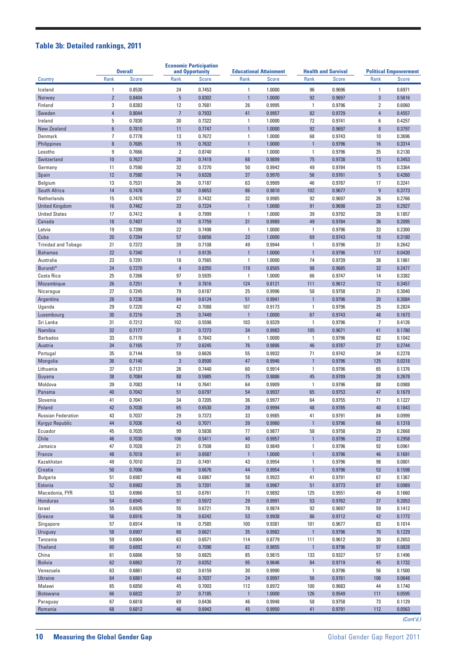## **Table 3b: Detailed rankings, 2011**

|                                      |                 | <b>Overall</b>   | <b>Economic Participation</b><br>and Opportunity |                  | <b>Educational Attainment</b> |                  |                     | <b>Health and Survival</b> |                      | <b>Political Empowerment</b> |
|--------------------------------------|-----------------|------------------|--------------------------------------------------|------------------|-------------------------------|------------------|---------------------|----------------------------|----------------------|------------------------------|
| Country                              | <b>Rank</b>     | <b>Score</b>     | <b>Rank</b>                                      | <b>Score</b>     | Rank                          | <b>Score</b>     | Rank                | <b>Score</b>               | Rank                 | <b>Score</b>                 |
| Iceland                              | $\mathbf{1}$    | 0.8530           |                                                  | 0.7453           | 1                             | 1.0000           |                     | 0.9696                     | $\mathbf{1}$         |                              |
| Norway                               | $\overline{2}$  | 0.8404           | 24<br>$5\phantom{.0}$                            | 0.8302           | $\mathbf{1}$                  | 1.0000           | 96<br>92            | 0.9697                     | $\mathbf{3}$         | 0.6971<br>0.5616             |
| Finland                              | 3               | 0.8383           | 12                                               | 0.7681           | 26                            | 0.9995           | $\mathbf{1}$        | 0.9796                     | $\overline{2}$       | 0.6060                       |
| Sweden                               | 4               | 0.8044           | $\overline{7}$                                   | 0.7933           | 41                            | 0.9957           | 82                  | 0.9729                     | $\overline{4}$       | 0.4557                       |
| Ireland                              | 5               | 0.7830           | 30                                               | 0.7322           | 1                             | 1.0000           | 72                  | 0.9741                     | 6                    | 0.4257                       |
| <b>New Zealand</b>                   | $6\overline{6}$ | 0.7810           | 11                                               | 0.7747           | $\overline{1}$                | 1.0000           | 92                  | 0.9697                     | 8                    | 0.3797                       |
| Denmark                              | 7               | 0.7778           | 13                                               | 0.7672           | 1                             | 1.0000           | 68                  | 0.9743                     | 10                   | 0.3696                       |
| <b>Philippines</b>                   | 8               | 0.7685           | 15                                               | 0.7632           | $\overline{1}$                | 1.0000           | $\mathbf{1}$        | 0.9796                     | 16                   | 0.3314                       |
| Lesotho                              | 9               | 0.7666           | $\overline{2}$                                   | 0.8740           | 1                             | 1.0000           | $\mathbf{1}$        | 0.9796                     | 35                   | 0.2130                       |
| Switzerland                          | 10              | 0.7627           | 28                                               | 0.7419           | 68                            | 0.9899           | 75                  | 0.9738                     | 13                   | 0.3453                       |
| Germany                              | 11              | 0.7590           | 32                                               | 0.7270           | 50                            | 0.9942           | 49                  | 0.9784                     | 15                   | 0.3364                       |
| Spain                                | 12              | 0.7580           | 74                                               | 0.6328           | 37                            | 0.9970           | 56                  | 0.9761                     | $5\phantom{.0}$      | 0.4260                       |
| Belgium                              | 13              | 0.7531           | 36                                               | 0.7187           | 63                            | 0.9909           | 46                  | 0.9787                     | 17                   | 0.3241                       |
| South Africa                         | 14              | 0.7478           | 58                                               | 0.6653           | 86                            | 0.9810           | 102                 | 0.9677                     | 9                    | 0.3773                       |
| Netherlands<br><b>United Kingdom</b> | 15<br>16        | 0.7470<br>0.7462 | 27<br>33                                         | 0.7432<br>0.7224 | 32<br>$\mathbf{1}$            | 0.9985<br>1.0000 | 92<br>91            | 0.9697<br>0.9698           | 26<br>23             | 0.2766<br>0.2927             |
| <b>United States</b>                 | 17              | 0.7412           | 6                                                | 0.7999           | 1                             | 1.0000           | 39                  | 0.9792                     | 39                   | 0.1857                       |
| Canada                               | 18              | 0.7407           | 10                                               | 0.7759           | 31                            | 0.9989           | 49                  | 0.9784                     | 36                   | 0.2095                       |
| Latvia                               | 19              | 0.7399           | 22                                               | 0.7498           | 1                             | 1.0000           | $\mathbf{1}$        | 0.9796                     | 33                   | 0.2300                       |
| Cuba                                 | 20              | 0.7394           | 57                                               | 0.6656           | 23                            | 1.0000           | 69                  | 0.9743                     | 18                   | 0.3180                       |
| <b>Trinidad and Tobago</b>           | 21              | 0.7372           | 39                                               | 0.7108           | 49                            | 0.9944           | $\mathbf{1}$        | 0.9796                     | 31                   | 0.2642                       |
| <b>Bahamas</b>                       | 22              | 0.7340           | $\mathbf{1}$                                     | 0.9135           | $\overline{1}$                | 1.0000           | $\mathbf{1}$        | 0.9796                     | 117                  | 0.0430                       |
| Australia                            | 23              | 0.7291           | 18                                               | 0.7565           | 1                             | 1.0000           | 74                  | 0.9739                     | 38                   | 0.1861                       |
| Burundi*                             | 24              | 0.7270           | $\overline{4}$                                   | 0.8355           | 119                           | 0.8565           | 98                  | 0.9685                     | 32                   | 0.2477                       |
| Costa Rica                           | 25              | 0.7266           | 97                                               | 0.5935           | 1                             | 1.0000           | 66                  | 0.9747                     | 14                   | 0.3382                       |
| Mozambique                           | 26              | 0.7251           | 9                                                | 0.7816           | 124                           | 0.8121           | 111                 | 0.9612                     | 12                   | 0.3457                       |
| Nicaragua                            | 27              | 0.7245           | 79                                               | 0.6187           | 25                            | 0.9996           | 58                  | 0.9758                     | 21                   | 0.3040                       |
| Argentina                            | 28              | 0.7236           | 84                                               | 0.6124           | 51                            | 0.9941           |                     | 0.9796                     | 20                   | 0.3084                       |
| Uganda                               | 29              | 0.7220           | 42                                               | 0.7088           | 107<br>$\mathbf{1}$           | 0.9173           | $\mathbf{1}$<br>67  | 0.9796                     | 25                   | 0.2824                       |
| Luxembourg<br>Sri Lanka              | 30<br>31        | 0.7216<br>0.7212 | 25<br>102                                        | 0.7449<br>0.5598 | 103                           | 1.0000<br>0.9329 | $\mathbf{1}$        | 0.9743<br>0.9796           | 48<br>$\overline{7}$ | 0.1673<br>0.4126             |
| Namibia                              | 32              | 0.7177           | 31                                               | 0.7273           | 34                            | 0.9983           | 105                 | 0.9671                     | 41                   | 0.1780                       |
| <b>Barbados</b>                      | 33              | 0.7170           | 8                                                | 0.7843           | 1                             | 1.0000           | $\mathbf{1}$        | 0.9796                     | 82                   | 0.1042                       |
| Austria                              | 34              | 0.7165           | 77                                               | 0.6245           | 76                            | 0.9886           | 46                  | 0.9787                     | 27                   | 0.2744                       |
| Portugal                             | 35              | 0.7144           | 59                                               | 0.6626           | 55                            | 0.9932           | 71                  | 0.9742                     | 34                   | 0.2278                       |
| Mongolia                             | 36              | 0.7140           | 3                                                | 0.8500           | 47                            | 0.9946           |                     | 0.9796                     | 125                  | 0.0318                       |
| Lithuania                            | 37              | 0.7131           | 26                                               | 0.7440           | 60                            | 0.9914           | $\mathbf{1}$        | 0.9796                     | 65                   | 0.1376                       |
| Guyana                               | 38              | 0.7084           | 88                                               | 0.5985           | 75                            | 0.9886           | 45                  | 0.9789                     | 28                   | 0.2678                       |
| Moldova                              | 39              | 0.7083           | 14                                               | 0.7641           | 64                            | 0.9909           | $\mathbf{1}$        | 0.9796                     | 88                   | 0.0988                       |
| Panama                               | 40              | 0.7042           | 51                                               | 0.6797           | 54                            | 0.9937           | 65                  | 0.9753                     | 47                   | 0.1679                       |
| Slovenia                             | 41              | 0.7041           | 34                                               | 0.7205           | 36                            | 0.9977           | 64                  | 0.9755                     | 71                   | 0.1227                       |
| Poland                               | 42              | 0.7038           | 65                                               | 0.6530           | 28                            | 0.9994           | 48                  | 0.9785                     | 40                   | 0.1843                       |
| <b>Russian Federation</b>            | 43              | 0.7037           | 29                                               | 0.7373           | 33                            | 0.9985           | 41<br>$\mathbf{1}$  | 0.9791                     | 84                   | 0.0999                       |
| Kyrgyz Republic<br>Ecuador           | 44<br>45        | 0.7036<br>0.7035 | 43<br>99                                         | 0.7071<br>0.5838 | 39<br>77                      | 0.9960<br>0.9877 | 58                  | 0.9796<br>0.9758           | 68<br>29             | 0.1318<br>0.2668             |
| Chile                                | 46              | 0.7030           | 106                                              | 0.5411           | 40                            | 0.9957           | $\mathbf{1}$        | 0.9796                     | 22                   | 0.2958                       |
| Jamaica                              | 47              | 0.7028           | 21                                               | 0.7508           | 83                            | 0.9849           | 1                   | 0.9796                     | 92                   | 0.0961                       |
| France                               | 48              | 0.7018           | 61                                               | 0.6587           | $\mathbf{1}$                  | 1.0000           | $\mathbf{1}$        | 0.9796                     | 46                   | 0.1691                       |
| Kazakhstan                           | 49              | 0.7010           | 23                                               | 0.7491           | 43                            | 0.9954           | $\mathbf{1}$        | 0.9796                     | 98                   | 0.0801                       |
| Croatia                              | 50              | 0.7006           | 56                                               | 0.6676           | 44                            | 0.9954           | $\overline{1}$      | 0.9796                     | 53                   | 0.1598                       |
| <b>Bulgaria</b>                      | 51              | 0.6987           | 48                                               | 0.6867           | 58                            | 0.9923           | 41                  | 0.9791                     | 67                   | 0.1367                       |
| Estonia                              | 52              | 0.6983           | 35                                               | 0.7201           | 38                            | 0.9967           | 51                  | 0.9773                     | 87                   | 0.0989                       |
| Macedonia, FYR                       | 53              | 0.6966           | 53                                               | 0.6761           | 71                            | 0.9892           | 125                 | 0.9551                     | 49                   | 0.1660                       |
| Honduras                             | 54              | 0.6945           | 91                                               | 0.5972           | 29                            | 0.9991           | 53                  | 0.9762                     | 37                   | 0.2053                       |
| Israel                               | 55              | 0.6926           | 55                                               | 0.6721           | 78                            | 0.9874           | 92                  | 0.9697                     | 59                   | 0.1412                       |
| Greece                               | 56              | 0.6916           | 78                                               | 0.6242           | 53                            | 0.9938           | 86                  | 0.9712                     | 42                   | 0.1772                       |
| Singapore                            | 57              | 0.6914           | 16                                               | 0.7585           | 100                           | 0.9381           | 101                 | 0.9677                     | 83                   | 0.1014                       |
| Uruguay                              | 58              | 0.6907<br>0.6904 | 60                                               | 0.6621           | 35                            | 0.9982<br>0.8779 | $\overline{1}$      | 0.9796                     | $70$                 | 0.1229<br>0.2653             |
| Tanzania<br><b>Thailand</b>          | 59<br>60        | 0.6892           | 63<br>41                                         | 0.6571<br>0.7090 | 114<br>82                     | 0.9855           | 111<br>$\mathbf{1}$ | 0.9612<br>0.9796           | 30<br>97             | 0.0828                       |
| China                                | 61              | 0.6866           | 50                                               | 0.6825           | 85                            | 0.9815           | 133                 | 0.9327                     | 57                   | 0.1496                       |
| <b>Bolivia</b>                       | 62              | 0.6862           | 72                                               | 0.6352           | 95                            | 0.9646           | 84                  | 0.9719                     | 45                   | 0.1732                       |
| Venezuela                            | 63              | 0.6861           | 82                                               | 0.6159           | 30                            | 0.9990           | $\mathbf{1}$        | 0.9796                     | 56                   | 0.1500                       |
| <b>Ukraine</b>                       | 64              | 0.6861           | 44                                               | 0.7037           | 24                            | 0.9997           | 56                  | 0.9761                     | 106                  | 0.0648                       |
| Malawi                               | 65              | 0.6850           | 45                                               | 0.7003           | 112                           | 0.8972           | 100                 | 0.9683                     | 44                   | 0.1740                       |
| <b>Botswana</b>                      | 66              | 0.6832           | 37                                               | 0.7185           | $\mathbf{1}$                  | 1.0000           | 126                 | 0.9549                     | 111                  | 0.0595                       |
| Paraguay                             | 67              | 0.6818           | 69                                               | 0.6436           | 46                            | 0.9948           | 58                  | 0.9758                     | 73                   | 0.1129                       |
| Romania                              | 68              | 0.6812           | 46                                               | 0.6943           | 45                            | 0.9950           | 41                  | 0.9791                     | 112                  | 0.0563                       |

*(Cont'd.)*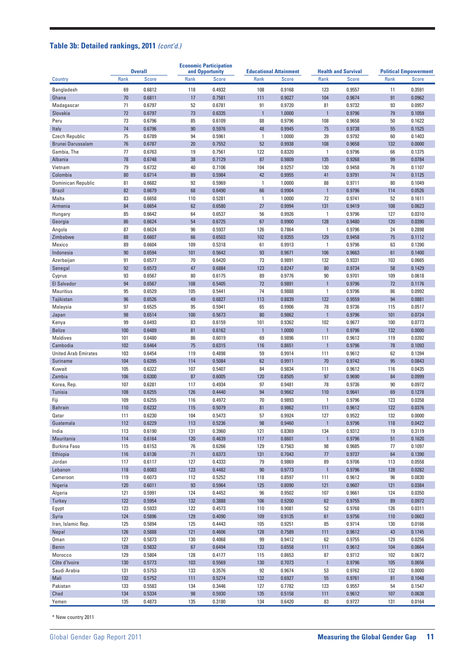## **Table 3b: Detailed rankings, 2011** *(cont'd.)*

|                                         |            | <b>Overall</b>   |            | <b>Economic Participation</b><br>and Opportunity | <b>Educational Attainment</b> |                  |                       | <b>Health and Survival</b> |           | <b>Political Empowerment</b> |
|-----------------------------------------|------------|------------------|------------|--------------------------------------------------|-------------------------------|------------------|-----------------------|----------------------------|-----------|------------------------------|
| Country                                 | Rank       | <b>Score</b>     | Rank       | <b>Score</b>                                     | Rank                          | <b>Score</b>     | Rank                  | <b>Score</b>               | Rank      | <b>Score</b>                 |
|                                         |            |                  |            |                                                  |                               |                  |                       |                            |           |                              |
| Bangladesh<br>Ghana                     | 69<br>70   | 0.6812<br>0.6811 | 118<br>17  | 0.4932<br>0.7581                                 | 108<br>111                    | 0.9168<br>0.9027 | 123<br>104            | 0.9557<br>0.9674           | 11<br>91  | 0.3591<br>0.0962             |
| Madagascar                              | 71         | 0.6797           | 52         | 0.6781                                           | 91                            | 0.9720           | 81                    | 0.9732                     | 93        | 0.0957                       |
| Slovakia                                | 72         | 0.6797           | 73         | 0.6335                                           | $\mathbf{1}$                  | 1.0000           |                       | 0.9796                     | 79        | 0.1059                       |
| Peru                                    | 73         | 0.6796           | 85         | 0.6109                                           | 88                            | 0.9796           | 108                   | 0.9658                     | 50        | 0.1622                       |
| Italy                                   | 74         | 0.6796           | 90         | 0.5976                                           | 48                            | 0.9945           | 75                    | 0.9738                     | 55        | 0.1525                       |
| <b>Czech Republic</b>                   | 75         | 0.6789           | 94         | 0.5961                                           | $\mathbf{1}$                  | 1.0000           | 39                    | 0.9792                     | 60        | 0.1403                       |
| Brunei Darussalam                       | 76         | 0.6787           | 20         | 0.7552                                           | 52                            | 0.9938           | 108                   | 0.9658                     | 132       | 0.0000                       |
| Gambia, The                             | 77         | 0.6763           | 19         | 0.7561                                           | 122                           | 0.8320           | $\mathbf{1}$          | 0.9796                     | 66        | 0.1375                       |
| Albania                                 | 78         | 0.6748           | 38         | 0.7129                                           | 87                            | 0.9809           | 135                   | 0.9268                     | 99        | 0.0784                       |
| Vietnam                                 | 79         | 0.6732           | 40         | 0.7106                                           | 104                           | 0.9257           | 130                   | 0.9458                     | 76        | 0.1107                       |
| Colombia                                | 80         | 0.6714           | 89         | 0.5984                                           | 42                            | 0.9955           | 41                    | 0.9791                     | 74        | 0.1125                       |
| Dominican Republic                      | 81         | 0.6682           | 92         | 0.5969                                           | $\mathbf{1}$                  | 1.0000           | 88                    | 0.9711                     | 80        | 0.1049                       |
| <b>Brazil</b>                           | 82         | 0.6679           | 68         | 0.6490                                           | 66                            | 0.9904           | $\mathbf{1}$          | 0.9796                     | 114       | 0.0526                       |
| Malta                                   | 83         | 0.6658           | 110        | 0.5281                                           | $\mathbf{1}$                  | 1.0000           | 72                    | 0.9741                     | 52        | 0.1611                       |
| Armenia                                 | 84         | 0.6654           | 62         | 0.6580                                           | 27                            | 0.9994           | 131                   | 0.9419                     | 108       | 0.0623                       |
| Hungary                                 | 85<br>86   | 0.6642<br>0.6624 | 64<br>54   | 0.6537                                           | 56<br>67                      | 0.9926<br>0.9900 | $\overline{1}$<br>128 | 0.9796                     | 127       | 0.0310                       |
| Georgia<br>Angola                       | 87         | 0.6624           | 96         | 0.6725<br>0.5937                                 | 126                           | 0.7864           | $\overline{1}$        | 0.9480<br>0.9796           | 120<br>24 | 0.0390<br>0.2898             |
| Zimbabwe                                | 88         | 0.6607           | 66         | 0.6503                                           | 102                           | 0.9355           | 129                   | 0.9458                     | 75        | 0.1112                       |
| Mexico                                  | 89         | 0.6604           | 109        | 0.5318                                           | 61                            | 0.9913           | $\overline{1}$        | 0.9796                     | 63        | 0.1390                       |
| Indonesia                               | 90         | 0.6594           | 101        | 0.5642                                           | 93                            | 0.9671           | 106                   | 0.9663                     | 61        | 0.1400                       |
| Azerbaijan                              | 91         | 0.6577           | 70         | 0.6420                                           | 73                            | 0.9891           | 132                   | 0.9331                     | 103       | 0.0665                       |
| Senegal                                 | 92         | 0.6573           | 47         | 0.6884                                           | 123                           | 0.8247           | 80                    | 0.9734                     | 58        | 0.1429                       |
| Cyprus                                  | 93         | 0.6567           | 80         | 0.6175                                           | 89                            | 0.9776           | 90                    | 0.9701                     | 109       | 0.0618                       |
| <b>El Salvador</b>                      | 94         | 0.6567           | 108        | 0.5405                                           | 72                            | 0.9891           |                       | 0.9796                     | 72        | 0.1176                       |
| <b>Mauritius</b>                        | 95         | 0.6529           | 105        | 0.5441                                           | 74                            | 0.9888           | $\mathbf{1}$          | 0.9796                     | 86        | 0.0992                       |
| Tajikistan                              | 96         | 0.6526           | 49         | 0.6827                                           | 113                           | 0.8839           | 122                   | 0.9559                     | 94        | 0.0881                       |
| Malaysia                                | 97         | 0.6525           | 95         | 0.5941                                           | 65                            | 0.9906           | 78                    | 0.9736                     | 115       | 0.0517                       |
| Japan                                   | 98         | 0.6514           | 100        | 0.5673                                           | 80                            | 0.9862           | $\mathbf{1}$          | 0.9796                     | 101       | 0.0724                       |
| Kenya                                   | 99         | 0.6493           | 83         | 0.6159                                           | 101                           | 0.9362           | 102                   | 0.9677                     | 100       | 0.0773                       |
| <b>Belize</b>                           | 100        | 0.6489           | 81         | 0.6162                                           | $\overline{1}$                | 1.0000           | $\overline{1}$        | 0.9796                     | 132       | 0.0000                       |
| <b>Maldives</b>                         | 101        | 0.6480           | 86         | 0.6019                                           | 69                            | 0.9896           | 111                   | 0.9612                     | 119       | 0.0392                       |
| Cambodia                                | 102        | 0.6464           | 75         | 0.6315                                           | 116                           | 0.8651           |                       | 0.9796                     | 78        | 0.1093                       |
| <b>United Arab Emirates</b><br>Suriname | 103<br>104 | 0.6454<br>0.6395 | 119<br>114 | 0.4898<br>0.5084                                 | 59<br>62                      | 0.9914<br>0.9911 | 111<br>70             | 0.9612<br>0.9742           | 62<br>95  | 0.1394<br>0.0843             |
| Kuwait                                  | 105        | 0.6322           | 107        | 0.5407                                           | 84                            | 0.9834           | 111                   | 0.9612                     | 116       | 0.0435                       |
| Zambia                                  | 106        | 0.6300           | 87         | 0.6005                                           | 120                           | 0.8505           | 97                    | 0.9690                     | 84        | 0.0999                       |
| Korea, Rep.                             | 107        | 0.6281           | 117        | 0.4934                                           | 97                            | 0.9481           | 78                    | 0.9736                     | 90        | 0.0972                       |
| Tunisia                                 | 108        | 0.6255           | 126        | 0.4440                                           | 94                            | 0.9662           | 110                   | 0.9641                     | 69        | 0.1278                       |
| Fiji                                    | 109        | 0.6255           | 116        | 0.4972                                           | 70                            | 0.9893           | $\overline{1}$        | 0.9796                     | 123       | 0.0358                       |
| <b>Bahrain</b>                          | 110        | 0.6232           | 115        | 0.5079                                           | 81                            | 0.9862           | 111                   | 0.9612                     | 122       | 0.0376                       |
| Qatar                                   | 111        | 0.6230           | 104        | 0.5473                                           | 57                            | 0.9924           | 127                   | 0.9522                     | 132       | 0.0000                       |
| Guatemala                               | 112        | 0.6229           | 113        | 0.5236                                           | 98                            | 0.9460           | $\mathbf{1}$          | 0.9796                     | 118       | 0.0422                       |
| India                                   | 113        | 0.6190           | 131        | 0.3960                                           | 121                           | 0.8369           | 134                   | 0.9312                     | 19        | 0.3119                       |
| Mauritania                              | 114        | 0.6164           | 120        | 0.4639                                           | 117                           | 0.8601           | $\overline{1}$        | 0.9796                     | 51        | 0.1620                       |
| Burkina Faso                            | 115        | 0.6153           | 76         | 0.6266                                           | 129                           | 0.7563           | 98                    | 0.9685                     | 77        | 0.1097                       |
| Ethiopia                                | 116        | 0.6136           | 71         | 0.6373                                           | 131                           | 0.7043           | 77                    | 0.9737                     | 64        | 0.1390                       |
| Jordan                                  | 117        | 0.6117           | 127        | 0.4333                                           | 79                            | 0.9869           | 89                    | 0.9706                     | 113       | 0.0558                       |
| Lebanon                                 | 118        | 0.6083           | 123        | 0.4482                                           | 90                            | 0.9773           | $\overline{1}$        | 0.9796                     | 128       | 0.0282<br>0.0830             |
| Cameroon<br>Nigeria                     | 119<br>120 | 0.6073<br>0.6011 | 112<br>93  | 0.5252<br>0.5964                                 | 118<br>125                    | 0.8597<br>0.8090 | 111<br>121            | 0.9612<br>0.9607           | 96<br>121 | 0.0384                       |
| Algeria                                 | 121        | 0.5991           | 124        | 0.4452                                           | 96                            | 0.9502           | 107                   | 0.9661                     | 124       | 0.0350                       |
| Turkey                                  | 122        | 0.5954           | 132        | 0.3888                                           | 106                           | 0.9200           | 62                    | 0.9755                     | 89        | 0.0972                       |
| Egypt                                   | 123        | 0.5933           | 122        | 0.4573                                           | 110                           | 0.9081           | 52                    | 0.9768                     | 126       | 0.0311                       |
| Syria                                   | 124        | 0.5896           | 129        | 0.4090                                           | 109                           | 0.9135           | 61                    | 0.9756                     | 110       | 0.0603                       |
| Iran, Islamic Rep.                      | 125        | 0.5894           | 125        | 0.4443                                           | 105                           | 0.9251           | 85                    | 0.9714                     | 130       | 0.0166                       |
| Nepal                                   | 126        | 0.5888           | 121        | 0.4606                                           | 128                           | 0.7589           | 111                   | 0.9612                     | 43        | 0.1745                       |
| Oman                                    | 127        | 0.5873           | 130        | 0.4068                                           | 99                            | 0.9412           | 62                    | 0.9755                     | 129       | 0.0256                       |
| <b>Benin</b>                            | 128        | 0.5832           | 67         | 0.6494                                           | 133                           | 0.6558           | 111                   | 0.9612                     | 104       | 0.0664                       |
| Morocco                                 | 129        | 0.5804           | 128        | 0.4177                                           | 115                           | 0.8653           | 87                    | 0.9712                     | 102       | 0.0672                       |
| Côte d'Ivoire                           | 130        | 0.5773           | 103        | 0.5569                                           | 130                           | 0.7073           | $\overline{1}$        | 0.9796                     | 105       | 0.0656                       |
| Saudi Arabia                            | 131        | 0.5753           | 133        | 0.3576                                           | 92                            | 0.9674           | 53                    | 0.9762                     | 132       | 0.0000                       |
| Mali                                    | 132        | 0.5752           | 111        | 0.5274                                           | 132                           | 0.6927           | 55                    | 0.9761                     | 81        | 0.1048                       |
| Pakistan                                | 133        | 0.5583           | 134        | 0.3446                                           | 127                           | 0.7782           | 123                   | 0.9557                     | 54        | 0.1547                       |
| Chad                                    | 134        | 0.5334           | 98         | 0.5930                                           | 135                           | 0.5158           | 111                   | 0.9612                     | 107       | 0.0638                       |
| Yemen                                   | 135        | 0.4873           | 135        | 0.3180                                           | 134                           | 0.6420           | 83                    | 0.9727                     | 131       | 0.0164                       |

\* New country 2011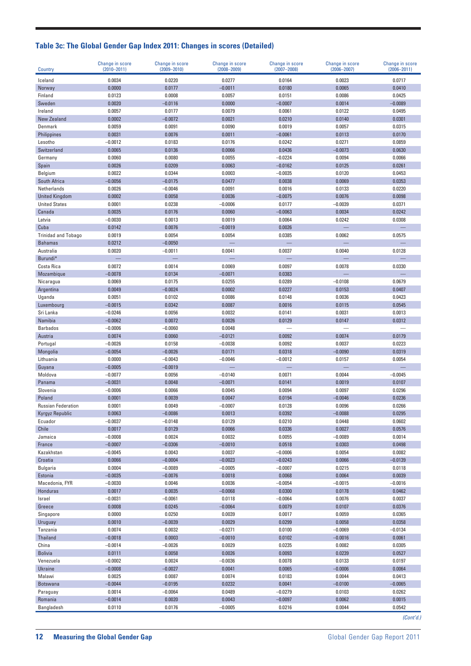## **Table 3c: The Global Gender Gap Index 2011: Changes in scores (Detailed)**

| Country                                      | Change in score<br>$(2010 - 2011)$ | Change in score<br>$(2009 - 2010)$ | Change in score<br>$(2008 - 2009)$ | Change in score<br>$(2007 - 2008)$ | Change in score<br>$(2006 - 2007)$ | Change in score<br>$(2006 - 2011)$ |
|----------------------------------------------|------------------------------------|------------------------------------|------------------------------------|------------------------------------|------------------------------------|------------------------------------|
| Iceland                                      | 0.0034                             | 0.0220                             | 0.0277                             | 0.0164                             | 0.0023                             | 0.0717                             |
| Norway                                       | 0.0000                             | 0.0177                             | $-0.0011$                          | 0.0180                             | 0.0065                             | 0.0410                             |
| Finland                                      | 0.0123                             | 0.0008                             | 0.0057                             | 0.0151                             | 0.0086                             | 0.0425                             |
| Sweden                                       | 0.0020                             | $-0.0116$                          | 0.0000                             | $-0.0007$                          | 0.0014                             | $-0.0089$                          |
| Ireland                                      | 0.0057                             | 0.0177                             | 0.0079                             | 0.0061                             | 0.0122                             | 0.0495                             |
| <b>New Zealand</b>                           | 0.0002                             | $-0.0072$                          | 0.0021                             | 0.0210                             | 0.0140                             | 0.0301                             |
| Denmark                                      | 0.0059                             | 0.0091                             | 0.0090                             | 0.0019                             | 0.0057                             | 0.0315                             |
| Philippines                                  | 0.0031                             | 0.0076                             | 0.0011                             | $-0.0061$                          | 0.0113                             | 0.0170                             |
| Lesotho<br>Switzerland                       | $-0.0012$<br>0.0065                | 0.0183<br>0.0136                   | 0.0176<br>0.0066                   | 0.0242<br>0.0436                   | 0.0271<br>$-0.0073$                | 0.0859<br>0.0630                   |
| Germany                                      | 0.0060                             | 0.0080                             | 0.0055                             | $-0.0224$                          | 0.0094                             | 0.0066                             |
| Spain                                        | 0.0026                             | 0.0209                             | 0.0063                             | $-0.0162$                          | 0.0125                             | 0.0261                             |
| Belgium                                      | 0.0022                             | 0.0344                             | 0.0003                             | $-0.0035$                          | 0.0120                             | 0.0453                             |
| South Africa                                 | $-0.0056$                          | $-0.0175$                          | 0.0477                             | 0.0038                             | 0.0069                             | 0.0353                             |
| Netherlands                                  | 0.0026                             | $-0.0046$                          | 0.0091                             | 0.0016                             | 0.0133                             | 0.0220                             |
| <b>United Kingdom</b>                        | 0.0002                             | 0.0058                             | 0.0036                             | $-0.0075$                          | 0.0076                             | 0.0098                             |
| <b>United States</b>                         | 0.0001                             | 0.0238                             | $-0.0006$                          | 0.0177                             | $-0.0039$                          | 0.0371                             |
| Canada                                       | 0.0035                             | 0.0176                             | 0.0060                             | $-0.0063$                          | 0.0034                             | 0.0242                             |
| Latvia                                       | $-0.0030$                          | 0.0013                             | 0.0019                             | 0.0064                             | 0.0242                             | 0.0308                             |
| Cuba                                         | 0.0142                             | 0.0076                             | $-0.0019$                          | 0.0026                             |                                    |                                    |
| <b>Trinidad and Tobago</b><br><b>Bahamas</b> | 0.0019<br>0.0212                   | 0.0054<br>$-0.0050$                | 0.0054                             | 0.0385                             | 0.0062                             | 0.0575                             |
| Australia                                    | 0.0020                             | $-0.0011$                          | 0.0041                             | 0.0037                             | 0.0040                             | 0.0128                             |
| Burundi*                                     |                                    |                                    |                                    |                                    |                                    |                                    |
| Costa Rica                                   | 0.0072                             | 0.0014                             | 0.0069                             | 0.0097                             | 0.0078                             | 0.0330                             |
| Mozambique                                   | $-0.0078$                          | 0.0134                             | $-0.0071$                          | 0.0383                             |                                    |                                    |
| Nicaragua                                    | 0.0069                             | 0.0175                             | 0.0255                             | 0.0289                             | $-0.0108$                          | 0.0679                             |
| Argentina                                    | 0.0049                             | $-0.0024$                          | 0.0002                             | 0.0227                             | 0.0153                             | 0.0407                             |
| Uganda                                       | 0.0051                             | 0.0102                             | 0.0086                             | 0.0148                             | 0.0036                             | 0.0423                             |
| Luxembourg                                   | $-0.0015$                          | 0.0342                             | 0.0087                             | 0.0016                             | 0.0115                             | 0.0545                             |
| Sri Lanka                                    | $-0.0246$                          | 0.0056                             | 0.0032                             | 0.0141                             | 0.0031                             | 0.0013                             |
| Namibia<br><b>Barbados</b>                   | $-0.0062$<br>$-0.0006$             | 0.0072<br>$-0.0060$                | 0.0026<br>0.0048                   | 0.0129<br>$\overline{\phantom{0}}$ | 0.0147                             | 0.0312                             |
| Austria                                      | 0.0074                             | 0.0060                             | $-0.0121$                          | 0.0092                             | 0.0074                             | 0.0179                             |
| Portugal                                     | $-0.0026$                          | 0.0158                             | $-0.0038$                          | 0.0092                             | 0.0037                             | 0.0223                             |
| Mongolia                                     | $-0.0054$                          | $-0.0026$                          | 0.0171                             | 0.0318                             | $-0.0090$                          | 0.0319                             |
| Lithuania                                    | 0.0000                             | $-0.0043$                          | $-0.0046$                          | $-0.0012$                          | 0.0157                             | 0.0054                             |
| Guyana                                       | $-0.0005$                          | $-0.0019$                          |                                    |                                    |                                    |                                    |
| Moldova                                      | $-0.0077$                          | 0.0056                             | $-0.0140$                          | 0.0071                             | 0.0044                             | $-0.0045$                          |
| Panama                                       | $-0.0031$                          | 0.0048                             | $-0.0071$                          | 0.0141                             | 0.0019                             | 0.0107                             |
| Slovenia                                     | $-0.0006$                          | 0.0066                             | 0.0045                             | 0.0094                             | 0.0097                             | 0.0296                             |
| Poland                                       | 0.0001                             | 0.0039                             | 0.0047                             | 0.0194                             | $-0.0046$                          | 0.0236                             |
| <b>Russian Federation</b><br>Kyrgyz Republic | 0.0001<br>0.0063                   | 0.0049<br>$-0.0086$                | $-0.0007$<br>0.0013                | 0.0128<br>0.0392                   | 0.0096<br>$-0.0088$                | 0.0266<br>0.0295                   |
| Ecuador                                      | $-0.0037$                          | $-0.0148$                          | 0.0129                             | 0.0210                             | 0.0448                             | 0.0602                             |
| Chile                                        | 0.0017                             | 0.0129                             | 0.0066                             | 0.0336                             | 0.0027                             | 0.0576                             |
| Jamaica                                      | $-0.0008$                          | 0.0024                             | 0.0032                             | 0.0055                             | $-0.0089$                          | 0.0014                             |
| France                                       | $-0.0007$                          | $-0.0306$                          | $-0.0010$                          | 0.0518                             | 0.0303                             | 0.0498                             |
| Kazakhstan                                   | $-0.0045$                          | 0.0043                             | 0.0037                             | $-0.0006$                          | 0.0054                             | 0.0082                             |
| Croatia                                      | 0.0066                             | $-0.0004$                          | $-0.0023$                          | $-0.0243$                          | 0.0066                             | $-0.0139$                          |
| <b>Bulgaria</b>                              | 0.0004                             | $-0.0089$                          | $-0.0005$                          | $-0.0007$                          | 0.0215                             | 0.0118                             |
| Estonia                                      | $-0.0035$                          | $-0.0076$                          | 0.0018                             | 0.0068                             | 0.0064                             | 0.0039                             |
| Macedonia, FYR<br>Honduras                   | $-0.0030$<br>0.0017                | 0.0046<br>0.0035                   | 0.0036<br>$-0.0068$                | $-0.0054$<br>0.0300                | $-0.0015$<br>0.0178                | $-0.0016$<br>0.0462                |
| Israel                                       | $-0.0031$                          | $-0.0061$                          | 0.0118                             | $-0.0064$                          | 0.0076                             | 0.0037                             |
| Greece                                       | 0.0008                             | 0.0245                             | $-0.0064$                          | 0.0079                             | 0.0107                             | 0.0376                             |
| Singapore                                    | 0.0000                             | 0.0250                             | 0.0039                             | 0.0017                             | 0.0059                             | 0.0365                             |
| Uruguay                                      | 0.0010                             | $-0.0039$                          | 0.0029                             | 0.0299                             | 0.0058                             | 0.0358                             |
| Tanzania                                     | 0.0074                             | 0.0032                             | $-0.0271$                          | 0.0100                             | $-0.0069$                          | $-0.0134$                          |
| Thailand                                     | $-0.0018$                          | 0.0003                             | $-0.0010$                          | 0.0102                             | $-0.0016$                          | 0.0061                             |
| China                                        | $-0.0014$                          | $-0.0026$                          | 0.0029                             | 0.0235                             | 0.0082                             | 0.0305                             |
| <b>Bolivia</b>                               | 0.0111                             | 0.0058                             | 0.0026                             | 0.0093                             | 0.0239                             | 0.0527                             |
| Venezuela                                    | $-0.0002$                          | 0.0024                             | $-0.0036$                          | 0.0078                             | 0.0133                             | 0.0197                             |
| <b>Ukraine</b>                               | $-0.0008$                          | $-0.0027$                          | 0.0041                             | 0.0065                             | $-0.0006$                          | 0.0064                             |
| Malawi<br>Botswana                           | 0.0025<br>$-0.0044$                | 0.0087<br>$-0.0195$                | 0.0074<br>0.0232                   | 0.0183<br>0.0041                   | 0.0044<br>$-0.0100$                | 0.0413<br>$-0.0065$                |
| Paraguay                                     | 0.0014                             | $-0.0064$                          | 0.0489                             | $-0.0279$                          | 0.0103                             | 0.0262                             |
| Romania                                      | $-0.0014$                          | 0.0020                             | 0.0043                             | $-0.0097$                          | 0.0062                             | 0.0015                             |
| <b>Bangladesh</b>                            | 0.0110                             | 0.0176                             | $-0.0005$                          | 0.0216                             | 0.0044                             | 0.0542                             |
|                                              |                                    |                                    |                                    |                                    |                                    | (Cont'd.)                          |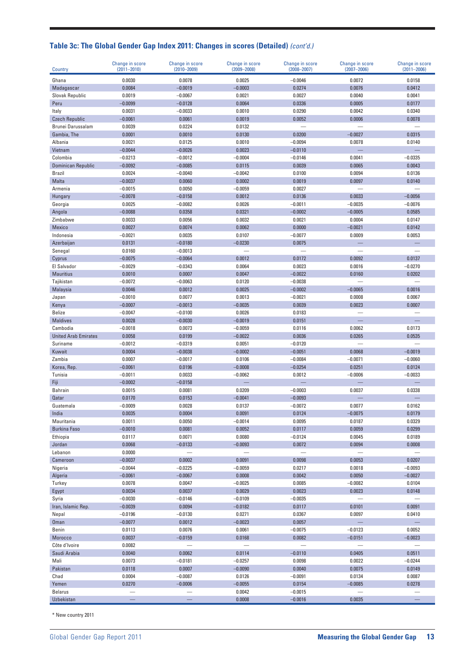## **Table 3c: The Global Gender Gap Index 2011: Changes in scores (Detailed)** *(cont'd.)*

| Country                                    | Change in score<br>$(2011 - 2010)$ | Change in score<br>$(2010 - 2009)$ | Change in score<br>$(2009 - 2008)$ | Change in score<br>$(2008 - 2007)$    | Change in score<br>$(2007 - 2006)$ | Change in score<br>$(2011 - 2006)$ |
|--------------------------------------------|------------------------------------|------------------------------------|------------------------------------|---------------------------------------|------------------------------------|------------------------------------|
| Ghana                                      | 0.0030                             | 0.0078                             | 0.0025                             | $-0.0046$                             | 0.0072                             | 0.0158                             |
| Madagascar                                 | 0.0084                             | $-0.0019$                          | $-0.0003$                          | 0.0274                                | 0.0076                             | 0.0412                             |
| <b>Slovak Republic</b>                     | 0.0019                             | $-0.0067$                          | 0.0021                             | 0.0027                                | 0.0040                             | 0.0041                             |
| Peru                                       | $-0.0099$                          | $-0.0128$                          | 0.0064                             | 0.0336                                | 0.0005                             | 0.0177                             |
| Italy                                      | 0.0031                             | $-0.0033$                          | 0.0010                             | 0.0290                                | 0.0042                             | 0.0340                             |
| <b>Czech Republic</b><br>Brunei Darussalam | $-0.0061$<br>0.0039                | 0.0061<br>0.0224                   | 0.0019<br>0.0132                   | 0.0052                                | 0.0006                             | 0.0078                             |
| Gambia, The                                | 0.0001                             | 0.0010                             | 0.0130                             | 0.0200                                | $-0.0027$                          | 0.0315                             |
| Albania                                    | 0.0021                             | 0.0125                             | 0.0010                             | $-0.0094$                             | 0.0078                             | 0.0140                             |
| Vietnam                                    | $-0.0044$                          | $-0.0026$                          | 0.0023                             | $-0.0110$                             |                                    |                                    |
| Colombia                                   | $-0.0213$                          | $-0.0012$                          | $-0.0004$                          | $-0.0146$                             | 0.0041                             | $-0.0335$                          |
| Dominican Republic                         | $-0.0092$                          | $-0.0085$                          | 0.0115                             | 0.0039                                | 0.0065                             | 0.0043                             |
| <b>Brazil</b>                              | 0.0024                             | $-0.0040$                          | $-0.0042$                          | 0.0100                                | 0.0094                             | 0.0136                             |
| Malta                                      | $-0.0037$                          | 0.0060                             | 0.0002                             | 0.0019                                | 0.0097                             | 0.0140                             |
| Armenia                                    | $-0.0015$                          | 0.0050                             | $-0.0059$                          | 0.0027                                |                                    |                                    |
| Hungary                                    | $-0.0078$                          | $-0.0158$                          | 0.0012                             | 0.0136                                | 0.0033                             | $-0.0056$                          |
| Georgia                                    | 0.0025<br>$-0.0088$                | $-0.0082$<br>0.0358                | 0.0026<br>0.0321                   | $-0.0011$<br>$-0.0002$                | $-0.0035$<br>$-0.0005$             | $-0.0076$<br>0.0585                |
| Angola<br>Zimbabwe                         | 0.0033                             | 0.0056                             | 0.0032                             | 0.0021                                | 0.0004                             | 0.0147                             |
| <b>Mexico</b>                              | 0.0027                             | 0.0074                             | 0.0062                             | 0.0000                                | $-0.0021$                          | 0.0142                             |
| Indonesia                                  | $-0.0021$                          | 0.0035                             | 0.0107                             | $-0.0077$                             | 0.0009                             | 0.0053                             |
| Azerbaijan                                 | 0.0131                             | $-0.0180$                          | $-0.0230$                          | 0.0075                                |                                    |                                    |
| Senegal                                    | 0.0160                             | $-0.0013$                          |                                    |                                       | $\overline{\phantom{0}}$           |                                    |
| Cyprus                                     | $-0.0075$                          | $-0.0064$                          | 0.0012                             | 0.0172                                | 0.0092                             | 0.0137                             |
| El Salvador                                | $-0.0029$                          | $-0.0343$                          | 0.0064                             | 0.0023                                | 0.0016                             | $-0.0270$                          |
| <b>Mauritius</b>                           | 0.0010                             | 0.0007                             | 0.0047                             | $-0.0022$                             | 0.0160                             | 0.0202                             |
| Tajikistan                                 | $-0.0072$                          | $-0.0063$                          | 0.0120                             | $-0.0038$                             |                                    |                                    |
| Malaysia                                   | 0.0046                             | 0.0012                             | 0.0025                             | $-0.0002$                             | $-0.0065$                          | 0.0016                             |
| Japan<br>Kenya                             | $-0.0010$<br>$-0.0007$             | 0.0077<br>$-0.0013$                | 0.0013<br>$-0.0035$                | $-0.0021$<br>0.0039                   | 0.0008<br>0.0023                   | 0.0067<br>0.0007                   |
| <b>Belize</b>                              | $-0.0047$                          | $-0.0100$                          | 0.0026                             | 0.0183                                | $\overline{\phantom{0}}$           |                                    |
| <b>Maldives</b>                            | 0.0028                             | $-0.0030$                          | $-0.0019$                          | 0.0151                                |                                    |                                    |
| Cambodia                                   | $-0.0018$                          | 0.0073                             | $-0.0059$                          | 0.0116                                | 0.0062                             | 0.0173                             |
| <b>United Arab Emirates</b>                | 0.0058                             | 0.0199                             | $-0.0022$                          | 0.0036                                | 0.0265                             | 0.0535                             |
| Suriname                                   | $-0.0012$                          | $-0.0319$                          | 0.0051                             | $-0.0120$                             | -                                  |                                    |
| Kuwait                                     | 0.0004                             | $-0.0038$                          | $-0.0002$                          | $-0.0051$                             | 0.0068                             | $-0.0019$                          |
| Zambia                                     | 0.0007                             | $-0.0017$                          | 0.0106                             | $-0.0084$                             | $-0.0071$                          | $-0.0060$                          |
| Korea, Rep.                                | $-0.0061$                          | 0.0196                             | $-0.0008$                          | $-0.0254$                             | 0.0251                             | 0.0124                             |
| Tunisia                                    | $-0.0011$<br>$-0.0002$             | 0.0033<br>$-0.0158$                | $-0.0062$                          | 0.0012                                | $-0.0006$                          | $-0.0033$                          |
| Fiji<br><b>Bahrain</b>                     | 0.0015                             | 0.0081                             | 0.0209                             | $-0.0003$                             | 0.0037                             | 0.0338                             |
| <b>Qatar</b>                               | 0.0170                             | 0.0153                             | $-0.0041$                          | $-0.0093$                             |                                    |                                    |
| Guatemala                                  | $-0.0009$                          | 0.0028                             | 0.0137                             | $-0.0072$                             | 0.0077                             | 0.0162                             |
| India                                      | 0.0035                             | 0.0004                             | 0.0091                             | 0.0124                                | $-0.0075$                          | 0.0179                             |
| Mauritania                                 | 0.0011                             | 0.0050                             | $-0.0014$                          | 0.0095                                | 0.0187                             | 0.0329                             |
| <b>Burkina Faso</b>                        | $-0.0010$                          | 0.0081                             | 0.0052                             | 0.0117                                | 0.0059                             | 0.0299                             |
| Ethiopia                                   | 0.0117                             | 0.0071                             | 0.0080                             | $-0.0124$                             | 0.0045                             | 0.0189                             |
| Jordan                                     | 0.0068                             | $-0.0133$                          | $-0.0093$                          | 0.0072                                | 0.0094                             | 0.0008                             |
| Lebanon                                    | 0.0000                             |                                    |                                    | $\overline{\phantom{0}}$              | $\overline{\phantom{0}}$           |                                    |
| Cameroon<br>Nigeria                        | $-0.0037$<br>$-0.0044$             | 0.0002<br>$-0.0225$                | 0.0091<br>$-0.0059$                | 0.0098<br>0.0217                      | 0.0053<br>0.0018                   | 0.0207<br>$-0.0093$                |
| Algeria                                    | $-0.0061$                          | $-0.0067$                          | 0.0008                             | 0.0042                                | 0.0050                             | $-0.0027$                          |
| Turkey                                     | 0.0078                             | 0.0047                             | $-0.0025$                          | 0.0085                                | $-0.0082$                          | 0.0104                             |
| Egypt                                      | 0.0034                             | 0.0037                             | 0.0029                             | 0.0023                                | 0.0023                             | 0.0148                             |
| Syria                                      | $-0.0030$                          | $-0.0146$                          | $-0.0109$                          | $-0.0035$                             | $\overline{\phantom{0}}$           |                                    |
| Iran, Islamic Rep.                         | $-0.0039$                          | 0.0094                             | $-0.0182$                          | 0.0117                                | 0.0101                             | 0.0091                             |
| Nepal                                      | $-0.0196$                          | $-0.0130$                          | 0.0271                             | 0.0367                                | 0.0097                             | 0.0410                             |
| <b>Oman</b>                                | $-0.0077$                          | 0.0012                             | $-0.0023$                          | 0.0057                                |                                    |                                    |
| Benin                                      | 0.0113                             | 0.0076                             | 0.0061                             | $-0.0075$                             | $-0.0123$                          | 0.0052                             |
| Morocco                                    | 0.0037                             | $-0.0159$                          | 0.0168                             | 0.0082                                | $-0.0151$                          | $-0.0023$                          |
| Côte d'Ivoire<br>Saudi Arabia              | 0.0082<br>0.0040                   | $\overline{\phantom{0}}$<br>0.0062 | 0.0114                             | $\overline{\phantom{0}}$<br>$-0.0110$ | $\overline{\phantom{0}}$<br>0.0405 | 0.0511                             |
| Mali                                       | 0.0073                             | $-0.0181$                          | $-0.0257$                          | 0.0098                                | 0.0022                             | $-0.0244$                          |
| Pakistan                                   | 0.0118                             | 0.0007                             | $-0.0090$                          | 0.0040                                | 0.0075                             | 0.0149                             |
| Chad                                       | 0.0004                             | $-0.0087$                          | 0.0126                             | $-0.0091$                             | 0.0134                             | 0.0087                             |
| Yemen                                      | 0.0270                             | $-0.0006$                          | $-0.0055$                          | 0.0154                                | $-0.0085$                          | 0.0278                             |
| <b>Belarus</b>                             |                                    | $\overline{\phantom{0}}$           | 0.0042                             | $-0.0015$                             |                                    |                                    |
| <b>Uzbekistan</b>                          |                                    |                                    | 0.0008                             | $-0.0016$                             | 0.0035                             |                                    |

\* New country 2011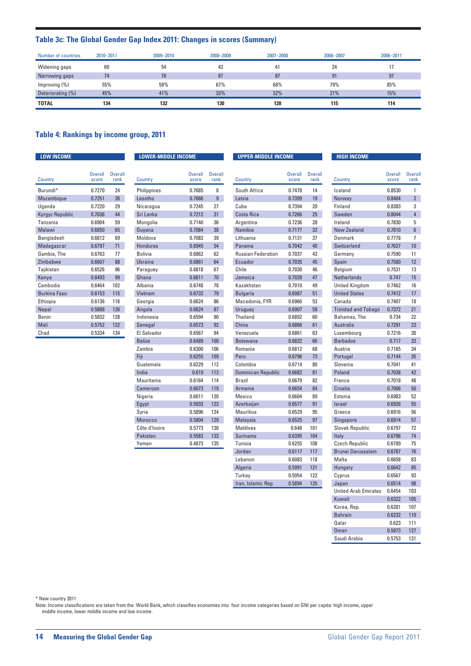## **Table 3c: The Global Gender Gap Index 2011: Changes in scores (Summary)**

| Number of countries | 2010-2011 | 2009-2010 | 2008-2009 | 2007-2008 | 2006-2007 | 2006-2011 |
|---------------------|-----------|-----------|-----------|-----------|-----------|-----------|
| Widening gaps       | 60        | 54        | 43        | 41        | 24        |           |
| Narrowing gaps      | 74        | 78        | 87        | 87        | 91        | 97        |
| Improving (%)       | 55%       | 59%       | 67%       | 68%       | 79%       | 85%       |
| Deteriorating (%)   | 45%       | 41%       | 33%       | 32%       | 21%       | 15%       |
| <b>TOTAL</b>        | 134       | 132       | 130       | 128       | 115       | 114       |

## **Table 4: Rankings by income group, 2011**

| <b>LOW INCOME</b>   |                         |                 |
|---------------------|-------------------------|-----------------|
|                     |                         |                 |
| <b>Country</b>      | <b>Overall</b><br>score | Overall<br>rank |
| Burundi*            | 0.7270                  | 24              |
| Mozambique          | 0.7251                  | 26              |
| Uganda              | በ 722በ                  | 29              |
| Kyrgyz Republic     | 0.7036                  | 44              |
| Tanzania            | 06904                   | 59              |
| Malawi              | 0.6850                  | 65              |
| Bangladesh          | 06812                   | 69              |
| Madagascar          | 0.6797                  | 71              |
| Gambia, The         | 0.6763                  | 77              |
| Zimbabwe            | 0.6607                  | 88              |
| Tajikistan          | 0.6526                  | 96              |
| Kenya               | 0.6493                  | 99              |
| Cambodia            | 0.6464                  | 102             |
| <b>Burkina Faso</b> | 0.6153                  | 115             |
| Ethiopia            | 0.6136                  | 116             |
| Nepal               | 0.5888                  | 126             |
| <b>Benin</b>        | 0.5832                  | 128             |
| Mali                | 0.5752                  | 132             |
| Chad                | 0.5334                  | 134             |

| Country         | Overall<br>score | <b>Overall</b><br>rank |
|-----------------|------------------|------------------------|
| Philippines     | 0.7685           | 8                      |
| Lesotho         | 0.7666           | $\overline{9}$         |
| Nicaragua       | 0.7245           | 27                     |
| Sri Lanka       | 07212            | 31                     |
| Mongolia        | 0.7140           | 36                     |
| Guyana          | 0.7084           | 38                     |
| Moldova         | 0.7083           | 39                     |
| <b>Honduras</b> | 0.6945           | 54                     |
| Bolivia         | 0.6862           | 62                     |
| Ukraine         | 0.6861           | 64                     |
| Paraguay        | 0.6818           | 67                     |
| Ghana           | 0.6811           | 70                     |
| Alhania         | 0.6748           | 78                     |
| Vietnam         | 0.6732           | 79                     |
| Georgia         | በ 6624           | 86                     |
| Angola          | 0.6624           | 87                     |
| Indonesia       | 0.6594           | 90                     |
| Senegal         | 0.6573           | 92                     |
| El Salvador     | 0.6567           | 94                     |
| <b>Belize</b>   | 0.6489           | 100                    |
| Zambia          | 0.6300           | 106                    |
| Fiii            | 0.6255           | 109                    |
| Guatemala       | 0.6229           | 112                    |
| India           | 0.619            | 113                    |
| Mauritania      | 0.6164           | 114                    |
| Cameroon        | 0.6073           | 119                    |
| Nigeria         | 0.6011           | 120                    |
| Egypt           | 0.5933           | 123                    |
| Syria           | 0.5896           | 124                    |
| <b>Morocco</b>  | 0.5804           | 129                    |
| Côte d'Ivoire   | 0.5773           | 130                    |
| Pakistan        | 0.5583           | 133                    |
| Yemen           | 0.4873           | 135                    |

| UPPER-MIDDLE INCOME       |                         |                        |
|---------------------------|-------------------------|------------------------|
|                           |                         |                        |
| <b>Country</b>            | <b>Overall</b><br>score | <b>Overall</b><br>rank |
| South Africa              | 0.7478                  | 14                     |
| Latvia                    | 0.7399                  | 19                     |
| Cuba                      | 0.7394                  | 20                     |
| Costa Rica                | 0.7266                  | 25                     |
| Argentina                 | 0.7236                  | 28                     |
| Namibia                   | 0.7177                  | 32                     |
| Lithuania                 | 0.7131                  | 37                     |
| Panama                    | 0.7042                  | 40                     |
| <b>Russian Federation</b> | 0.7037                  | 43                     |
| Ecuador                   | 0.7035                  | 45                     |
| Chile                     | 0.7030                  | 46                     |
| Jamaica                   | 0.7028                  | 47                     |
| Kazakhstan                | 0.7010                  | 49                     |
| <b>Bulgaria</b>           | 0.6987                  | 51                     |
| Macedonia, FYR            | 0.6966                  | 53                     |
| Uruguay                   | 0.6907                  | 58                     |
| Thailand                  | 0.6892                  | 60                     |
| China                     | 0.6866                  | 61                     |
| Venezuela                 | 0.6861                  | 63                     |
| <b>Botswana</b>           | 0.6832                  | 66                     |
| Romania                   | 0.6812                  | 68                     |
| Peru                      | 0.6796                  | 73                     |
| Colombia                  | 0.6714                  | 80                     |
| <b>Dominican Republic</b> | 0.6682                  | 81                     |
| Brazil                    | 0.6679                  | 82                     |
| Armenia                   | 0.6654                  | 84                     |
| Mexico                    | 0.6604                  | 89                     |
| Azerbaijan                | 0.6577                  | 91                     |
| <b>Mauritius</b>          | 0.6529                  | 95                     |
| Malaysia                  | 0.6525                  | 97                     |
| <b>Maldives</b>           | 0.648                   | 101                    |
| Suriname                  | 0.6395                  | 104                    |
| Tunisia                   | 0.6255                  | 108                    |
| Jordan                    | 0.6117                  | 117                    |
| Lebanon                   | 0.6083                  | 118                    |
| Algeria                   | 0.5991                  | 121                    |
| Turkey                    | 0.5954                  | 122                    |
| Iran, Islamic Rep.        | 0.5894                  | 125                    |

| <b>HIGH INCOME</b>          |                  |                       |
|-----------------------------|------------------|-----------------------|
|                             |                  |                       |
| Country                     | Overall<br>score | <b>Overal</b><br>rank |
| Iceland                     | 0.8530           | 1                     |
| Norway                      | 0.8404           | $\overline{2}$        |
| Finland                     | 0.8383           | 3                     |
| Sweden                      | 0.8044           | 4                     |
| Ireland                     | 0.7830           | 5                     |
| <b>New Zealand</b>          | 0.7810           | 6                     |
| Denmark                     | 0.7778           | 7                     |
| Switzerland                 | 0.7627           | 10                    |
| Germanv                     | 0.7590           | 11                    |
| Spain                       | 0.7580           | 12                    |
| Belgium                     | 0.7531           | 13                    |
| <b>Netherlands</b>          | 0.747            | 15                    |
| <b>United Kingdom</b>       | 0.7462           | 16                    |
| <b>United States</b>        | 0.7412           | 17                    |
| Canada                      | 0.7407           | 18                    |
| <b>Trinidad and Tobago</b>  | 0.7372           | 21                    |
| Bahamas, The                | 0.734            | 22                    |
| Australia                   | 0.7291           | 23                    |
| Luxembourg                  | 0.7216           | 30                    |
| <b>Barbados</b>             | 0.717            | 33                    |
| Austria                     | 0.7165           | 34                    |
| Portugal                    | 0.7144           | 35                    |
| Slovenia                    | 0.7041           | 41                    |
| Poland                      | 0.7038           | 42                    |
| France                      | 0.7018           | 48                    |
| Croatia                     | 0.7006           | 50                    |
| Estonia                     | 0.6983           | 52                    |
| <b>Israel</b>               | 0.6926           | 55                    |
| Greece                      | 0.6916           | 56                    |
| Singapore                   | 0.6914           | 57                    |
| Slovak Republic             | 0.6797           | 72                    |
| Italy                       | 0.6796           | 74                    |
| Czech Republic              | 0.6789           | 75                    |
| Brunei Darussalam           | 0.6787           | 76                    |
| Malta                       | 0.6658           | 83                    |
| Hungary                     | 0.6642           | 85                    |
| Cyprus                      | 0.6567           | 93                    |
| Japan                       | 0.6514           | 98                    |
| <b>United Arab Emirates</b> | 0.6454           | 103                   |
| Kuwait                      | 0.6322           | 105                   |
| Korea, Rep.                 | 0.6281           | 107                   |
| <b>Bahrain</b>              | 0.6232           | 110                   |
| <b>Qatar</b>                | 0.623            | 111                   |
| Oman                        | 0.5873           | 127                   |
| Saudi Arabia                | 0.5753           | 131                   |

\* New country 2011

Note: Income classifications are taken from the World Bank, which classifies economies into four income categories based on GNI per capita: high income, upper middle income, lower middle income and low income.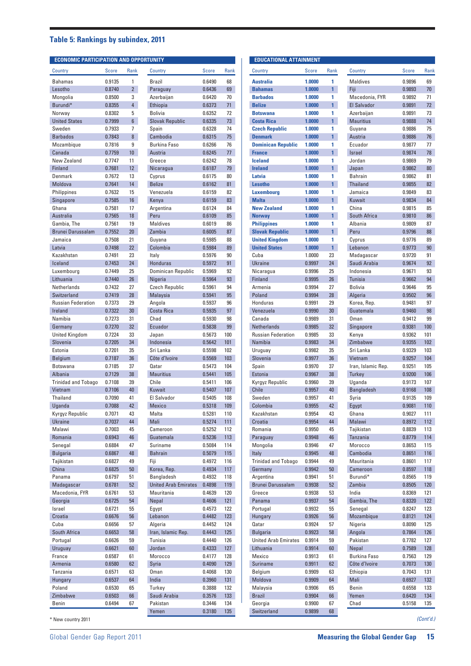## **Table 5: Rankings by subindex, 2011**

#### **ECONOMIC PARTICIPATION AND OPPORTUNITY** Country Score Rank Bahamas 0.9135 1 Lesotho 0.8740 2 Mongolia 0.8500 3 Burundi\* 0.8355 4 Norway 0.8302 5 United States 0.7999 6 Sweden 0.7933 7 Barbados 0.7843 8 Mozambique 0.7816 9 Canada 0.7759 10 New Zealand 0.7747 11 Finland 0.7681 12 Denmark 0.7672 13 Moldova 0.7641 14 Philippines 0.7632 15 Singapore 0.7585 16 Ghana 0.7581 17 Australia 0.7565 18 Gambia, The **0.7561** 19 Brunei Darussalam 0.7552 20 Jamaica 0.7508 21 Latvia 0.7498 22 Kazakhstan 0.7491 23 Iceland 0.7453 24 Luxembourg 0.7449 25 Lithuania 0.7440 26 Netherlands 0.7432 27 Switzerland 0.7419 28 Russian Federation 0.7373 29 Ireland 0.7322 30 Namibia 0.7273 31 Germany 0.7270 32 United Kingdom 0.7224 33 Slovenia 0.7205 34 Estonia 0.7201 35 Belgium 0.7187 36 Botswana 0.7185 37 Albania 0.7129 38 Trinidad and Tobago 0.7108 39 Vietnam 0.7106 40 Thailand 0.7090 41 Uganda 0.7088 42 Kyrgyz Republic 0.7071 43 Ukraine 0.7037 44 Malawi 0.7003 45 Romania 0.6943 46 Senegal 0.6884 47 Bulgaria 0.6867 48 Tajikistan 0.6827 49 China 0.6825 50 Panama 0.6797 51 Madagascar 0.6781 52 Macedonia, FYR 0.6761 53 Georgia 0.6725 54 Israel 0.6721 55 Croatia 0.6676 56 Cuba 0.6656 57 South Africa 0.6653 58 Portugal 0.6626 59 Uruguay 0.6621 60 France 0.6587 61 Armenia 0.6580 62 Tanzania 0.6571 63 Hungary 0.6537 64 Poland 0.6530 65 Zimbabwe 0.6503 66 Benin 0.6494 67 Country Score Rank Brazil 0.6490 68 Paraguay 0.6436 69 Azerbaijan 0.6420 70 Ethiopia 0.6373 71 Bolivia 0.6352 72 Slovak Republic 0.6335 73 Spain 0.6328 74 Cambodia 0.6315 75 Burkina Faso 0.6266 76 Austria 0.6245 77 Greece 0.6242 78 Nicaragua 0.6187 79 Cyprus 0.6175 80 Belize 0.6162 81 Venezuela 0.6159 82 Kenya 0.6159 83 Argentina 0.6124 84 Peru 0.6109 85 Maldives 0.6019 86 Zambia 0.6005 87 Guyana 0.5985 88 Colombia 0.5984 89 Italy 0.5976 90 Honduras 0.5972 91 Dominican Republic 0.5969 92 Nigeria 0.5964 93 Czech Republic 0.5961 94 Malaysia 0.5941 95 Angola 0.5937 96 Costa Rica 0.5935 97 Chad 0.5930 98 Ecuador 0.5838 99 Japan 0.5673 100 Indonesia 0.5642 101 Sri Lanka 0.5598 102 Côte d'Ivoire 0.5569 103 Qatar 0.5473 104 Mauritius 0.5441 105 Chile 0.5411 106 Kuwait 0.5407 107 El Salvador 0.5405 108 Mexico 0.5318 109 Malta 0.5281 110 Mali 0.5274 111 Cameroon 0.5252 112 Guatemala 0.5236 113 Suriname 0.5084 114 Bahrain 0.5079 115 Fiji 0.4972 116 Korea, Rep. 0.4934 117 Bangladesh 0.4932 118 United Arab Emirates 0.4898 119 Mauritania 0.4639 120 Nepal 0.4606 121 Egypt 0.4573 122 Lebanon 0.4482 123 Algeria 0.4452 124 Iran, Islamic Rep. 0.4443 125 Tunisia 0.4440 126 Jordan 0.4333 127 Morocco 0.4177 128 Syria 0.4090 129 Oman 0.4068 130 India 0.3960 131 Turkey 0.3888 132 Saudi Arabia 0.3576 133 Pakistan 0.3446 134<br>Yemen 0.3180 135 Yemen 0.3180 135

| <b>EDUCATIONAL ATTAINMENT</b>           |                  |          |                      |
|-----------------------------------------|------------------|----------|----------------------|
| Country                                 | <b>Score</b>     | Rank     | Country              |
| <b>Australia</b>                        | 1.0000           | 1        | <b>Maldives</b>      |
| <b>Bahamas</b>                          | 1.0000           | 1        | Fiii                 |
| <b>Barbados</b>                         | 1.0000           | 1        | Macedonia            |
| <b>Belize</b>                           | 1.0000           | 1        | <b>El Salvador</b>   |
| <b>Botswana</b>                         | 1.0000           | 1        | Azerbaijan           |
| <b>Costa Rica</b>                       | 1.0000           | 1        | <b>Mauritius</b>     |
| <b>Czech Republic</b><br><b>Denmark</b> | 1.0000<br>1.0000 | 1<br>1   | Guyana<br>Austria    |
| <b>Dominican Republic</b>               | 1.0000           | 1        | Fcuador              |
| <b>France</b>                           | 1.0000           | 1        | Israel               |
| <b>Iceland</b>                          | 1.0000           | 1        | Jordan               |
| <b>Ireland</b>                          | 1.0000           | 1        | Japan                |
| Latvia                                  | 1.0000           | 1        | <b>Bahrain</b>       |
| <b>Lesotho</b>                          | 1.0000           | 1        | <b>Thailand</b>      |
| <b>Luxembourg</b>                       | 1.0000           | 1        | Jamaica              |
| <b>Malta</b>                            | 1.0000           | 1        | Kuwait               |
| <b>New Zealand</b>                      | 1.0000<br>1.0000 | 1<br>1   | China<br>South Afric |
| <b>Norway</b><br><b>Philippines</b>     | 1.0000           | 1        | Albania              |
| <b>Slovak Republic</b>                  | 1.0000           | 1        | Peru                 |
| <b>United Kingdom</b>                   | 1.0000           | 1        | Cyprus               |
| <b>United States</b>                    | 1.0000           | 1        | Lebanon              |
| Cuba                                    | 1.0000           | 23       | Madagasca            |
| <b>Ukraine</b>                          | 0.9997           | 24       | Saudi Arab           |
| Nicaragua                               | 0.9996           | 25       | Indonesia            |
| Finland                                 | 0.9995           | 26       | <b>Tunisia</b>       |
| Armenia                                 | 0.9994           | 27       | <b>Bolivia</b>       |
| Poland                                  | 0.9994           | 28       | Algeria              |
| Honduras                                | 0.9991           | 29       | Korea, Rep           |
| Venezuela                               | 0.9990           | 30       | Guatemala            |
| Canada<br><b>Netherlands</b>            | 0.9989           | 31       | Oman                 |
| <b>Russian Federation</b>               | 0.9985<br>0.9985 | 32<br>33 | Singapore<br>Kenya   |
| Namibia                                 | 0.9983           | 34       | Zimbabwe             |
| Uruguay                                 | 0.9982           | 35       | Sri Lanka            |
| Slovenia                                | 0.9977           | 36       | Vietnam              |
| Spain                                   | 0.9970           | 37       | Iran, Islami         |
| Estonia                                 | 0.9967           | 38       | Turkey               |
| Kyrgyz Republic                         | 0.9960           | 39       | Uganda               |
| Chile                                   | 0.9957           | 40       | <b>Banglades</b>     |
| Sweden                                  | 0.9957           | 41       | Syria                |
| Colombia                                | 0.9955           | 42       | Egypt                |
| Kazakhstan                              | 0.9954           | 43       | Ghana                |
| Croatia<br>Romania                      | 0.9954<br>0.9950 | 44<br>45 | Malawi<br>Tajikistan |
| Paraguay                                | 0.9948           | 46       | Tanzania             |
| Mongolia                                | 0.9946           | 47       | Morocco              |
| Italy                                   | 0.9945           | 48       | Cambodia             |
| <b>Trinidad and Tobago</b>              | 0.9944           | 49       | Mauritania           |
| Germany                                 | 0.9942           | 50       | Cameroon             |
| Argentina                               | 0.9941           | 51       | Burundi*             |
| Brunei Darussalam                       | 0.9938           | 52       | Zambia               |
| Greece                                  | 0.9938           | 53       | India                |
| Panama                                  | 0.9937           | 54       | Gambia, Th           |
| Portugal                                | 0.9932           | 55       | Senegal              |
| Hungary                                 | 0.9926           | 56       | Mozambiqu            |
| Qatar<br><b>Bulgaria</b>                | 0.9924<br>0.9923 | 57<br>58 | Nigeria<br>Angola    |
| <b>United Arab Emirates</b>             | 0.9914           | 59       | Pakistan             |
| Lithuania                               | 0.9914           | 60       | Nepal                |
| Mexico                                  | 0.9913           | 61       | Burkina Fa:          |
| <b>Suriname</b>                         | 0.9911           | 62       | Côte d'Ivoir         |
| Belgium                                 | 0.9909           | 63       | Ethiopia             |
| Moldova                                 | 0.9909           | 64       | Mali                 |
| Malaysia                                | 0.9906           | 65       | Benin                |
| <b>Brazil</b>                           | 0.9904           | 66       | Yemen                |
| Georgia                                 | 0.9900           | 67       | Chad                 |
| Switzerland                             | 0.9899           | 68       |                      |

| Country                        | <b>Score</b>     | Rank       |
|--------------------------------|------------------|------------|
| <b>Maldives</b>                | 0.9896           | 69         |
| Fiji                           | 0.9893           | 70         |
| Macedonia, FYR                 | 0.9892           | 71         |
| El Salvador                    | 0.9891           | 72         |
| Azerbaijan<br><b>Mauritius</b> | 0.9891<br>0.9888 | 73<br>74   |
| Guyana                         | 0.9886           | 75         |
| Austria                        | 0.9886           | 76         |
| Ecuador                        | 0.9877           | 77         |
| Israel                         | 0.9874           | 78         |
| Jordan                         | 0.9869           | 79         |
| Japan<br>Bahrain               | 0.9862<br>0.9862 | 80<br>81   |
| <b>Thailand</b>                | 0.9855           | 82         |
| Jamaica                        | 0.9849           | 83         |
| Kuwait                         | 0.9834           | 84         |
| China                          | 0.9815           | 85         |
| South Africa                   | 0.9810           | 86         |
| Albania<br>Peru                | 0.9809<br>0.9796 | 87<br>88   |
| Cyprus                         | 0.9776           | 89         |
| Lebanon                        | 0.9773           | 90         |
| Madagascar                     | 0.9720           | 91         |
| Saudi Arabia                   | 0.9674           | 92         |
| Indonesia                      | 0.9671           | 93         |
| <b>Tunisia</b>                 | 0.9662           | 94         |
| <b>Bolivia</b><br>Algeria      | 0.9646<br>0.9502 | 95<br>96   |
| Korea, Rep.                    | 0.9481           | 97         |
| Guatemala                      | 0.9460           | 98         |
| Oman                           | 0.9412           | 99         |
| Singapore                      | 0.9381           | 100        |
| Kenya                          | 0.9362           | 101        |
| Zimbabwe<br>Sri Lanka          | 0.9355<br>0.9329 | 102<br>103 |
| Vietnam                        | 0.9257           | 104        |
| Iran, Islamic Rep.             | 0.9251           | 105        |
| Turkey                         | 0.9200           | 106        |
| Uganda                         | 0.9173           | 107        |
| <b>Bangladesh</b>              | 0.9168           | 108        |
| Syria<br>Egypt                 | 0.9135<br>0.9081 | 109<br>110 |
| Ghana                          | 0.9027           | 111        |
| Malawi                         | 0.8972           | 112        |
| Tajikistan                     | 0.8839           | 113        |
| Tanzania                       | 0.8779           | 114        |
| Morocco                        | 0.8653           | 115        |
| Cambodia<br>Mauritania         | 0.8651<br>0.8601 | 116<br>117 |
| Cameroon                       | 0.8597           | 118        |
| Burundi*                       | 0.8565           | 119        |
| Zambia                         | 0.8505           | 120        |
| India                          | 0.8369           | 121        |
| Gambia, The                    | 0.8320           | 122        |
| Senegal<br>Mozambique          | 0.8247<br>0.8121 | 123<br>124 |
| Nigeria                        | 0.8090           | 125        |
| Angola                         | 0.7864           | 126        |
| Pakistan                       | 0.7782           | 127        |
| Nepal                          | 0.7589           | 128        |
| Burkina Faso                   | 0.7563           | 129        |
| Côte d'Ivoire<br>Ethiopia      | 0.7073<br>0.7043 | 130<br>131 |
| Mali                           | 0.6927           | 132        |
| Benin                          | 0.6558           | 133        |
| Yemen                          | 0.6420           | 134        |
| Chad                           | 0.5158           | 135        |
|                                |                  |            |

\* New country 2011

*(Cont'd.)*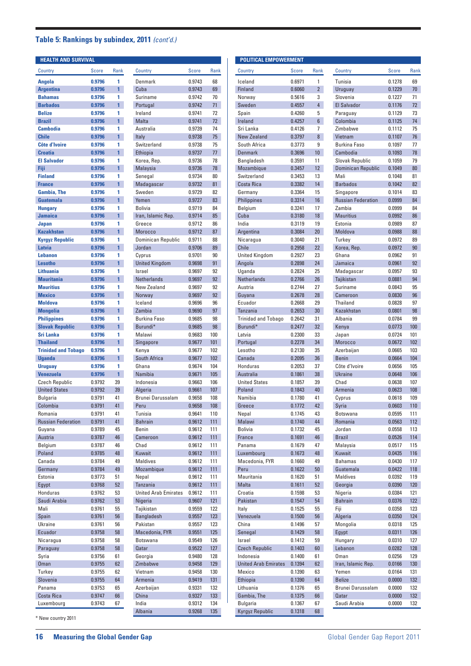# **Table 5: Rankings by subindex, 2011** *(cont'd.)*

## **HEALTH AND SURVIVAL POLITICAL EMPOWERMENT CONTROL**

I

| Country                               | Score            | <b>Rank</b> | Country                                  |
|---------------------------------------|------------------|-------------|------------------------------------------|
| Angola                                | 0.9796           | 1           | Denmark                                  |
| <b>Argentina</b>                      | 0.9796           | 1           | Cuba                                     |
| <b>Bahamas</b>                        | 0.9796           | 1           | Suriname                                 |
| <b>Barbados</b>                       | 0.9796           | 1           | Portugal                                 |
| <b>Belize</b>                         | 0.9796           | 1           | Ireland                                  |
| <b>Brazil</b>                         | 0.9796           | 1           | Malta                                    |
| Cambodia                              | 0.9796           | 1           | Australia                                |
| <b>Chile</b><br><b>Côte d'Ivoire</b>  | 0.9796           | 1<br>1      | <b>Italy</b>                             |
| <b>Croatia</b>                        | 0.9796<br>0.9796 | 1           | Switzerland<br>Ethiopia                  |
| <b>FI Salvador</b>                    | 0.9796           | 1           | Korea, Rep.                              |
| Fiji                                  | 0.9796           | 1           | Malaysia                                 |
| <b>Finland</b>                        | 0.9796           | 1           | Senegal                                  |
| <b>France</b>                         | 0.9796           | 1           | Madagascar                               |
| <b>Gambia, The</b>                    | 0.9796           | 1           | Sweden                                   |
| <b>Guatemala</b>                      | 0.9796           | 1           | Yemen                                    |
| <b>Hungary</b>                        | 0.9796           | 1           | Bolivia                                  |
| <b>Jamaica</b>                        | 0.9796           | 1           | Iran, Islamic Rep.                       |
| Japan                                 | 0.9796           | 1           | Greece                                   |
| Kazakhstan                            | 0.9796           | 1           | <b>Morocco</b>                           |
| <b>Kyrgyz Republic</b>                | 0.9796           | 1           | Dominican Repub                          |
| Latvia                                | 0.9796           | 1           | Jordan                                   |
| Lebanon                               | 0.9796           | 1           | Cyprus                                   |
| <b>Lesotho</b>                        | 0.9796           | 1           | <b>United Kingdom</b>                    |
| Lithuania                             | 0.9796<br>0.9796 | 1           | Israel                                   |
| <b>Mauritania</b><br><b>Mauritius</b> | 0.9796           | 1<br>1      | <b>Netherlands</b><br><b>New Zealand</b> |
| <b>Mexico</b>                         | 0.9796           | 1           | Norway                                   |
| <b>Moldova</b>                        | 0.9796           | 1           | Iceland                                  |
| <b>Mongolia</b>                       | 0.9796           | 1           | Zambia                                   |
| <b>Philippines</b>                    | 0.9796           | 1           | <b>Burkina Faso</b>                      |
| <b>Slovak Republic</b>                | 0.9796           | 1           | Burundi*                                 |
| Sri Lanka                             | 0.9796           | 1           | Malawi                                   |
| <b>Thailand</b>                       | 0.9796           | 1           | Singapore                                |
| <b>Trinidad and Tobago</b>            | 0.9796           | 1           | Kenya                                    |
| <b>Uganda</b>                         | 0.9796           | 1           | South Africa                             |
| <b>Uruguay</b>                        | 0.9796           | 1           | Ghana                                    |
| <b>Venezuela</b>                      | 0.9796           | 1           | Namibia                                  |
| <b>Czech Republic</b>                 | 0.9792           | 39          | Indonesia                                |
| <b>United States</b>                  | 0.9792           | 39          | Algeria                                  |
| Bulgaria                              | 0.9791           | 41          | Brunei Darussala                         |
| Colombia                              | 0.9791           | 41          | Peru                                     |
| Romania                               | 0.9791           | 41          | Tunisia                                  |
| Russian Federation                    | 0.9791           | 41          | Bahrain                                  |
| Guyana<br>Austria                     | 0.9789<br>0.9787 | 45<br>46    | Benin<br>Cameroon                        |
| Belgium                               | 0.9787           | 46          | Chad                                     |
| Poland                                | 0.9785           | 48          | Kuwait                                   |
| Canada                                | 0.9784           | 49          | <b>Maldives</b>                          |
| Germany                               | 0.9784           | 49          | Mozambique                               |
| Estonia                               | 0.9773           | 51          | Nepal                                    |
| Egypt                                 | 0.9768           | 52          | <b>Tanzania</b>                          |
| Honduras                              | 0.9762           | 53          | <b>United Arab Emira</b>                 |
| Saudi Arabia                          | 0.9762           | 53          | Nigeria                                  |
| Mali                                  | 0.9761           | 55          | Tajikistan                               |
| Spain                                 | 0.9761           | 56          | Bangladesh                               |
| <b>Ukraine</b>                        | 0.9761           | 56          | Pakistan                                 |
| Ecuador                               | 0.9758           | 58          | Macedonia, FYR                           |
| Nicaragua                             | 0.9758           | 58          | <b>Botswana</b>                          |
| Paraguay                              | 0.9758           | 58          | <b>Qatar</b>                             |
| Syria                                 | 0.9756           | 61          | Georgia                                  |
| <b>Oman</b>                           | 0.9755           | 62          | Zimbabwe                                 |
| Turkey                                | 0.9755           | 62          | Vietnam                                  |
| Slovenia<br>Panama                    | 0.9755           | 64          | Armenia                                  |
| Costa Rica                            | 0.9753<br>0.9747 | 65<br>66    | Azerbaijan<br>China                      |
| Luxembourg                            | 0.9743           | 67          | India                                    |
|                                       |                  |             | <b>Albania</b>                           |

| Country                     | Score            | Rank       |
|-----------------------------|------------------|------------|
| Denmark                     | 0.9743           | 68         |
| Cuba                        | 0.9743           | 69         |
| Suriname                    | 0.9742           | 70         |
| Portugal                    | 0.9742           | 71         |
| Ireland                     | 0.9741           | 72         |
| <b>Malta</b>                | 0.9741           | 72         |
| Australia                   | 0.9739           | 74         |
| Italy                       | 0.9738           | 75         |
| Switzerland                 | 0.9738           | 75         |
| <b>Ethiopia</b>             | 0.9737           | 77         |
| Korea, Rep.                 | 0.9736           | 78         |
| Malaysia                    | 0.9736           | 78         |
| Senegal                     | 0.9734           | 80         |
| Madagascar                  | 0.9732           | 81         |
| Sweden                      | 0.9729           | 82         |
| Yemen                       | 0.9727           | 83         |
| <b>Bolivia</b>              | 0.9719           | 84         |
| Iran, Islamic Rep.          | 0.9714<br>0.9712 | 85         |
| Greece<br>Morocco           | 0.9712           | 86<br>87   |
| Dominican Republic          | 0.9711           | 88         |
| Jordan                      | 0.9706           | 89         |
| Cyprus                      | 0.9701           | 90         |
| <b>United Kingdom</b>       | 0.9698           | 91         |
| Israel                      | 0.9697           | 92         |
| <b>Netherlands</b>          | 0.9697           | 92         |
| New Zealand                 | 0.9697           | 92         |
| Norway                      | 0.9697           | 92         |
| Iceland                     | 0.9696           | 96         |
| Zambia                      | 0.9690           | 97         |
| <b>Burkina Faso</b>         | 0.9685           | 98         |
| Burundi*                    | 0.9685           | 98         |
| Malawi                      | 0.9683           | 100        |
| Singapore                   | 0.9677           | 101        |
| Kenya                       | 0.9677           | 102        |
| South Africa                | 0.9677           | 102        |
| Ghana                       | 0.9674           | 104        |
| Namibia                     | 0.9671           | 105        |
| Indonesia                   | 0.9663           | 106        |
| <b>Algeria</b>              | 0.9661           | 107        |
| Brunei Darussalam           | 0.9658           | 108        |
| Peru                        | 0.9658           | 108        |
| Tunisia                     | 0.9641           | 110        |
| <b>Bahrain</b>              | 0.9612           | 111        |
| Benin                       | 0.9612           | 111        |
| Cameroon                    | 0.9612           | 111        |
| Chad                        | 0.9612           | 111        |
| Kuwait                      | 0.9612           | 111        |
| <b>Maldives</b>             | 0.9612           | 111        |
| <b>Mozambique</b>           | 0.9612           | 111        |
| Nepal                       | 0.9612           | 111        |
| <b>Tanzania</b>             | 0.9612           | 111        |
| <b>United Arab Emirates</b> | 0.9612<br>0.9607 | 111        |
| Nigeria                     | 0.9559           | 121        |
| Tajikistan                  |                  | 122        |
| <b>Bangladesh</b>           | 0.9557           | 123        |
| Pakistan                    | 0.9557           | 123        |
| Macedonia, FYR              | 0.9551           | 125        |
| Botswana<br><b>Qatar</b>    | 0.9549<br>0.9522 | 126<br>127 |
|                             | 0.9480           |            |
| Georgia<br>Zimbabwe         | 0.9458           | 128<br>129 |
| Vietnam                     | 0.9458           | 130        |
| Armenia                     | 0.9419           | 131        |
|                             |                  |            |
|                             |                  |            |
| Azerbaijan                  | 0.9331           | 132        |
| China<br>India              | 0.9327<br>0.9312 | 133<br>134 |

| POLITICAL EMPOWERMENT              |                  |                |                      |
|------------------------------------|------------------|----------------|----------------------|
| Country                            | <b>Score</b>     | Rank           | C                    |
| Iceland                            | 0.6971           | 1              | Τι                   |
| Finland                            | 0.6060           | $\overline{2}$ | Uı                   |
| Norway                             | 0.5616           | 3              | SI                   |
| Sweden                             | 0.4557           | 4              | EI                   |
| Spain                              | 0.4260           | 5              | P                    |
| Ireland<br>Sri Lanka               | 0.4257<br>0.4126 | 6<br>7         | $\overline{C}$<br>Zi |
| <b>New Zealand</b>                 | 0.3797           | 8              | Vi                   |
| South Africa                       | 0.3773           | 9              | В١                   |
| <b>Denmark</b>                     | 0.3696           | 10             | C                    |
| Bangladesh                         | 0.3591           | 11             | SI                   |
| Mozambique                         | 0.3457           | 12             | D                    |
| Switzerland<br>Costa Rica          | 0.3453<br>0.3382 | 13<br>14       | Μ<br>B               |
| Germany                            | 0.3364           | 15             | Si                   |
| Philippines                        | 0.3314           | 16             | Rı                   |
| Belgium                            | 0.3241           | 17             | Ζa                   |
| Cuba                               | 0.3180           | 18             | M                    |
| India                              | 0.3119           | 19             | Es                   |
| Argentina                          | 0.3084           | 20             | M                    |
| Nicaragua<br>Chile                 | 0.3040<br>0.2958 | 21<br>22       | Τι<br>Κ              |
| <b>United Kingdom</b>              | 0.2927           | 23             | GI                   |
| Angola                             | 0.2898           | 24             | J                    |
| Uganda                             | 0.2824           | 25             | Μ                    |
| <b>Netherlands</b>                 | 0.2766           | 26             | Ta                   |
| Austria                            | 0.2744           | 27             | Sι                   |
| Guyana<br>Ecuador                  | 0.2678<br>0.2668 | 28             | C                    |
| <b>Tanzania</b>                    | 0.2653           | 29<br>30       | Tł<br>K              |
| <b>Trinidad and Tobago</b>         | 0.2642           | 31             | Al                   |
| Burundi*                           | 0.2477           | 32             | Kι                   |
| Latvia                             | 0.2300           | 33             | Ja                   |
| Portugal                           | 0.2278           | 34             | M                    |
| Lesotho                            | 0.2130           | 35             | A.                   |
| Canada<br>Honduras                 | 0.2095<br>0.2053 | 36<br>37       | $\overline{B}$<br>Có |
| Australia                          | 0.1861           | 38             | UI                   |
| <b>United States</b>               | 0.1857           | 39             | СI                   |
| Poland                             | 0.1843           | 40             | A <sub>1</sub>       |
| Namibia                            | 0.1780           | 41             | C)                   |
| Greece                             | 0.1772           | 42             | $S_1$                |
| Nepal                              | 0.1745           | 43             | В١                   |
| Malawi<br><b>Bolivia</b>           | 0.1740<br>0.1732 | 44<br>45       | R<br>J               |
| France                             | 0.1691           | 46             | Bı                   |
| Panama                             | 0.1679           | 47             | M                    |
| Luxembourg                         | 0.1673           | 48             | Kι                   |
| Macedonia, FYR                     | 0.1660           | 49             | B                    |
| Peru                               | 0.1622           | 50             | Gı                   |
| Mauritania                         | 0.1620           | 51             | Μ                    |
| <b>Malta</b><br>Croatia            | 0.1611<br>0.1598 | 52<br>53       | G <sub>I</sub><br>Ni |
| Pakistan                           | 0.1547           | 54             | B                    |
| Italy                              | 0.1525           | 55             | Fi                   |
| Venezuela                          | 0.1500           | 56             | Al                   |
| China                              | 0.1496           | 57             | Μ                    |
| Senegal                            | 0.1429           | 58             | Eç                   |
| Israel                             | 0.1412           | 59             | H۱                   |
| <b>Czech Republic</b><br>Indonesia | 0.1403<br>0.1400 | 60<br>61       | Le<br>Оı             |
| <b>United Arab Emirates</b>        | 0.1394           | 62             | Ir                   |
| Mexico                             | 0.1390           | 63             | Yε                   |
| Ethiopia                           | 0.1390           | 64             | B <sub>I</sub>       |
| Lithuania                          | 0.1376           | 65             | B۱                   |
| Gambia, The                        | 0.1375           | 66             | Q.                   |
| <b>Bulgaria</b>                    | 0.1367           | 67             | S                    |
| Kyrgyz Republic                    | 0.1318           | 68             |                      |

| k | Country                                | <b>Score</b>     | Rank       |
|---|----------------------------------------|------------------|------------|
|   | Tunisia                                | 0.1278           | 69         |
|   | Uruguay<br>Slovenia                    | 0.1229<br>0.1227 | 70<br>71   |
|   | <b>El Salvador</b>                     | 0.1176           | 72         |
|   | Paraguay                               | 0.1129           | 73         |
|   | Colombia                               | 0.1125           | 74         |
|   | Zimbabwe                               | 0.1112           | 75         |
|   | Vietnam<br>Burkina Faso                | 0.1107<br>0.1097 | 76<br>77   |
|   | Cambodia                               | 0.1093           | 78         |
|   | Slovak Republic                        | 0.1059           | 79         |
|   | Dominican Republic                     | 0.1049           | 80         |
|   | Mali                                   | 0.1048           | 81         |
|   | <b>Barbados</b>                        | 0.1042           | 82         |
|   | Singapore<br><b>Russian Federation</b> | 0.1014<br>0.0999 | 83<br>84   |
|   | Zambia                                 | 0.0999           | 84         |
|   | <b>Mauritius</b>                       | 0.0992           | 86         |
|   | Estonia                                | 0.0989           | 87         |
|   | Moldova                                | 0.0988           | 88         |
|   | Turkey                                 | 0.0972           | 89         |
|   | Korea, Rep.<br>Ghana                   | 0.0972           | 90         |
|   | Jamaica                                | 0.0962<br>0.0961 | 91<br>92   |
|   | Madagascar                             | 0.0957           | 93         |
|   | Tajikistan                             | 0.0881           | 94         |
|   | Suriname                               | 0.0843           | 95         |
|   | Cameroon                               | 0.0830           | 96         |
|   | <b>Thailand</b>                        | 0.0828           | 97         |
|   | Kazakhstan                             | 0.0801           | 98         |
|   | Albania                                | 0.0784<br>0.0773 | 99<br>100  |
|   | Kenya<br>Japan                         | 0.0724           | 101        |
|   | Morocco                                | 0.0672           | 102        |
|   | Azerbaijan                             | 0.0665           | 103        |
|   | <b>Benin</b>                           | 0.0664           | 104        |
|   | Côte d'Ivoire                          | 0.0656           | 105        |
|   | <b>Ukraine</b>                         | 0.0648           | 106        |
|   | Chad<br>Armenia                        | 0.0638<br>0.0623 | 107<br>108 |
|   | Cyprus                                 | 0.0618           | 109        |
|   | Syria                                  | 0.0603           | 110        |
|   | Botswana                               | 0.0595           | 111        |
|   | Romania                                | 0.0563           | 112        |
|   | Jordan                                 | 0.0558           | 113        |
|   | <b>Brazil</b>                          | 0.0526           | 114        |
|   | Malaysia<br>Kuwait                     | 0.0517<br>0.0435 | 115<br>116 |
|   | <b>Bahamas</b>                         | 0.0430           | 117        |
|   | Guatemala                              | 0.0422           | 118        |
|   | Maldives                               | 0.0392           | 119        |
|   | Georgia                                | 0.0390           | 120        |
|   | Nigeria                                | 0.0384           | 121        |
|   | <b>Bahrain</b>                         | 0.0376           | 122        |
|   | Fiji<br>Algeria                        | 0.0358<br>0.0350 | 123<br>124 |
|   | Mongolia                               | 0.0318           | 125        |
|   | Egypt                                  | 0.0311           | 126        |
|   | Hungary                                | 0.0310           | 127        |
|   | Lebanon                                | 0.0282           | 128        |
|   | Oman                                   | 0.0256           | 129        |
|   | Iran, Islamic Rep.                     | 0.0166           | 130        |
|   | Yemen<br><b>Belize</b>                 | 0.0164<br>0.0000 | 131<br>132 |
|   | Brunei Darussalam                      | 0.0000           | 132        |
|   | Qatar                                  | 0.0000           | 132        |
|   | Saudi Arabia                           | 0.0000           | 132        |
|   |                                        |                  |            |

\* New country 2011

I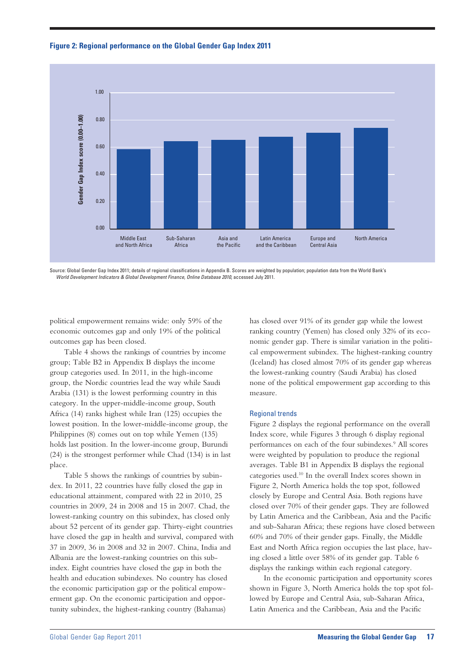### **Figure 2: Regional performance on the Global Gender Gap Index 2011**



Source: Global Gender Gap Index 2011; details of regional classifications in Appendix B. Scores are weighted by population; population data from the World Bank's *World Development Indicators & Global Development Finance, Online Database 2010*, accessed July 2011.

political empowerment remains wide: only 59% of the economic outcomes gap and only 19% of the political outcomes gap has been closed.

Table 4 shows the rankings of countries by income group; Table B2 in Appendix B displays the income group categories used. In 2011, in the high-income group, the Nordic countries lead the way while Saudi Arabia (131) is the lowest performing country in this category. In the upper-middle-income group, South Africa (14) ranks highest while Iran (125) occupies the lowest position. In the lower-middle-income group, the Philippines (8) comes out on top while Yemen (135) holds last position. In the lower-income group, Burundi (24) is the strongest performer while Chad (134) is in last place.

Table 5 shows the rankings of countries by subindex. In 2011, 22 countries have fully closed the gap in educational attainment, compared with 22 in 2010, 25 countries in 2009, 24 in 2008 and 15 in 2007. Chad, the lowest-ranking country on this subindex, has closed only about 52 percent of its gender gap. Thirty-eight countries have closed the gap in health and survival, compared with 37 in 2009, 36 in 2008 and 32 in 2007. China, India and Albania are the lowest-ranking countries on this subindex. Eight countries have closed the gap in both the health and education subindexes. No country has closed the economic participation gap or the political empowerment gap. On the economic participation and opportunity subindex, the highest-ranking country (Bahamas)

has closed over 91% of its gender gap while the lowest ranking country (Yemen) has closed only 32% of its economic gender gap. There is similar variation in the political empowerment subindex. The highest-ranking country (Iceland) has closed almost 70% of its gender gap whereas the lowest-ranking country (Saudi Arabia) has closed none of the political empowerment gap according to this measure.

### Regional trends

Figure 2 displays the regional performance on the overall Index score, while Figures 3 through 6 display regional performances on each of the four subindexes.<sup>9</sup> All scores were weighted by population to produce the regional averages. Table B1 in Appendix B displays the regional categories used.10 In the overall Index scores shown in Figure 2, North America holds the top spot, followed closely by Europe and Central Asia. Both regions have closed over 70% of their gender gaps. They are followed by Latin America and the Caribbean, Asia and the Pacific and sub-Saharan Africa; these regions have closed between 60% and 70% of their gender gaps. Finally, the Middle East and North Africa region occupies the last place, having closed a little over 58% of its gender gap. Table 6 displays the rankings within each regional category.

In the economic participation and opportunity scores shown in Figure 3, North America holds the top spot followed by Europe and Central Asia, sub-Saharan Africa, Latin America and the Caribbean, Asia and the Pacific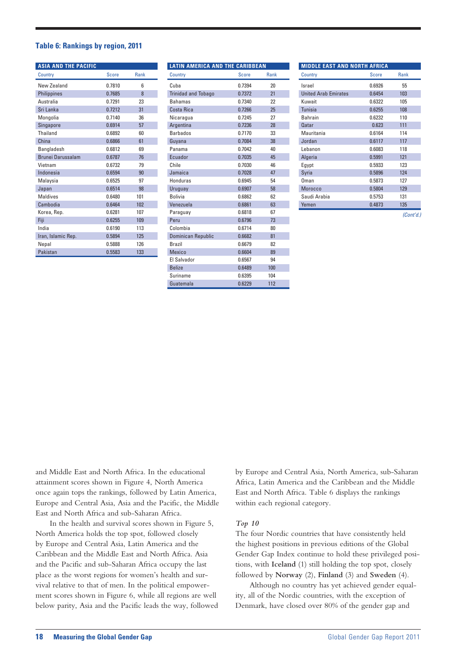## **Table 6: Rankings by region, 2011**

| <b>ASIA AND THE PACIFIC</b> |              |      |
|-----------------------------|--------------|------|
| Country                     | <b>Score</b> | Rank |
| New Zealand                 | 0.7810       | 6    |
| Philippines                 | 0.7685       | 8    |
| Australia                   | 0.7291       | 23   |
| Sri Lanka                   | 0.7212       | 31   |
| Mongolia                    | 0.7140       | 36   |
| Singapore                   | 0.6914       | 57   |
| Thailand                    | 0.6892       | 60   |
| China                       | 0.6866       | 61   |
| Bangladesh                  | 0.6812       | 69   |
| Brunei Darussalam           | 0.6787       | 76   |
| Vietnam                     | 0.6732       | 79   |
| Indonesia                   | 0.6594       | 90   |
| Malaysia                    | 0.6525       | 97   |
| Japan                       | 0.6514       | 98   |
| <b>Maldives</b>             | 0.6480       | 101  |
| Cambodia                    | 0.6464       | 102  |
| Korea, Rep.                 | 0.6281       | 107  |
| Fiii                        | 0.6255       | 109  |
| India                       | 0.6190       | 113  |
| Iran, Islamic Rep.          | 0.5894       | 125  |
| Nepal                       | 0.5888       | 126  |
| Pakistan                    | 0.5583       | 133  |

| <b>LATIN AMERICA AND THE CARIBBEAN</b> |              |             |
|----------------------------------------|--------------|-------------|
| Country                                | <b>Score</b> | <b>Rank</b> |
| Cuha                                   | 0.7394       | 20          |
| <b>Trinidad and Tobago</b>             | 0.7372       | 21          |
| <b>Bahamas</b>                         | 0.7340       | 22          |
| Costa Rica                             | 0.7266       | 25          |
| Nicaragua                              | 0.7245       | 27          |
| Argentina                              | 0.7236       | 28          |
| <b>Barbados</b>                        | 0.7170       | 33          |
| Guyana                                 | 0.7084       | 38          |
| Panama                                 | 0.7042       | 40          |
| Ecuador                                | 0.7035       | 45          |
| Chile                                  | 0.7030       | 46          |
| Jamaica                                | 0.7028       | 47          |
| Honduras                               | 0.6945       | 54          |
| Uruguay                                | 0.6907       | 58          |
| <b>Bolivia</b>                         | 06862        | 62          |
| Venezuela                              | 0.6861       | 63          |
| Paraguay                               | 0.6818       | 67          |
| Peru                                   | 0.6796       | 73          |
| Colombia                               | 0.6714       | 80          |
| <b>Dominican Republic</b>              | 0.6682       | 81          |
| <b>Brazil</b>                          | 0.6679       | 82          |
| Mexico                                 | 0.6604       | 89          |
| El Salvador                            | 0.6567       | 94          |
| <b>Belize</b>                          | 0.6489       | 100         |
| Suriname                               | 0.6395       | 104         |
| Guatemala                              | 0.6229       | 112         |

| <b>MIDDLE EAST AND NORTH AFRICA</b> |              |             |
|-------------------------------------|--------------|-------------|
| Country                             | <b>Score</b> | <b>Rank</b> |
| Israel                              | 0.6926       | 55          |
| <b>United Arab Emirates</b>         | 0.6454       | 103         |
| Kuwait                              | 0.6322       | 105         |
| Tunisia                             | 0.6255       | 108         |
| <b>Bahrain</b>                      | 0.6232       | 110         |
| <b>Qatar</b>                        | 0.623        | 111         |
| Mauritania                          | 0.6164       | 114         |
| Jordan                              | 0.6117       | 117         |
| Lebanon                             | 0.6083       | 118         |
| Algeria                             | 0.5991       | 121         |
| Egypt                               | 0.5933       | 123         |
| Syria                               | 0.5896       | 124         |
| Oman                                | 0.5873       | 127         |
| <b>Morocco</b>                      | 0.5804       | 129         |
| Saudi Arabia                        | 0.5753       | 131         |
| Yemen                               | 0.4873       | 135         |

and Middle East and North Africa. In the educational attainment scores shown in Figure 4, North America once again tops the rankings, followed by Latin America, Europe and Central Asia, Asia and the Pacific, the Middle East and North Africa and sub-Saharan Africa.

In the health and survival scores shown in Figure 5, North America holds the top spot, followed closely by Europe and Central Asia, Latin America and the Caribbean and the Middle East and North Africa. Asia and the Pacific and sub-Saharan Africa occupy the last place as the worst regions for women's health and survival relative to that of men. In the political empowerment scores shown in Figure 6, while all regions are well below parity, Asia and the Pacific leads the way, followed by Europe and Central Asia, North America, sub-Saharan Africa, Latin America and the Caribbean and the Middle East and North Africa. Table 6 displays the rankings within each regional category.

## *Top 10*

The four Nordic countries that have consistently held the highest positions in previous editions of the Global Gender Gap Index continue to hold these privileged positions, with **Iceland** (1) still holding the top spot, closely followed by **Norway** (2), **Finland** (3) and **Sweden** (4).

Although no country has yet achieved gender equality, all of the Nordic countries, with the exception of Denmark, have closed over 80% of the gender gap and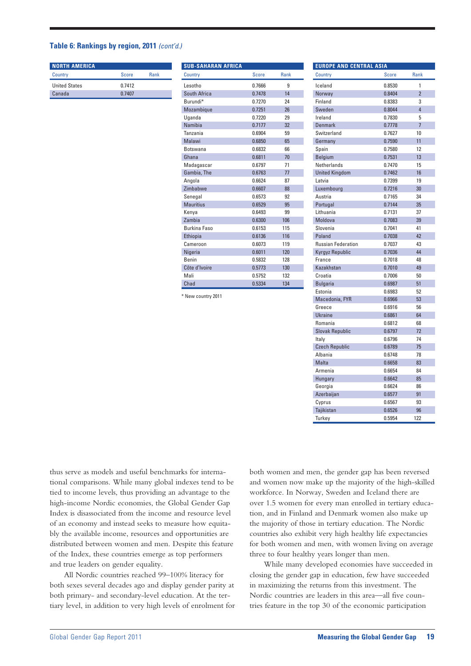## **Table 6: Rankings by region, 2011** *(cont'd.)*

Ţ

| <b>NORTH AMERICA</b> |              |             |
|----------------------|--------------|-------------|
| Country              | <b>Score</b> | <b>Rank</b> |
| <b>United States</b> | 0.7412       |             |
| Canada               | 0.7407       |             |

| Country             | <b>Score</b> | <b>Rank</b> |
|---------------------|--------------|-------------|
| <b>Lesotho</b>      | 0.7666       | 9           |
| South Africa        | 0.7478       | 14          |
| Burundi*            | 0.7270       | 24          |
| Mozambique          | 0.7251       | 26          |
| Uganda              | 0.7220       | 29          |
| Namibia             | 0.7177       | 32          |
| Tanzania            | 0.6904       | 59          |
| Malawi              | 0.6850       | 65          |
| <b>Botswana</b>     | 0.6832       | 66          |
| Ghana               | 0.6811       | 70          |
| Madagascar          | 0.6797       | 71          |
| Gambia, The         | 0.6763       | 77          |
| Angola              | 0.6624       | 87          |
| Zimbabwe            | 0.6607       | 88          |
| Senegal             | 0.6573       | 92          |
| <b>Mauritius</b>    | 0.6529       | 95          |
| Kenya               | በ 6493       | 99          |
| Zambia              | 0.6300       | 106         |
| <b>Burkina Faso</b> | 0.6153       | 115         |
| Ethiopia            | 0.6136       | 116         |
| Cameroon            | 0.6073       | 119         |
| Nigeria             | 0.6011       | 120         |
| <b>Benin</b>        | 0.5832       | 128         |
| Côte d'Ivoire       | 0.5773       | 130         |
| Mali                | 0.5752       | 132         |
| Chad.               | 0.5334       | 134         |

\* New country 2011

| <b>EUROPE AND CENTRAL ASIA</b> |              |                |
|--------------------------------|--------------|----------------|
| <b>Country</b>                 | <b>Score</b> | <b>Rank</b>    |
| Iceland                        | 0.8530       | 1              |
| Norway                         | 0.8404       | $\overline{2}$ |
| Finland                        | 0.8383       | 3              |
| Sweden                         | 0.8044       | $\overline{4}$ |
| Ireland                        | 0.7830       | 5              |
| <b>Denmark</b>                 | 0.7778       | $\overline{7}$ |
| Switzerland                    | 0.7627       | 10             |
| Germany                        | 0.7590       | 11             |
| Spain                          | 0.7580       | 12             |
| <b>Belgium</b>                 | 0.7531       | 13             |
| Netherlands                    | 0.7470       | 15             |
| <b>United Kingdom</b>          | 0.7462       | 16             |
| Latvia                         | 0.7399       | 19             |
| Luxembourg                     | 0.7216       | 30             |
| Austria                        | 0.7165       | 34             |
| Portugal                       | 0.7144       | 35             |
| Lithuania                      | 0.7131       | 37             |
| Moldova                        | 0.7083       | 39             |
| Slovenia                       | 0.7041       | 41             |
| Poland                         | 0.7038       | 42             |
| <b>Russian Federation</b>      | 0.7037       | 43             |
| <b>Kyrgyz Republic</b>         | 0.7036       | 44             |
| France                         | 0.7018       | 48             |
| Kazakhstan                     | 0.7010       | 49             |
| Croatia                        | 0.7006       | 50             |
| <b>Bulgaria</b>                | 0.6987       | 51             |
| Estonia                        | 0.6983       | 52             |
| Macedonia, FYR                 | 0.6966       | 53             |
| Greece                         | 0.6916       | 56             |
| <b>Ukraine</b>                 | 0.6861       | 64             |
| Romania                        | 0.6812       | 68             |
| <b>Slovak Republic</b>         | 0.6797       | 72             |
| Italy                          | 0.6796       | 74             |
| <b>Czech Republic</b>          | 0.6789       | 75             |
| Albania                        | 0.6748       | 78             |
| Malta                          | 0.6658       | 83             |
| Armenia                        | 0.6654       | 84             |
| Hungary                        | 0.6642       | 85             |
| Georgia                        | 0.6624       | 86             |
| Azerbaijan                     | 0.6577       | 91             |
| Cyprus                         | 0.6567       | 93             |
| Tajikistan                     | 0.6526       | 96             |
| Turkey                         | 0.5954       | 122            |

thus serve as models and useful benchmarks for international comparisons. While many global indexes tend to be tied to income levels, thus providing an advantage to the high-income Nordic economies, the Global Gender Gap Index is disassociated from the income and resource level of an economy and instead seeks to measure how equitably the available income, resources and opportunities are distributed between women and men. Despite this feature of the Index, these countries emerge as top performers and true leaders on gender equality.

All Nordic countries reached 99–100% literacy for both sexes several decades ago and display gender parity at both primary- and secondary-level education. At the tertiary level, in addition to very high levels of enrolment for both women and men, the gender gap has been reversed and women now make up the majority of the high-skilled workforce. In Norway, Sweden and Iceland there are over 1.5 women for every man enrolled in tertiary education, and in Finland and Denmark women also make up the majority of those in tertiary education. The Nordic countries also exhibit very high healthy life expectancies for both women and men, with women living on average three to four healthy years longer than men.

While many developed economies have succeeded in closing the gender gap in education, few have succeeded in maximizing the returns from this investment. The Nordic countries are leaders in this area—all five countries feature in the top 30 of the economic participation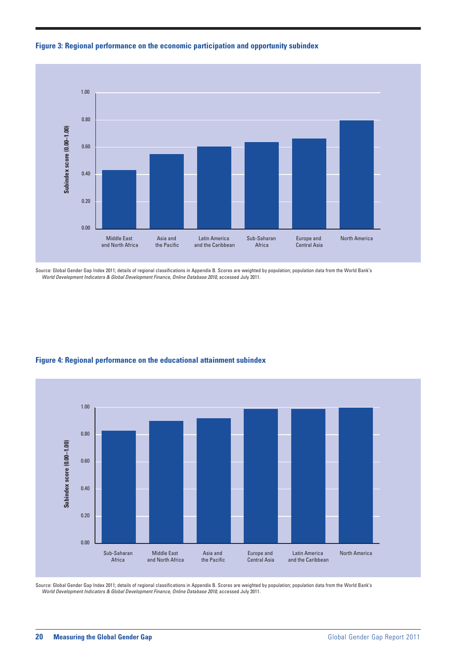

## **Figure 3: Regional performance on the economic participation and opportunity subindex**

Source: Global Gender Gap Index 2011; details of regional classifications in Appendix B. Scores are weighted by population; population data from the World Bank's *World Development Indicators & Global Development Finance, Online Database 2010*, accessed July 2011.



## **Figure 4: Regional performance on the educational attainment subindex**

Source: Global Gender Gap Index 2011; details of regional classifications in Appendix B. Scores are weighted by population; population data from the World Bank's *World Development Indicators & Global Development Finance, Online Database 2010*, accessed July 2011.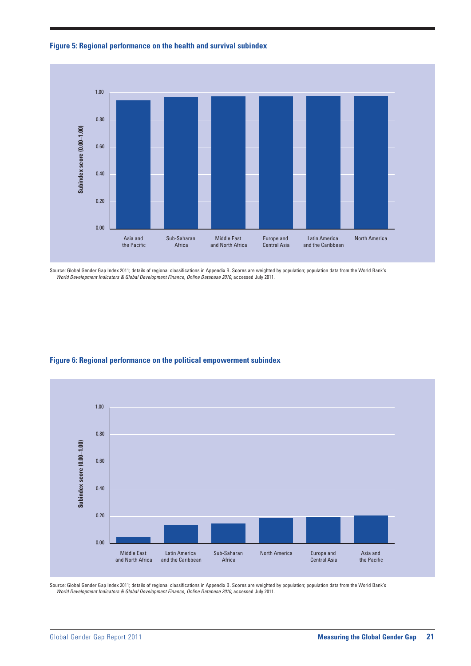## **Figure 5: Regional performance on the health and survival subindex**



Source: Global Gender Gap Index 2011; details of regional classifications in Appendix B. Scores are weighted by population; population data from the World Bank's *World Development Indicators & Global Development Finance, Online Database 2010*, accessed July 2011.



## **Figure 6: Regional performance on the political empowerment subindex**

Source: Global Gender Gap Index 2011; details of regional classifications in Appendix B. Scores are weighted by population; population data from the World Bank's *World Development Indicators & Global Development Finance, Online Database 2010*, accessed July 2011.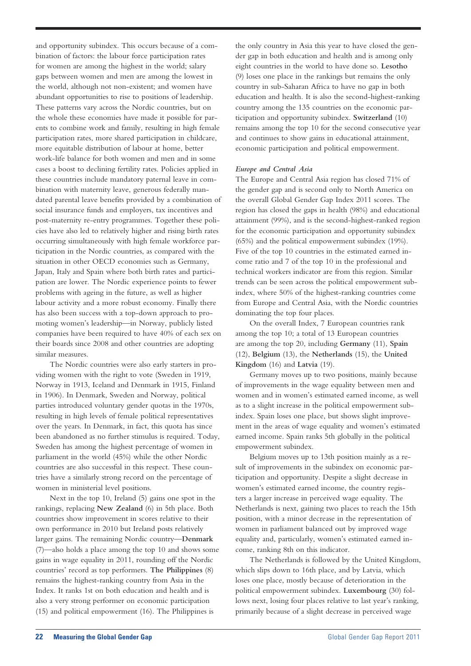and opportunity subindex. This occurs because of a combination of factors: the labour force participation rates for women are among the highest in the world; salary gaps between women and men are among the lowest in the world, although not non-existent; and women have abundant opportunities to rise to positions of leadership. These patterns vary across the Nordic countries, but on the whole these economies have made it possible for parents to combine work and family, resulting in high female participation rates, more shared participation in childcare, more equitable distribution of labour at home, better work-life balance for both women and men and in some cases a boost to declining fertility rates. Policies applied in these countries include mandatory paternal leave in combination with maternity leave, generous federally mandated parental leave benefits provided by a combination of social insurance funds and employers, tax incentives and post-maternity re-entry programmes. Together these policies have also led to relatively higher and rising birth rates occurring simultaneously with high female workforce participation in the Nordic countries, as compared with the situation in other OECD economies such as Germany, Japan, Italy and Spain where both birth rates and participation are lower. The Nordic experience points to fewer problems with ageing in the future, as well as higher labour activity and a more robust economy. Finally there has also been success with a top-down approach to promoting women's leadership—in Norway, publicly listed companies have been required to have 40% of each sex on their boards since 2008 and other countries are adopting similar measures.

The Nordic countries were also early starters in providing women with the right to vote (Sweden in 1919, Norway in 1913, Iceland and Denmark in 1915, Finland in 1906). In Denmark, Sweden and Norway, political parties introduced voluntary gender quotas in the 1970s, resulting in high levels of female political representatives over the years. In Denmark, in fact, this quota has since been abandoned as no further stimulus is required. Today, Sweden has among the highest percentage of women in parliament in the world (45%) while the other Nordic countries are also successful in this respect. These countries have a similarly strong record on the percentage of women in ministerial level positions.

Next in the top 10, Ireland (5) gains one spot in the rankings, replacing **New Zealand** (6) in 5th place. Both countries show improvement in scores relative to their own performance in 2010 but Ireland posts relatively larger gains. The remaining Nordic country—**Denmark** (7)—also holds a place among the top 10 and shows some gains in wage equality in 2011, rounding off the Nordic countries' record as top performers. **The Philippines** (8) remains the highest-ranking country from Asia in the Index. It ranks 1st on both education and health and is also a very strong performer on economic participation (15) and political empowerment (16). The Philippines is

the only country in Asia this year to have closed the gender gap in both education and health and is among only eight countries in the world to have done so. **Lesotho** (9) loses one place in the rankings but remains the only country in sub-Saharan Africa to have no gap in both education and health. It is also the second-highest-ranking country among the 135 countries on the economic participation and opportunity subindex. **Switzerland** (10) remains among the top 10 for the second consecutive year and continues to show gains in educational attainment, economic participation and political empowerment.

## *Europe and Central Asia*

The Europe and Central Asia region has closed 71% of the gender gap and is second only to North America on the overall Global Gender Gap Index 2011 scores. The region has closed the gaps in health (98%) and educational attainment (99%), and is the second-highest-ranked region for the economic participation and opportunity subindex (65%) and the political empowerment subindex (19%). Five of the top 10 countries in the estimated earned income ratio and 7 of the top 10 in the professional and technical workers indicator are from this region. Similar trends can be seen across the political empowerment subindex, where 50% of the highest-ranking countries come from Europe and Central Asia, with the Nordic countries dominating the top four places.

On the overall Index, 7 European countries rank among the top 10; a total of 13 European countries are among the top 20, including **Germany** (11), **Spain** (12), **Belgium** (13), the **Netherlands** (15), the **United Kingdom** (16) and **Latvia** (19).

Germany moves up to two positions, mainly because of improvements in the wage equality between men and women and in women's estimated earned income, as well as to a slight increase in the political empowerment subindex. Spain loses one place, but shows slight improvement in the areas of wage equality and women's estimated earned income. Spain ranks 5th globally in the political empowerment subindex.

Belgium moves up to 13th position mainly as a result of improvements in the subindex on economic participation and opportunity. Despite a slight decrease in women's estimated earned income, the country registers a larger increase in perceived wage equality. The Netherlands is next, gaining two places to reach the 15th position, with a minor decrease in the representation of women in parliament balanced out by improved wage equality and, particularly, women's estimated earned income, ranking 8th on this indicator.

The Netherlands is followed by the United Kingdom, which slips down to 16th place, and by Latvia, which loses one place, mostly because of deterioration in the political empowerment subindex. **Luxembourg** (30) follows next, losing four places relative to last year's ranking, primarily because of a slight decrease in perceived wage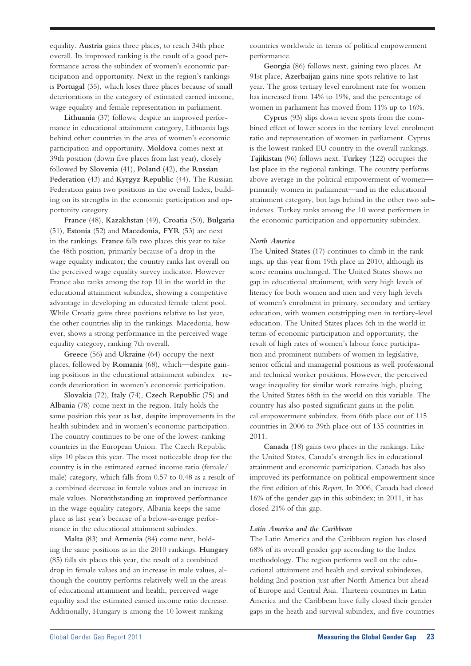equality. **Austria** gains three places, to reach 34th place overall. Its improved ranking is the result of a good performance across the subindex of women's economic participation and opportunity. Next in the region's rankings is **Portugal** (35), which loses three places because of small deteriorations in the category of estimated earned income, wage equality and female representation in parliament.

**Lithuania** (37) follows; despite an improved performance in educational attainment category, Lithuania lags behind other countries in the area of women's economic participation and opportunity. **Moldova** comes next at 39th position (down five places from last year), closely followed by **Slovenia** (41), **Poland** (42), the **Russian Federation** (43) and **Kyrgyz Republic** (44). The Russian Federation gains two positions in the overall Index, building on its strengths in the economic participation and opportunity category.

**France** (48), **Kazakhstan** (49), **Croatia** (50), **Bulgaria** (51), **Estonia** (52) and **Macedonia, FYR** (53) are next in the rankings. **France** falls two places this year to take the 48th position, primarily because of a drop in the wage equality indicator; the country ranks last overall on the perceived wage equality survey indicator. However France also ranks among the top 10 in the world in the educational attainment subindex, showing a competitive advantage in developing an educated female talent pool. While Croatia gains three positions relative to last year, the other countries slip in the rankings. Macedonia, however, shows a strong performance in the perceived wage equality category, ranking 7th overall.

**Greece** (56) and **Ukraine** (64) occupy the next places, followed by **Romania** (68), which—despite gaining positions in the educational attainment subindex—records deterioration in women's economic participation.

**Slovakia** (72), **Italy** (74), **Czech Republic** (75) and **Albania** (78) come next in the region. Italy holds the same position this year as last, despite improvements in the health subindex and in women's economic participation. The country continues to be one of the lowest-ranking countries in the European Union. The Czech Republic slips 10 places this year. The most noticeable drop for the country is in the estimated earned income ratio (female/ male) category, which falls from 0.57 to 0.48 as a result of a combined decrease in female values and an increase in male values. Notwithstanding an improved performance in the wage equality category, Albania keeps the same place as last year's because of a below-average performance in the educational attainment subindex.

**Malta** (83) and **Armenia** (84) come next, holding the same positions as in the 2010 rankings. **Hungary** (85) falls six places this year, the result of a combined drop in female values and an increase in male values, although the country performs relatively well in the areas of educational attainment and health, perceived wage equality and the estimated earned income ratio decrease. Additionally, Hungary is among the 10 lowest-ranking

countries worldwide in terms of political empowerment performance.

**Georgia** (86) follows next, gaining two places. At 91st place, **Azerbaijan** gains nine spots relative to last year. The gross tertiary level enrolment rate for women has increased from 14% to 19%, and the percentage of women in parliament has moved from 11% up to 16%.

**Cyprus** (93) slips down seven spots from the combined effect of lower scores in the tertiary level enrolment ratio and representation of women in parliament. Cyprus is the lowest-ranked EU country in the overall rankings. **Tajikistan** (96) follows next. **Turkey** (122) occupies the last place in the regional rankings. The country performs above average in the political empowerment of women primarily women in parliament—and in the educational attainment category, but lags behind in the other two subindexes. Turkey ranks among the 10 worst performers in the economic participation and opportunity subindex.

## *North America*

The **United States** (17) continues to climb in the rankings, up this year from 19th place in 2010, although its score remains unchanged. The United States shows no gap in educational attainment, with very high levels of literacy for both women and men and very high levels of women's enrolment in primary, secondary and tertiary education, with women outstripping men in tertiary-level education. The United States places 6th in the world in terms of economic participation and opportunity, the result of high rates of women's labour force participation and prominent numbers of women in legislative, senior official and managerial positions as well professional and technical worker positions. However, the perceived wage inequality for similar work remains high, placing the United States 68th in the world on this variable. The country has also posted significant gains in the political empowerment subindex, from 66th place out of 115 countries in 2006 to 39th place out of 135 countries in 2011.

**Canada** (18) gains two places in the rankings. Like the United States, Canada's strength lies in educational attainment and economic participation. Canada has also improved its performance on political empowerment since the first edition of this *Report.* In 2006, Canada had closed 16% of the gender gap in this subindex; in 2011, it has closed 21% of this gap.

## *Latin America and the Caribbean*

The Latin America and the Caribbean region has closed 68% of its overall gender gap according to the Index methodology. The region performs well on the educational attainment and health and survival subindexes, holding 2nd position just after North America but ahead of Europe and Central Asia. Thirteen countries in Latin America and the Caribbean have fully closed their gender gaps in the heath and survival subindex, and five countries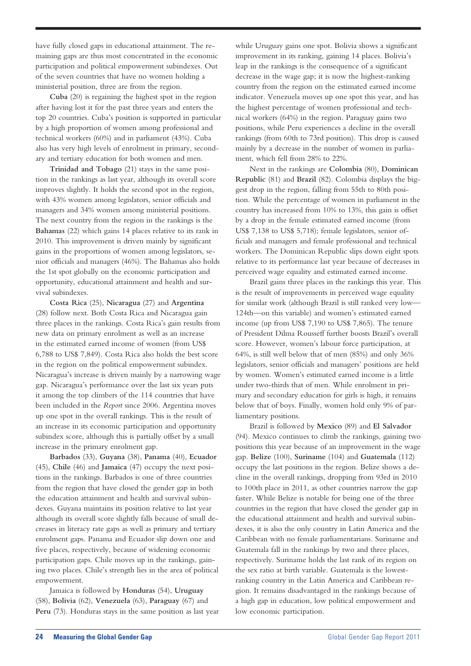have fully closed gaps in educational attainment. The remaining gaps are thus most concentrated in the economic participation and political empowerment subindexes. Out of the seven countries that have no women holding a ministerial position, three are from the region.

**Cuba** (20) is regaining the highest spot in the region after having lost it for the past three years and enters the top 20 countries. Cuba's position is supported in particular by a high proportion of women among professional and technical workers (60%) and in parliament (43%). Cuba also has very high levels of enrolment in primary, secondary and tertiary education for both women and men.

**Trinidad and Tobago** (21) stays in the same position in the rankings as last year, although its overall score improves slightly. It holds the second spot in the region, with 43% women among legislators, senior officials and managers and 34% women among ministerial positions. The next country from the region in the rankings is the **Bahamas** (22) which gains 14 places relative to its rank in 2010. This improvement is driven mainly by significant gains in the proportions of women among legislators, senior officials and managers (46%). The Bahamas also holds the 1st spot globally on the economic participation and opportunity, educational attainment and health and survival subindexes.

**Costa Rica** (25), **Nicaragua** (27) and **Argentina** (28) follow next. Both Costa Rica and Nicaragua gain three places in the rankings. Costa Rica's gain results from new data on primary enrolment as well as an increase in the estimated earned income of women (from US\$ 6,788 to US\$ 7,849). Costa Rica also holds the best score in the region on the political empowerment subindex. Nicaragua's increase is driven mainly by a narrowing wage gap. Nicaragua's performance over the last six years puts it among the top climbers of the 114 countries that have been included in the *Report* since 2006. Argentina moves up one spot in the overall rankings. This is the result of an increase in its economic participation and opportunity subindex score, although this is partially offset by a small increase in the primary enrolment gap.

**Barbados** (33), **Guyana** (38), **Panama** (40), **Ecuador** (45), **Chile** (46) and **Jamaica** (47) occupy the next positions in the rankings. Barbados is one of three countries from the region that have closed the gender gap in both the education attainment and health and survival subindexes. Guyana maintains its position relative to last year although its overall score slightly falls because of small decreases in literacy rate gaps as well as primary and tertiary enrolment gaps. Panama and Ecuador slip down one and five places, respectively, because of widening economic participation gaps. Chile moves up in the rankings, gaining two places. Chile's strength lies in the area of political empowerment.

Jamaica is followed by **Honduras** (54), **Uruguay** (58), **Bolivia** (62), **Venezuela** (63), **Paraguay** (67) and **Peru** (73). Honduras stays in the same position as last year

while Uruguay gains one spot. Bolivia shows a significant improvement in its ranking, gaining 14 places. Bolivia's leap in the rankings is the consequence of a significant decrease in the wage gap; it is now the highest-ranking country from the region on the estimated earned income indicator. Venezuela moves up one spot this year, and has the highest percentage of women professional and technical workers (64%) in the region. Paraguay gains two positions, while Peru experiences a decline in the overall rankings (from 60th to 73rd position). This drop is caused mainly by a decrease in the number of women in parliament, which fell from 28% to 22%.

Next in the rankings are **Colombia** (80), **Dominican Republic** (81) and **Brazil** (82). Colombia displays the biggest drop in the region, falling from 55th to 80th position. While the percentage of women in parliament in the country has increased from 10% to 13%, this gain is offset by a drop in the female estimated earned income (from US\$ 7,138 to US\$ 5,718); female legislators, senior officials and managers and female professional and technical workers. The Dominican Republic slips down eight spots relative to its performance last year because of decreases in perceived wage equality and estimated earned income.

Brazil gains three places in the rankings this year. This is the result of improvements in perceived wage equality for similar work (although Brazil is still ranked very low— 124th—on this variable) and women's estimated earned income (up from US\$ 7,190 to US\$ 7,865). The tenure of President Dilma Rousseff further boosts Brazil's overall score. However, women's labour force participation, at 64%, is still well below that of men (85%) and only 36% legislators, senior officials and managers' positions are held by women. Women's estimated earned income is a little under two-thirds that of men. While enrolment in primary and secondary education for girls is high, it remains below that of boys. Finally, women hold only 9% of parliamentary positions.

Brazil is followed by **Mexico** (89) and **El Salvador** (94). Mexico continues to climb the rankings, gaining two positions this year because of an improvement in the wage gap. **Belize** (100), **Suriname** (104) and **Guatemala** (112) occupy the last positions in the region. Belize shows a decline in the overall rankings, dropping from 93rd in 2010 to 100th place in 2011, as other countries narrow the gap faster. While Belize is notable for being one of the three countries in the region that have closed the gender gap in the educational attainment and health and survival subindexes, it is also the only country in Latin America and the Caribbean with no female parliamentarians. Suriname and Guatemala fall in the rankings by two and three places, respectively. Suriname holds the last rank of its region on the sex ratio at birth variable. Guatemala is the lowestranking country in the Latin America and Caribbean region. It remains disadvantaged in the rankings because of a high gap in education, low political empowerment and low economic participation.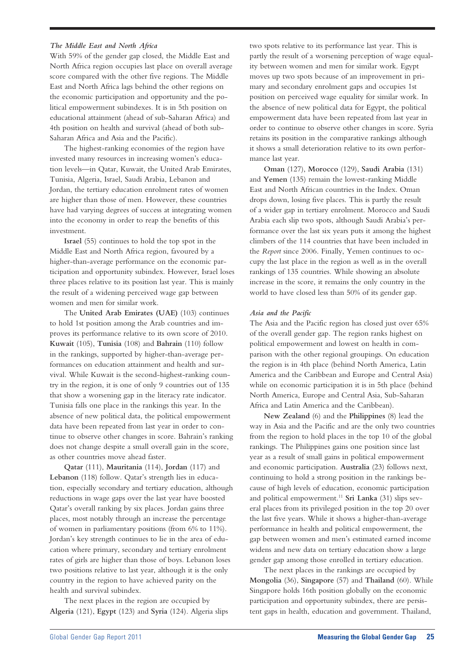## *The Middle East and North Africa*

With 59% of the gender gap closed, the Middle East and North Africa region occupies last place on overall average score compared with the other five regions. The Middle East and North Africa lags behind the other regions on the economic participation and opportunity and the political empowerment subindexes. It is in 5th position on educational attainment (ahead of sub-Saharan Africa) and 4th position on health and survival (ahead of both sub-Saharan Africa and Asia and the Pacific).

The highest-ranking economies of the region have invested many resources in increasing women's education levels—in Qatar, Kuwait, the United Arab Emirates, Tunisia, Algeria, Israel, Saudi Arabia, Lebanon and Jordan, the tertiary education enrolment rates of women are higher than those of men. However, these countries have had varying degrees of success at integrating women into the economy in order to reap the benefits of this investment.

**Israel** (55) continues to hold the top spot in the Middle East and North Africa region, favoured by a higher-than-average performance on the economic participation and opportunity subindex. However, Israel loses three places relative to its position last year. This is mainly the result of a widening perceived wage gap between women and men for similar work.

The **United Arab Emirates (UAE)** (103) continues to hold 1st position among the Arab countries and improves its performance relative to its own score of 2010. **Kuwait** (105), **Tunisia** (108) and **Bahrain** (110) follow in the rankings, supported by higher-than-average performances on education attainment and health and survival. While Kuwait is the second-highest-ranking country in the region, it is one of only 9 countries out of 135 that show a worsening gap in the literacy rate indicator. Tunisia falls one place in the rankings this year. In the absence of new political data, the political empowerment data have been repeated from last year in order to continue to observe other changes in score. Bahrain's ranking does not change despite a small overall gain in the score, as other countries move ahead faster.

**Qatar** (111), **Mauritania** (114), **Jordan** (117) and **Lebanon** (118) follow. Qatar's strength lies in education, especially secondary and tertiary education, although reductions in wage gaps over the last year have boosted Qatar's overall ranking by six places. Jordan gains three places, most notably through an increase the percentage of women in parliamentary positions (from 6% to 11%). Jordan's key strength continues to lie in the area of education where primary, secondary and tertiary enrolment rates of girls are higher than those of boys. Lebanon loses two positions relative to last year, although it is the only country in the region to have achieved parity on the health and survival subindex.

The next places in the region are occupied by **Algeria** (121), **Egypt** (123) and **Syria** (124). Algeria slips two spots relative to its performance last year. This is partly the result of a worsening perception of wage equality between women and men for similar work. Egypt moves up two spots because of an improvement in primary and secondary enrolment gaps and occupies 1st position on perceived wage equality for similar work. In the absence of new political data for Egypt, the political empowerment data have been repeated from last year in order to continue to observe other changes in score. Syria retains its position in the comparative rankings although it shows a small deterioration relative to its own performance last year.

**Oman** (127), **Morocco** (129), **Saudi Arabia** (131) and **Yemen** (135) remain the lowest-ranking Middle East and North African countries in the Index. Oman drops down, losing five places. This is partly the result of a wider gap in tertiary enrolment. Morocco and Saudi Arabia each slip two spots, although Saudi Arabia's performance over the last six years puts it among the highest climbers of the 114 countries that have been included in the *Report* since 2006. Finally, Yemen continues to occupy the last place in the region as well as in the overall rankings of 135 countries. While showing an absolute increase in the score, it remains the only country in the world to have closed less than 50% of its gender gap.

## *Asia and the Pacific*

The Asia and the Pacific region has closed just over 65% of the overall gender gap. The region ranks highest on political empowerment and lowest on health in comparison with the other regional groupings. On education the region is in 4th place (behind North America, Latin America and the Caribbean and Europe and Central Asia) while on economic participation it is in 5th place (behind North America, Europe and Central Asia, Sub-Saharan Africa and Latin America and the Caribbean).

**New Zealand** (6) and the **Philippines** (8) lead the way in Asia and the Pacific and are the only two countries from the region to hold places in the top 10 of the global rankings. The Philippines gains one position since last year as a result of small gains in political empowerment and economic participation. **Australia** (23) follows next, continuing to hold a strong position in the rankings because of high levels of education, economic participation and political empowerment.11 **Sri Lanka** (31) slips several places from its privileged position in the top 20 over the last five years. While it shows a higher-than-average performance in health and political empowerment, the gap between women and men's estimated earned income widens and new data on tertiary education show a large gender gap among those enrolled in tertiary education.

The next places in the rankings are occupied by **Mongolia** (36), **Singapore** (57) and **Thailand** (60). While Singapore holds 16th position globally on the economic participation and opportunity subindex, there are persistent gaps in health, education and government. Thailand,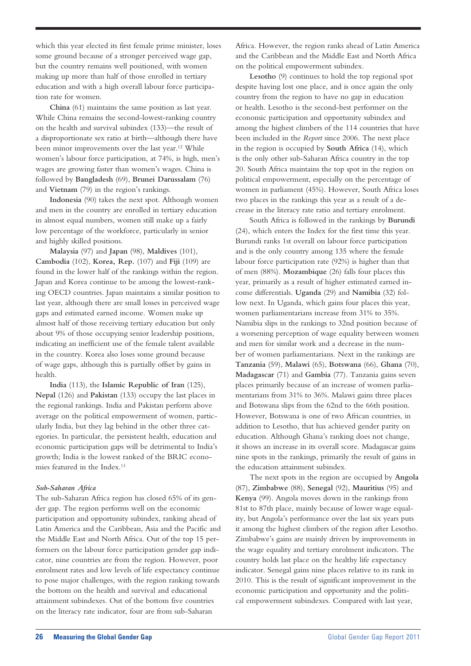which this year elected its first female prime minister, loses some ground because of a stronger perceived wage gap, but the country remains well positioned, with women making up more than half of those enrolled in tertiary education and with a high overall labour force participation rate for women.

**China** (61) maintains the same position as last year. While China remains the second-lowest-ranking country on the health and survival subindex (133)—the result of a disproportionate sex ratio at birth—although there have been minor improvements over the last year.<sup>12</sup> While women's labour force participation, at 74%, is high, men's wages are growing faster than women's wages. China is followed by **Bangladesh** (69), **Brunei Darussalam** (76) and **Vietnam** (79) in the region's rankings.

**Indonesia** (90) takes the next spot. Although women and men in the country are enrolled in tertiary education in almost equal numbers, women still make up a fairly low percentage of the workforce, particularly in senior and highly skilled positions.

**Malaysia** (97) and **Japan** (98), **Maldives** (101), **Cambodia** (102), **Korea, Rep.** (107) and **Fiji** (109) are found in the lower half of the rankings within the region. Japan and Korea continue to be among the lowest-ranking OECD countries. Japan maintains a similar position to last year, although there are small losses in perceived wage gaps and estimated earned income. Women make up almost half of those receiving tertiary education but only about 9% of those occupying senior leadership positions, indicating an inefficient use of the female talent available in the country. Korea also loses some ground because of wage gaps, although this is partially offset by gains in health.

**India** (113), the **Islamic Republic of Iran** (125), **Nepal** (126) and **Pakistan** (133) occupy the last places in the regional rankings. India and Pakistan perform above average on the political empowerment of women, particularly India, but they lag behind in the other three categories. In particular, the persistent health, education and economic participation gaps will be detrimental to India's growth; India is the lowest ranked of the BRIC economies featured in the Index.13

## *Sub-Saharan Africa*

The sub-Saharan Africa region has closed 65% of its gender gap. The region performs well on the economic participation and opportunity subindex, ranking ahead of Latin America and the Caribbean, Asia and the Pacific and the Middle East and North Africa. Out of the top 15 performers on the labour force participation gender gap indicator, nine countries are from the region. However, poor enrolment rates and low levels of life expectancy continue to pose major challenges, with the region ranking towards the bottom on the health and survival and educational attainment subindexes. Out of the bottom five countries on the literacy rate indicator, four are from sub-Saharan

Africa. However, the region ranks ahead of Latin America and the Caribbean and the Middle East and North Africa on the political empowerment subindex.

**Lesotho** (9) continues to hold the top regional spot despite having lost one place, and is once again the only country from the region to have no gap in education or health. Lesotho is the second-best performer on the economic participation and opportunity subindex and among the highest climbers of the 114 countries that have been included in the *Report* since 2006. The next place in the region is occupied by **South Africa** (14), which is the only other sub-Saharan Africa country in the top 20. South Africa maintains the top spot in the region on political empowerment, especially on the percentage of women in parliament (45%). However, South Africa loses two places in the rankings this year as a result of a decrease in the literacy rate ratio and tertiary enrolment.

South Africa is followed in the rankings by **Burundi** (24), which enters the Index for the first time this year. Burundi ranks 1st overall on labour force participation and is the only country among 135 where the female labour force participation rate (92%) is higher than that of men (88%). **Mozambique** (26) falls four places this year, primarily as a result of higher estimated earned income differentials. **Uganda** (29) and **Namibia** (32) follow next. In Uganda, which gains four places this year, women parliamentarians increase from 31% to 35%. Namibia slips in the rankings to 32nd position because of a worsening perception of wage equality between women and men for similar work and a decrease in the number of women parliamentarians. Next in the rankings are **Tanzania** (59), **Malawi** (65), **Botswana** (66), **Ghana** (70), **Madagascar** (71) and **Gambia** (77). Tanzania gains seven places primarily because of an increase of women parliamentarians from 31% to 36%. Malawi gains three places and Botswana slips from the 62nd to the 66th position. However, Botswana is one of two African countries, in addition to Lesotho, that has achieved gender parity on education. Although Ghana's ranking does not change, it shows an increase in its overall score. Madagascar gains nine spots in the rankings, primarily the result of gains in the education attainment subindex.

The next spots in the region are occupied by **Angola** (87), **Zimbabwe** (88), **Senegal** (92), **Mauritius** (95) and **Kenya** (99). Angola moves down in the rankings from 81st to 87th place, mainly because of lower wage equality, but Angola's performance over the last six years puts it among the highest climbers of the region after Lesotho. Zimbabwe's gains are mainly driven by improvements in the wage equality and tertiary enrolment indicators. The country holds last place on the healthy life expectancy indicator. Senegal gains nine places relative to its rank in 2010. This is the result of significant improvement in the economic participation and opportunity and the political empowerment subindexes. Compared with last year,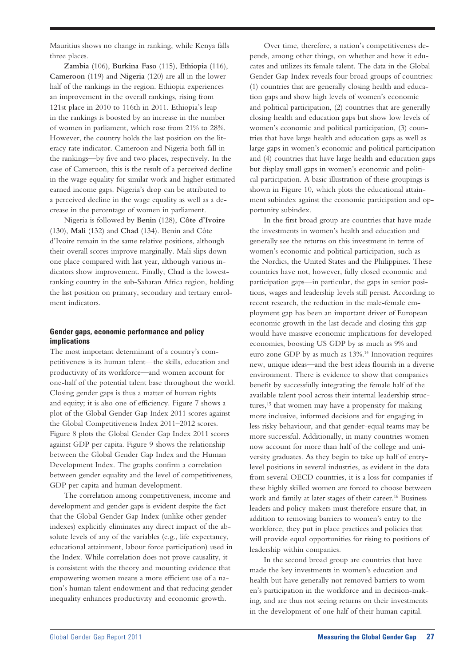Mauritius shows no change in ranking, while Kenya falls three places.

**Zambia** (106), **Burkina Faso** (115), **Ethiopia** (116), **Cameroon** (119) and **Nigeria** (120) are all in the lower half of the rankings in the region. Ethiopia experiences an improvement in the overall rankings, rising from 121st place in 2010 to 116th in 2011. Ethiopia's leap in the rankings is boosted by an increase in the number of women in parliament, which rose from 21% to 28%. However, the country holds the last position on the literacy rate indicator. Cameroon and Nigeria both fall in the rankings—by five and two places, respectively. In the case of Cameroon, this is the result of a perceived decline in the wage equality for similar work and higher estimated earned income gaps. Nigeria's drop can be attributed to a perceived decline in the wage equality as well as a decrease in the percentage of women in parliament.

Nigeria is followed by **Benin** (128), **Côte d'Ivoire** (130), **Mali** (132) and **Chad** (134). Benin and Côte d'Ivoire remain in the same relative positions, although their overall scores improve marginally. Mali slips down one place compared with last year, although various indicators show improvement. Finally, Chad is the lowestranking country in the sub-Saharan Africa region, holding the last position on primary, secondary and tertiary enrolment indicators.

## **Gender gaps, economic performance and policy implications**

The most important determinant of a country's competitiveness is its human talent—the skills, education and productivity of its workforce—and women account for one-half of the potential talent base throughout the world. Closing gender gaps is thus a matter of human rights and equity; it is also one of efficiency. Figure 7 shows a plot of the Global Gender Gap Index 2011 scores against the Global Competitiveness Index 2011–2012 scores. Figure 8 plots the Global Gender Gap Index 2011 scores against GDP per capita. Figure 9 shows the relationship between the Global Gender Gap Index and the Human Development Index. The graphs confirm a correlation between gender equality and the level of competitiveness, GDP per capita and human development.

The correlation among competitiveness, income and development and gender gaps is evident despite the fact that the Global Gender Gap Index (unlike other gender indexes) explicitly eliminates any direct impact of the absolute levels of any of the variables (e.g., life expectancy, educational attainment, labour force participation) used in the Index. While correlation does not prove causality, it is consistent with the theory and mounting evidence that empowering women means a more efficient use of a nation's human talent endowment and that reducing gender inequality enhances productivity and economic growth.

Over time, therefore, a nation's competitiveness depends, among other things, on whether and how it educates and utilizes its female talent. The data in the Global Gender Gap Index reveals four broad groups of countries: (1) countries that are generally closing health and education gaps and show high levels of women's economic and political participation, (2) countries that are generally closing health and education gaps but show low levels of women's economic and political participation, (3) countries that have large health and education gaps as well as large gaps in women's economic and political participation and (4) countries that have large health and education gaps but display small gaps in women's economic and political participation. A basic illustration of these groupings is shown in Figure 10, which plots the educational attainment subindex against the economic participation and opportunity subindex.

In the first broad group are countries that have made the investments in women's health and education and generally see the returns on this investment in terms of women's economic and political participation, such as the Nordics, the United States and the Philippines. These countries have not, however, fully closed economic and participation gaps—in particular, the gaps in senior positions, wages and leadership levels still persist. According to recent research, the reduction in the male-female employment gap has been an important driver of European economic growth in the last decade and closing this gap would have massive economic implications for developed economies, boosting US GDP by as much as 9% and euro zone GDP by as much as 13%.14 Innovation requires new, unique ideas—and the best ideas flourish in a diverse environment. There is evidence to show that companies benefit by successfully integrating the female half of the available talent pool across their internal leadership structures,<sup>15</sup> that women may have a propensity for making more inclusive, informed decisions and for engaging in less risky behaviour, and that gender-equal teams may be more successful. Additionally, in many countries women now account for more than half of the college and university graduates. As they begin to take up half of entrylevel positions in several industries, as evident in the data from several OECD countries, it is a loss for companies if these highly skilled women are forced to choose between work and family at later stages of their career.16 Business leaders and policy-makers must therefore ensure that, in addition to removing barriers to women's entry to the workforce, they put in place practices and policies that will provide equal opportunities for rising to positions of leadership within companies.

In the second broad group are countries that have made the key investments in women's education and health but have generally not removed barriers to women's participation in the workforce and in decision-making, and are thus not seeing returns on their investments in the development of one half of their human capital.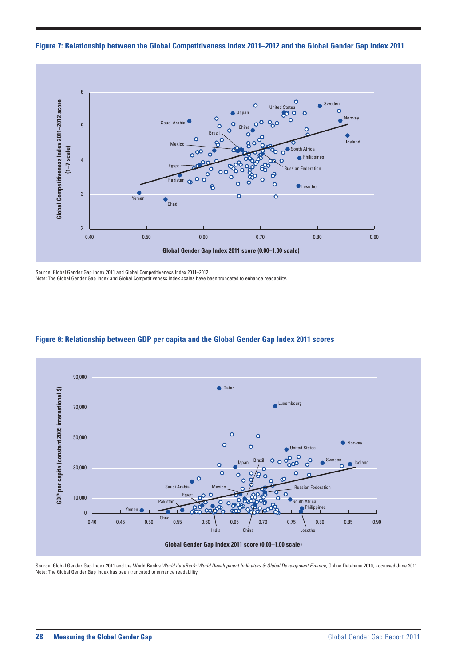

## **Figure 7: Relationship between the Global Competitiveness Index 2011–2012 and the Global Gender Gap Index 2011**

Source: Global Gender Gap Index 2011 and Global Competitiveness Index 2011–2012.

Note: The Global Gender Gap Index and Global Competitiveness Index scales have been truncated to enhance readability.



## **Figure 8: Relationship between GDP per capita and the Global Gender Gap Index 2011 scores**

Source: Global Gender Gap Index 2011 and the World Bank's *World dataBank: World Development Indicators & Global Development Finance,* Online Database 2010, accessed June 2011. Note: The Global Gender Gap Index has been truncated to enhance readability.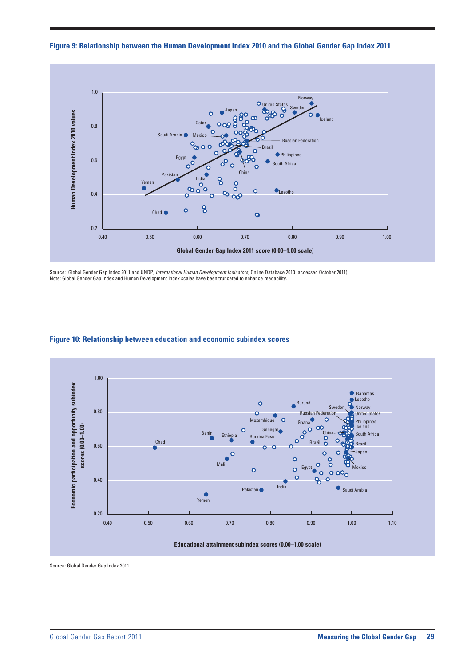

**Figure 9: Relationship between the Human Development Index 2010 and the Global Gender Gap Index 2011**

Source: Global Gender Gap Index 2011 and UNDP, *International Human Development Indicators*, Online Database 2010 (accessed October 2011). Note: Global Gender Gap Index and Human Development Index scales have been truncated to enhance readability.



## **Figure 10: Relationship between education and economic subindex scores**

Source: Global Gender Gap Index 2011.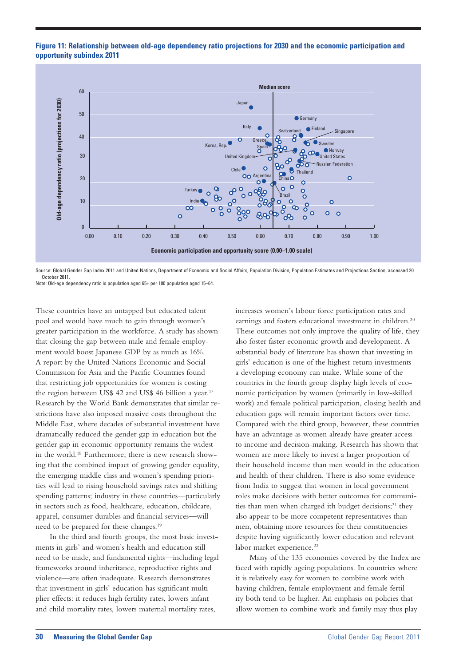## **Figure 11: Relationship between old-age dependency ratio projections for 2030 and the economic participation and opportunity subindex 2011**



Source: Global Gender Gap Index 2011 and United Nations, Department of Economic and Social Affairs, Population Division, Population Estimates and Projections Section, accessed 20 October 2011.

Note: Old-age dependency ratio is population aged 65+ per 100 population aged 15–64.

These countries have an untapped but educated talent pool and would have much to gain through women's greater participation in the workforce. A study has shown that closing the gap between male and female employment would boost Japanese GDP by as much as 16%. A report by the United Nations Economic and Social Commission for Asia and the Pacific Countries found that restricting job opportunities for women is costing the region between US\$ 42 and US\$ 46 billion a year.<sup>17</sup> Research by the World Bank demonstrates that similar restrictions have also imposed massive costs throughout the Middle East, where decades of substantial investment have dramatically reduced the gender gap in education but the gender gap in economic opportunity remains the widest in the world.18 Furthermore, there is new research showing that the combined impact of growing gender equality, the emerging middle class and women's spending priorities will lead to rising household savings rates and shifting spending patterns; industry in these countries—particularly in sectors such as food, healthcare, education, childcare, apparel, consumer durables and financial services—will need to be prepared for these changes.19

In the third and fourth groups, the most basic investments in girls' and women's health and education still need to be made, and fundamental rights—including legal frameworks around inheritance, reproductive rights and violence—are often inadequate. Research demonstrates that investment in girls' education has significant multiplier effects: it reduces high fertility rates, lowers infant and child mortality rates, lowers maternal mortality rates,

increases women's labour force participation rates and earnings and fosters educational investment in children.<sup>20</sup> These outcomes not only improve the quality of life, they also foster faster economic growth and development. A substantial body of literature has shown that investing in girls' education is one of the highest-return investments a developing economy can make. While some of the countries in the fourth group display high levels of economic participation by women (primarily in low-skilled work) and female political participation, closing health and education gaps will remain important factors over time. Compared with the third group, however, these countries have an advantage as women already have greater access to income and decision-making. Research has shown that women are more likely to invest a larger proportion of their household income than men would in the education and health of their children. There is also some evidence from India to suggest that women in local government roles make decisions with better outcomes for communities than men when charged ith budget decisions;<sup>21</sup> they also appear to be more competent representatives than men, obtaining more resources for their constituencies despite having significantly lower education and relevant labor market experience.<sup>22</sup>

Many of the 135 economies covered by the Index are faced with rapidly ageing populations. In countries where it is relatively easy for women to combine work with having children, female employment and female fertility both tend to be higher. An emphasis on policies that allow women to combine work and family may thus play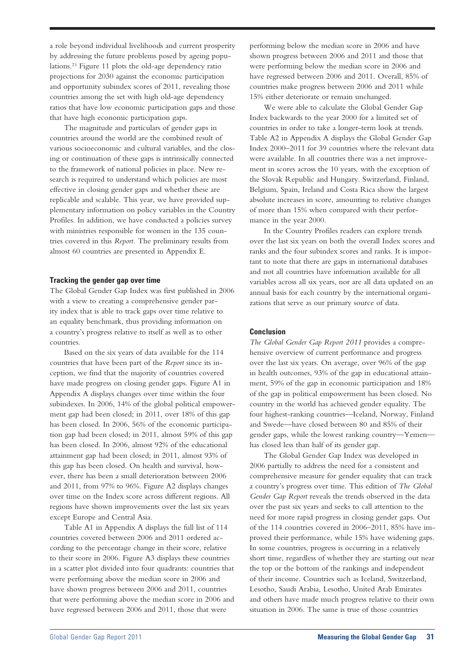a role beyond individual livelihoods and current prosperity by addressing the future problems posed by ageing populations.23 Figure 11 plots the old-age dependency ratio projections for 2030 against the economic participation and opportunity subindex scores of 2011, revealing those countries among the set with high old-age dependency ratios that have low economic participation gaps and those that have high economic participation gaps.

The magnitude and particulars of gender gaps in countries around the world are the combined result of various socioeconomic and cultural variables, and the closing or continuation of these gaps is intrinsically connected to the framework of national policies in place. New research is required to understand which policies are most effective in closing gender gaps and whether these are replicable and scalable. This year, we have provided supplementary information on policy variables in the Country Profiles. In addition, we have conducted a policies survey with ministries responsible for women in the 135 countries covered in this *Report.* The preliminary results from almost 60 countries are presented in Appendix E.

## **Tracking the gender gap over time**

The Global Gender Gap Index was first published in 2006 with a view to creating a comprehensive gender parity index that is able to track gaps over time relative to an equality benchmark, thus providing information on a country's progress relative to itself as well as to other countries.

Based on the six years of data available for the 114 countries that have been part of the *Report* since its inception, we find that the majority of countries covered have made progress on closing gender gaps. Figure A1 in Appendix A displays changes over time within the four subindexes. In 2006, 14% of the global political empowerment gap had been closed; in 2011, over 18% of this gap has been closed. In 2006, 56% of the economic participation gap had been closed; in 2011, almost 59% of this gap has been closed. In 2006, almost 92% of the educational attainment gap had been closed; in 2011, almost 93% of this gap has been closed. On health and survival, however, there has been a small deterioration between 2006 and 2011, from 97% to 96%. Figure A2 displays changes over time on the Index score across different regions. All regions have shown improvements over the last six years except Europe and Central Asia.

Table A1 in Appendix A displays the full list of 114 countries covered between 2006 and 2011 ordered according to the percentage change in their score, relative to their score in 2006. Figure A3 displays these countries in a scatter plot divided into four quadrants: countries that were performing above the median score in 2006 and have shown progress between 2006 and 2011, countries that were performing above the median score in 2006 and have regressed between 2006 and 2011, those that were

performing below the median score in 2006 and have shown progress between 2006 and 2011 and those that were performing below the median score in 2006 and have regressed between 2006 and 2011. Overall, 85% of countries make progress between 2006 and 2011 while 15% either deteriorate or remain unchanged.

We were able to calculate the Global Gender Gap Index backwards to the year 2000 for a limited set of countries in order to take a longer-term look at trends. Table A2 in Appendix A displays the Global Gender Gap Index 2000–2011 for 39 countries where the relevant data were available. In all countries there was a net improvement in scores across the 10 years, with the exception of the Slovak Republic and Hungary. Switzerland, Finland, Belgium, Spain, Ireland and Costa Rica show the largest absolute increases in score, amounting to relative changes of more than 15% when compared with their performance in the year 2000.

In the Country Profiles readers can explore trends over the last six years on both the overall Index scores and ranks and the four subindex scores and ranks. It is important to note that there are gaps in international databases and not all countries have information available for all variables across all six years, nor are all data updated on an annual basis for each country by the international organizations that serve as our primary source of data.

## **Conclusion**

*The Global Gender Gap Report 2011* provides a comprehensive overview of current performance and progress over the last six years. On average, over 96% of the gap in health outcomes, 93% of the gap in educational attainment, 59% of the gap in economic participation and 18% of the gap in political empowerment has been closed. No country in the world has achieved gender equality. The four highest-ranking countries—Iceland, Norway, Finland and Swede—have closed between 80 and 85% of their gender gaps, while the lowest ranking country—Yemen has closed less than half of its gender gap.

The Global Gender Gap Index was developed in 2006 partially to address the need for a consistent and comprehensive measure for gender equality that can track a country's progress over time. This edition of *The Global Gender Gap Report* reveals the trends observed in the data over the past six years and seeks to call attention to the need for more rapid progress in closing gender gaps. Out of the 114 countries covered in 2006–2011, 85% have improved their performance, while 15% have widening gaps. In some countries, progress is occurring in a relatively short time, regardless of whether they are starting out near the top or the bottom of the rankings and independent of their income. Countries such as Iceland, Switzerland, Lesotho, Saudi Arabia, Lesotho, United Arab Emirates and others have made much progress relative to their own situation in 2006. The same is true of those countries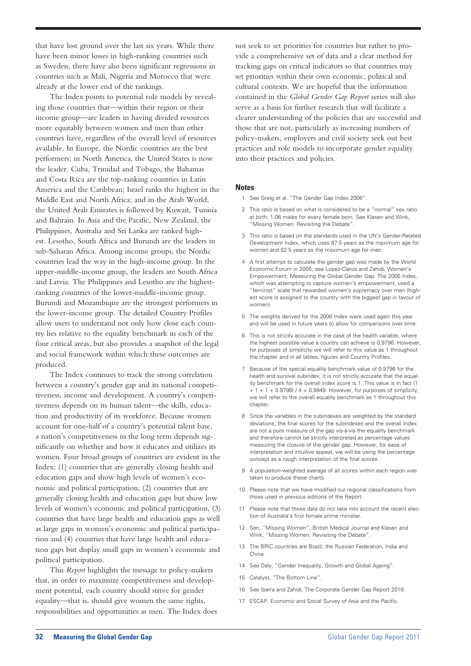that have lost ground over the last six years. While there have been minor losses in high-ranking countries such as Sweden, there have also been significant regressions in countries such as Mali, Nigeria and Morocco that were already at the lower end of the rankings.

The Index points to potential role models by revealing those countries that—within their region or their income group—are leaders in having divided resources more equitably between women and men than other countries have, regardless of the overall level of resources available. In Europe, the Nordic countries are the best performers; in North America, the United States is now the leader. Cuba, Trinidad and Tobago, the Bahamas and Costa Rica are the top-ranking countries in Latin America and the Caribbean; Israel ranks the highest in the Middle East and North Africa; and in the Arab World, the United Arab Emirates is followed by Kuwait, Tunisia and Bahrain. In Asia and the Pacific, New Zealand, the Philippines, Australia and Sri Lanka are ranked highest. Lesotho, South Africa and Burundi are the leaders in sub-Saharan Africa. Among income groups, the Nordic countries lead the way in the high-income group. In the upper-middle-income group, the leaders are South Africa and Latvia. The Philippines and Lesotho are the highestranking countries of the lower-middle-income group. Burundi and Mozambique are the strongest performers in the lower-income group. The detailed Country Profiles allow users to understand not only how close each country lies relative to the equality benchmark in each of the four critical areas, but also provides a snapshot of the legal and social framework within which these outcomes are produced.

The Index continues to track the strong correlation between a country's gender gap and its national competitiveness, income and development. A country's competitiveness depends on its human talent—the skills, education and productivity of its workforce. Because women account for one-half of a country's potential talent base, a nation's competitiveness in the long term depends significantly on whether and how it educates and utilizes its women. Four broad groups of countries are evident in the Index: (1) countries that are generally closing health and education gaps and show high levels of women's economic and political participation, (2) countries that are generally closing health and education gaps but show low levels of women's economic and political participation, (3) countries that have large health and education gaps as well as large gaps in women's economic and political participation and (4) countries that have large health and education gaps but display small gaps in women's economic and political participation.

This *Report* highlights the message to policy-makers that, in order to maximize competitiveness and development potential, each country should strive for gender equality—that is, should give women the same rights, responsibilities and opportunities as men. The Index does not seek to set priorities for countries but rather to provide a comprehensive set of data and a clear method for tracking gaps on critical indicators so that countries may set priorities within their own economic, political and cultural contexts. We are hopeful that the information contained in the *Global Gender Gap Report* series will also serve as a basis for further research that will facilitate a clearer understanding of the policies that are successful and those that are not, particularly as increasing numbers of policy-makers, employers and civil society seek out best practices and role models to incorporate gender equality into their practices and policies.

### **Notes**

- 1 See Greig et al. "The Gender Gap Index 2006".
- 2 This ratio is based on what is considered to be a "normal" sex ratio at birth: 1.06 males for every female born. See Klasen and Wink, "Missing Women: Revisiting the Debate".
- 3 This ratio is based on the standards used in the UN's Gender-Related Development Index, which uses 87.5 years as the maximum age for women and 82.5 years as the maximum age for men.
- 4 A first attempt to calculate the gender gap was made by the World Economic Forum in 2005; see Lopez-Claros and Zahidi, Women's Empowerment: Measuring the Global Gender Gap. The 2005 Index, which was attempting to capture women's empowerment, used a "feminist" scale that rewarded women's supremacy over men (highest score is assigned to the country with the biggest gap in favour of women).
- 5 The weights derived for the 2006 Index were used again this year and will be used in future years to allow for comparisons over time.
- 6 This is not strictly accurate in the case of the health variable, where the highest possible value a country can achieve is 0.9796. However, for purposes of simplicity we will refer to this value as 1 throughout the chapter and in all tables, figures and Country Profiles.
- 7 Because of the special equality benchmark value of 0.9796 for the health and survival subindex, it is not strictly accurate that the equality benchmark for the overall index score is 1. This value is in fact (1  $+ 1 + 1 + 0.9796$  / 4 = 0.9949. However, for purposes of simplicity, we will refer to the overall equality benchmark as 1 throughout this chapter.
- 8 Since the variables in the subindexes are weighted by the standard deviations, the final scores for the subindexes and the overall Index are not a pure measure of the gap vis-à-vis the equality benchmark and therefore cannot be strictly interpreted as percentage values measuring the closure of the gender gap. However, for ease of interpretation and intuitive appeal, we will be using the percentage concept as a rough interpretation of the final scores.
- 9 A population-weighted average of all scores within each region was taken to produce these charts.
- 10 Please note that we have modified our regional classifications from those used in previous editions of the Report.
- 11 Please note that these data do not take into account the recent election of Australia's first female prime minister.
- 12 Sen, "Missing Women", British Medical Journal and Klasen and Wink, "Missing Women: Revisiting the Debate".
- 13 The BRIC countries are Brazil, the Russian Federation, India and China.
- 14 See Daly, "Gender Inequality, Growth and Global Ageing".
- 15 Catalyst, "The Bottom Line".
- 16 See Ibarra and Zahidi, The Corporate Gender Gap Report 2010.
- 17 ESCAP, Economic and Social Survey of Asia and the Pacific.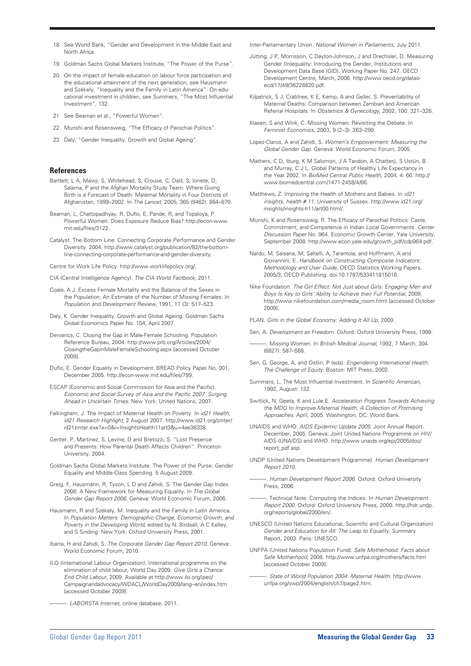- 18 See World Bank, "Gender and Development in the Middle East and North Africa.
- 19 Goldman Sachs Global Markets Institute, "The Power of the Purse".
- 20 On the impact of female education on labour force participation and the educational attainment of the next generation, see Hausmann and Székely, "Inequality and the Family in Latin America". On educational investment in children, see Summers, "The Most Influential Investment", 132.
- 21 See Beaman et al., "Powerful Women".
- 22 Munshi and Rosensweig, "The Efficacy of Parochial Politics".
- 23 Daly, "Gender Inequality, Growth and Global Ageing".

### **References**

- Bartlett, L A, Mawji, S, Whitehead, S, Crouse, C, Dalil, S, Ionete, D, Salama, P and the Afghan Mortality Study Team. Where Giving Birth is a Forecast of Death: Maternal Mortality in Four Districts of Afghanistan, 1999–2002. In *The Lancet,* 2005, 365 (9462): 864–870.
- Beaman, L, Chattopadhyay, R, Duflo, E, Pande, R, and Topaloya, P. Powerful Women: Does Exposure Reduce Bias? http://econ-www. mit.edu/files/3122.
- Catalyst. The Bottom Line: Connecting Corporate Performance and Gender Diversity. 2004. http://www.catalyst.org/publication/82/the-bottomline-connecting-corporate-performance-and-gender-diversity.
- Centre for Work Life Policy. http://www.worklifepolicy.org/.

CIA (Central Intelligence Agency). *The CIA World Factbook,* 2011.

- Coale, A J. Excess Female Mortality and the Balance of the Sexes in the Population: An Estimate of the Number of Missing Females. In *Population and Development Review,* 1991, 17 (3): 517–523.
- Daly, K. Gender Inequality, Growth and Global Ageing. Goldman Sachs Global Economics Paper No. 154, April 2007.
- Dervarics, C. Closing the Gap in Male-Female Schooling. Population Reference Bureau, 2004. http://www.prb.org/Articles/2004/ ClosingtheGapinMaleFemaleSchooling.aspx [accessed October 2009].
- Duflo, E. Gender Equality in Development. BREAD Policy Paper No. 001, December 2005. http://econ-www.mit.edu/files/799.
- ESCAP (Economic and Social Commission for Asia and the Pacific). *Economic and Social Survey of Asia and the Pacific 2007: Surging Ahead in Uncertain Times.* New York: United Nations, 2007.
- Falkingham, J. The Impact of Maternal Health on Poverty. In *id21 Health, id21 Research Highlight,* 2 August 2007. http://www.id21.org/zinter/ id21zinter.exe?a=0&i=InsightsHealth11art3&u=4ae36338.
- Gertler, P, Martinez, S, Levine, D and Bretozzi, S. "Lost Presence and Presents: How Parental Death Affects Children". Princeton University, 2004.
- Goldman Sachs Global Markets Institute. The Power of the Purse: Gender Equality and Middle-Class Spending. 5 August 2009.
- Greig, F, Hausmann, R, Tyson, L D and Zahidi, S. The Gender Gap Index 2006: A New Framework for Measuring Equality. In *The Global Gender Gap Report 2006.* Geneva: World Economic Forum, 2006.
- Hausmann, R and Székely, M. Inequality and the Family in Latin America. In *Population Matters: Demographic Change, Economic Growth, and Poverty in the Developing World,* edited by N. Birdsall, A C Kelley, and S Sinding. New York: Oxford University Press, 2001.
- Ibarra, H and Zahidi, S. *The Corporate Gender Gap Report 2010.* Geneva: World Economic Forum, 2010.
- ILO (International Labour Organization), International programme on the elimination of child labour, World Day 2009. *Give Girls a Chance: End Child Labour,* 2009. Available at http://www.ilo.org/ipec/ Campaignandadvocacy/WDACL/WorldDay2009/lang--en/index.htm [accessed October 2009].

———. *LABORSTA Internet,* online database, 2011.

Inter-Parliamentary Union. *National Women in Parliaments,* July 2011.

- Jütting, J P, Morrisson, C Dayton-Johnson, J and Drechsler, D. Measuring Gender (In)equality: Introducing the Gender, Institutions and Development Data Base (GID). Working Paper No. 247. OECD Development Centre, March, 2006. http://www.oecd.org/dataoecd/17/49/36228820.pdf.
- Kilpatrick, S J, Crabtree, K E, Kemp, A and Geller, S. Preventability of Maternal Deaths: Comparison between Zambian and American Referral Hospitals. In *Obstetrics & Gynecology,* 2002, 100: 321–326.
- Klasen, S and Wink, C. Missing Women: Revisiting the Debate. In *Feminist Economics,* 2003, 9 (2–3): 263–299.
- Lopez-Claros, A and Zahidi, S. *Women's Empowerment: Measuring the Global Gender Gap.* Geneva: World Economic Forum, 2005.
- Mathers, C D, Iburg, K M Salomon, J A Tandon, A Chatterji, S Ustün, B and Murray, C J L. Global Patterns of Healthy Life Expectancy in the Year 2002. In *BioMed Central Public Health,* 2004, 4: 66. http:// www.biomedcentral.com/1471-2458/4/66.
- Matthews, Z. Improving the Health of Mothers and Babies. In *id21 insights, health # 11,* University of Sussex. http://www.id21.org/ insights/insights-h11/art00.html/.
- Munshi, K and Rosensweig, R. The Efficacy of Parochial Politics: Caste, Commitment, and Competence in Indian Local Governments. *Center Discussion Paper* No. 964. Economic Growth Center, Yale University, September 2008. http://www.econ.yale.edu/growth\_pdf/cdp964.pdf.
- Nardo, M, Saisana, M, Saltelli, A, Tarantola, and Hoffmann, A and Giovannini, E. *Handbook on Constructing Composite Indicators: Methodology and User Guide,* OECD Statistics Working Papers, 2005/3, OECD Publishing. doi:10.1787/533411815016.
- Nike Foundation. *The Girl Effect: Not Just about Girls: Engaging Men and Boys Is Key to Girls' Ability to Achieve their Full Potential,* 2009. http://www.nikefoundation.com/media\_room.html [accessed October 2009].
- PLAN. *Girls in the Global Economy: Adding It All Up,* 2009.
- Sen, A. *Development as Freedom.* Oxford: Oxford University Press, 1999.
- ———. Missing Women. In *British Medical Journal,* 1992, 7 March, 304 (6827): 587–588.
- Sen, G, George, A, and Ostlin, P (eds). *Engendering International Health: The Challenge of Equity.* Boston: MIT Press, 2002.
- Summers, L. The Most Influential Investment. In *Scientific American,* 1992, August: 132.
- Switlick, N, Geeta, K and Lule E. *Acceleration Progress Towards Achieving the MDG to Improve Maternal Health: A Collection of Promising Approaches.* April, 2005. Washington, DC: World Bank.
- UNAIDS and WHO. *AIDS Epidemic Update 2005.* Joint Annual Report. December, 2005. Geneva: Joint United Nations Programme on HIV/ AIDS (UNAIDS) and WHO. http://www.unaids.org/epi/2005/doc/ report\_pdf.asp.
- UNDP (United Nations Development Programme). *Human Development Report 2010.*
- ———. *Human Development Report 2006.* Oxford: Oxford University Press, 2006.
- ———. Technical Note: Computing the Indices. In *Human Development Report 2000.* Oxford: Oxford University Press, 2000. http://hdr.undp. org/reports/global/2000/en/.
- UNESCO (United Nations Educational, Scientific and Cultural Organization). *Gender and Education for All: The Leap to Equality.* Summary Report, 2003. Paris: UNESCO.
- UNFPA (United Nations Population Fund). *Safe Motherhood: Facts about Safe Motherhood,* 2008. http://www.unfpa.org/mothers/facts.htm [accessed October 2009].
- ———. *State of World Population 2004: Maternal Health.* http://www. unfpa.org/swp/2004/english/ch7/page2.htm.